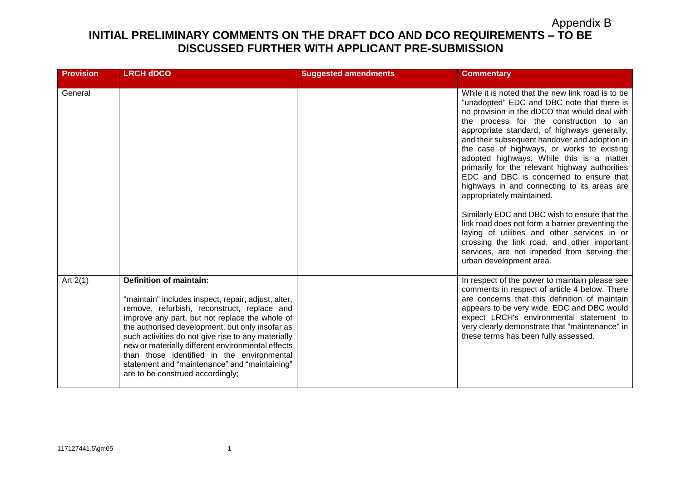| <b>Provision</b> | <b>LRCH dDCO</b>                                                                                                                                                                                                                                                                                                                                                                                                                                                                        | <b>Suggested amendments</b> | <b>Commentary</b>                                                                                                                                                                                                                                                                                                                                                                                                                                                                                                                                                                                                                                                                                                                                                                                                                           |
|------------------|-----------------------------------------------------------------------------------------------------------------------------------------------------------------------------------------------------------------------------------------------------------------------------------------------------------------------------------------------------------------------------------------------------------------------------------------------------------------------------------------|-----------------------------|---------------------------------------------------------------------------------------------------------------------------------------------------------------------------------------------------------------------------------------------------------------------------------------------------------------------------------------------------------------------------------------------------------------------------------------------------------------------------------------------------------------------------------------------------------------------------------------------------------------------------------------------------------------------------------------------------------------------------------------------------------------------------------------------------------------------------------------------|
| General          |                                                                                                                                                                                                                                                                                                                                                                                                                                                                                         |                             | While it is noted that the new link road is to be<br>"unadopted" EDC and DBC note that there is<br>no provision in the dDCO that would deal with<br>the process for the construction to an<br>appropriate standard, of highways generally,<br>and their subsequent handover and adoption in<br>the case of highways, or works to existing<br>adopted highways. While this is a matter<br>primarily for the relevant highway authorities<br>EDC and DBC is concerned to ensure that<br>highways in and connecting to its areas are<br>appropriately maintained.<br>Similarly EDC and DBC wish to ensure that the<br>link road does not form a barrier preventing the<br>laying of utilities and other services in or<br>crossing the link road, and other important<br>services, are not impeded from serving the<br>urban development area. |
| Art $2(1)$       | <b>Definition of maintain:</b><br>"maintain" includes inspect, repair, adjust, alter,<br>remove, refurbish, reconstruct, replace and<br>improve any part, but not replace the whole of<br>the authorised development, but only insofar as<br>such activities do not give rise to any materially<br>new or materially different environmental effects<br>than those identified in the environmental<br>statement and "maintenance" and "maintaining"<br>are to be construed accordingly; |                             | In respect of the power to maintain please see<br>comments in respect of article 4 below. There<br>are concerns that this definition of maintain<br>appears to be very wide. EDC and DBC would<br>expect LRCH's environmental statement to<br>very clearly demonstrate that "maintenance" in<br>these terms has been fully assessed.                                                                                                                                                                                                                                                                                                                                                                                                                                                                                                        |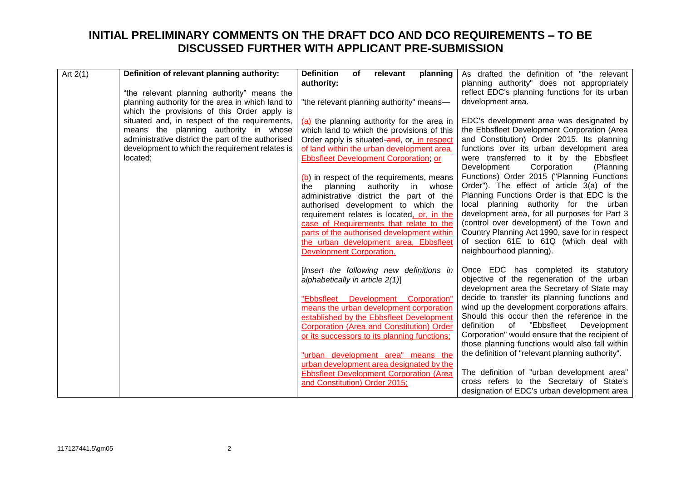| Art $2(1)$ | Definition of relevant planning authority:                                                   | <b>Definition</b><br>of<br>relevant                                                      | planning                 | As drafted the definition of "the relevant                                                          |
|------------|----------------------------------------------------------------------------------------------|------------------------------------------------------------------------------------------|--------------------------|-----------------------------------------------------------------------------------------------------|
|            | "the relevant planning authority" means the                                                  | authority:                                                                               |                          | planning authority" does not appropriately<br>reflect EDC's planning functions for its urban        |
|            | planning authority for the area in which land to                                             | "the relevant planning authority" means-                                                 |                          | development area.                                                                                   |
|            | which the provisions of this Order apply is<br>situated and, in respect of the requirements, |                                                                                          |                          | EDC's development area was designated by                                                            |
|            | means the planning authority in whose                                                        | (a) the planning authority for the area in<br>which land to which the provisions of this |                          | the Ebbsfleet Development Corporation (Area                                                         |
|            | administrative district the part of the authorised                                           | Order apply is situated-and, or, in respect                                              |                          | and Constitution) Order 2015. Its planning                                                          |
|            | development to which the requirement relates is                                              | of land within the urban development area,                                               |                          | functions over its urban development area<br>were transferred to it by the Ebbsfleet                |
| located;   |                                                                                              | Ebbsfleet Development Corporation; or                                                    |                          | Development<br>Corporation<br>(Planning                                                             |
|            |                                                                                              | (b) in respect of the requirements, means                                                |                          | Functions) Order 2015 ("Planning Functions                                                          |
|            |                                                                                              | authority<br>planning<br>the                                                             | in whose                 | Order"). The effect of article 3(a) of the                                                          |
|            |                                                                                              | administrative district the part of the<br>authorised development to which the           |                          | Planning Functions Order is that EDC is the<br>local planning authority for the urban               |
|            |                                                                                              | requirement relates is located, or, in the                                               |                          | development area, for all purposes for Part 3                                                       |
|            |                                                                                              | case of Requirements that relate to the                                                  |                          | (control over development) of the Town and                                                          |
|            |                                                                                              | parts of the authorised development within<br>the urban development area, Ebbsfleet      |                          | Country Planning Act 1990, save for in respect<br>of section 61E to 61Q (which deal with            |
|            |                                                                                              | <b>Development Corporation.</b>                                                          |                          | neighbourhood planning).                                                                            |
|            |                                                                                              |                                                                                          |                          |                                                                                                     |
|            |                                                                                              | [Insert the following new definitions in<br>alphabetically in article $2(1)$ ]           |                          | Once EDC has completed its statutory<br>objective of the regeneration of the urban                  |
|            |                                                                                              |                                                                                          |                          | development area the Secretary of State may                                                         |
|            |                                                                                              | "Ebbsfleet                                                                               | Development Corporation" | decide to transfer its planning functions and<br>wind up the development corporations affairs.      |
|            |                                                                                              | means the urban development corporation<br>established by the Ebbsfleet Development      |                          | Should this occur then the reference in the                                                         |
|            |                                                                                              | Corporation (Area and Constitution) Order                                                |                          | "Ebbsfleet<br>definition<br>Development<br>of                                                       |
|            |                                                                                              | or its successors to its planning functions;                                             |                          | Corporation" would ensure that the recipient of                                                     |
|            |                                                                                              | "urban development area" means the                                                       |                          | those planning functions would also fall within<br>the definition of "relevant planning authority". |
|            |                                                                                              | urban development area designated by the                                                 |                          |                                                                                                     |
|            |                                                                                              | <b>Ebbsfleet Development Corporation (Area</b>                                           |                          | The definition of "urban development area"                                                          |
|            |                                                                                              | and Constitution) Order 2015;                                                            |                          | cross refers to the Secretary of State's<br>designation of EDC's urban development area             |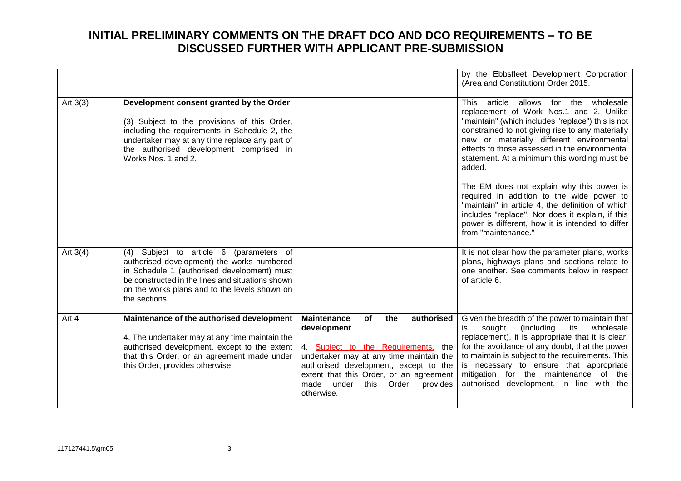|            |                                                                                                                                                                                                                                                               |                                                                                                                                                                                                                                                                                              | by the Ebbsfleet Development Corporation<br>(Area and Constitution) Order 2015.                                                                                                                                                                                                                                                                                                              |
|------------|---------------------------------------------------------------------------------------------------------------------------------------------------------------------------------------------------------------------------------------------------------------|----------------------------------------------------------------------------------------------------------------------------------------------------------------------------------------------------------------------------------------------------------------------------------------------|----------------------------------------------------------------------------------------------------------------------------------------------------------------------------------------------------------------------------------------------------------------------------------------------------------------------------------------------------------------------------------------------|
| Art $3(3)$ | Development consent granted by the Order<br>(3) Subject to the provisions of this Order,<br>including the requirements in Schedule 2, the<br>undertaker may at any time replace any part of<br>the authorised development comprised in<br>Works Nos. 1 and 2. |                                                                                                                                                                                                                                                                                              | <b>This</b><br>article<br>allows for the wholesale<br>replacement of Work Nos.1 and 2. Unlike<br>"maintain" (which includes "replace") this is not<br>constrained to not giving rise to any materially<br>new or materially different environmental<br>effects to those assessed in the environmental<br>statement. At a minimum this wording must be<br>added.                              |
|            |                                                                                                                                                                                                                                                               |                                                                                                                                                                                                                                                                                              | The EM does not explain why this power is<br>required in addition to the wide power to<br>"maintain" in article 4, the definition of which<br>includes "replace". Nor does it explain, if this<br>power is different, how it is intended to differ<br>from "maintenance."                                                                                                                    |
| Art $3(4)$ | (4) Subject to article 6 (parameters of<br>authorised development) the works numbered<br>in Schedule 1 (authorised development) must<br>be constructed in the lines and situations shown<br>on the works plans and to the levels shown on<br>the sections.    |                                                                                                                                                                                                                                                                                              | It is not clear how the parameter plans, works<br>plans, highways plans and sections relate to<br>one another. See comments below in respect<br>of article 6.                                                                                                                                                                                                                                |
| Art 4      | Maintenance of the authorised development<br>4. The undertaker may at any time maintain the<br>authorised development, except to the extent<br>that this Order, or an agreement made under<br>this Order, provides otherwise.                                 | <b>Maintenance</b><br>of<br>authorised<br>the<br>development<br>4. Subject to the Requirements, the<br>undertaker may at any time maintain the<br>authorised development, except to the<br>extent that this Order, or an agreement<br>this Order,<br>made<br>under<br>provides<br>otherwise. | Given the breadth of the power to maintain that<br>sought<br>(including<br>its<br>wholesale<br>İS<br>replacement), it is appropriate that it is clear,<br>for the avoidance of any doubt, that the power<br>to maintain is subject to the requirements. This<br>is necessary to ensure that appropriate<br>mitigation for the maintenance of the<br>authorised development, in line with the |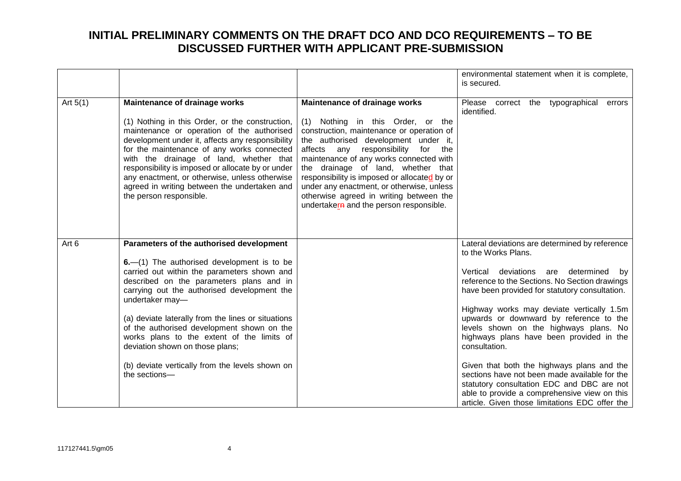|            |                                                                                                                                                                                                                                                                                                                                                                                                                                                                                                              |                                                                                                                                                                                                                                                                                                                                                                                                                                                                                   | environmental statement when it is complete,<br>is secured.                                                                                                                                                                                                                                                                                                                                                                                                                                                                                                                                                                                                      |
|------------|--------------------------------------------------------------------------------------------------------------------------------------------------------------------------------------------------------------------------------------------------------------------------------------------------------------------------------------------------------------------------------------------------------------------------------------------------------------------------------------------------------------|-----------------------------------------------------------------------------------------------------------------------------------------------------------------------------------------------------------------------------------------------------------------------------------------------------------------------------------------------------------------------------------------------------------------------------------------------------------------------------------|------------------------------------------------------------------------------------------------------------------------------------------------------------------------------------------------------------------------------------------------------------------------------------------------------------------------------------------------------------------------------------------------------------------------------------------------------------------------------------------------------------------------------------------------------------------------------------------------------------------------------------------------------------------|
| Art $5(1)$ | <b>Maintenance of drainage works</b><br>(1) Nothing in this Order, or the construction,<br>maintenance or operation of the authorised<br>development under it, affects any responsibility<br>for the maintenance of any works connected<br>with the drainage of land, whether that<br>responsibility is imposed or allocate by or under<br>any enactment, or otherwise, unless otherwise<br>agreed in writing between the undertaken and<br>the person responsible.                                          | <b>Maintenance of drainage works</b><br>Nothing in this Order, or the<br>(1)<br>construction, maintenance or operation of<br>the authorised development under it,<br>affects<br>any responsibility<br>for the<br>maintenance of any works connected with<br>the drainage of land, whether that<br>responsibility is imposed or allocated by or<br>under any enactment, or otherwise, unless<br>otherwise agreed in writing between the<br>undertakern and the person responsible. | Please correct the typographical<br>errors<br>identified.                                                                                                                                                                                                                                                                                                                                                                                                                                                                                                                                                                                                        |
| Art 6      | Parameters of the authorised development<br>6.-(1) The authorised development is to be<br>carried out within the parameters shown and<br>described on the parameters plans and in<br>carrying out the authorised development the<br>undertaker may-<br>(a) deviate laterally from the lines or situations<br>of the authorised development shown on the<br>works plans to the extent of the limits of<br>deviation shown on those plans;<br>(b) deviate vertically from the levels shown on<br>the sections- |                                                                                                                                                                                                                                                                                                                                                                                                                                                                                   | Lateral deviations are determined by reference<br>to the Works Plans.<br>Vertical deviations are determined by<br>reference to the Sections. No Section drawings<br>have been provided for statutory consultation.<br>Highway works may deviate vertically 1.5m<br>upwards or downward by reference to the<br>levels shown on the highways plans. No<br>highways plans have been provided in the<br>consultation.<br>Given that both the highways plans and the<br>sections have not been made available for the<br>statutory consultation EDC and DBC are not<br>able to provide a comprehensive view on this<br>article. Given those limitations EDC offer the |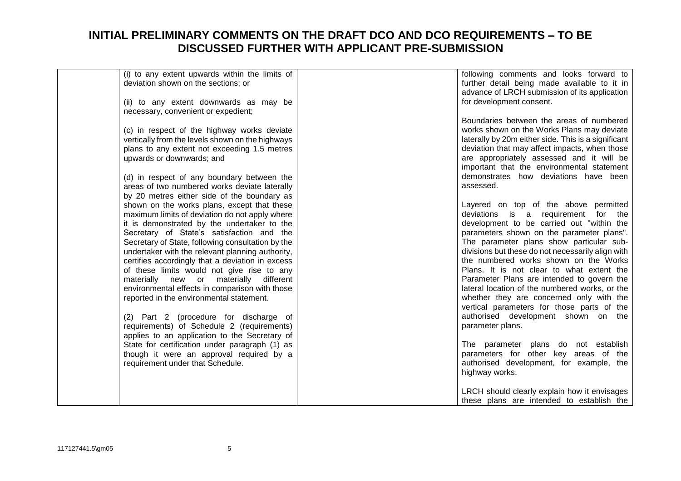| (i) to any extent upwards within the limits of    | following comments and looks forward to             |
|---------------------------------------------------|-----------------------------------------------------|
| deviation shown on the sections; or               | further detail being made available to it in        |
|                                                   | advance of LRCH submission of its application       |
| (ii) to any extent downwards as may be            | for development consent.                            |
| necessary, convenient or expedient;               |                                                     |
|                                                   |                                                     |
|                                                   | Boundaries between the areas of numbered            |
| (c) in respect of the highway works deviate       | works shown on the Works Plans may deviate          |
| vertically from the levels shown on the highways  | laterally by 20m either side. This is a significant |
| plans to any extent not exceeding 1.5 metres      | deviation that may affect impacts, when those       |
| upwards or downwards; and                         | are appropriately assessed and it will be           |
|                                                   | important that the environmental statement          |
|                                                   |                                                     |
| (d) in respect of any boundary between the        | demonstrates how deviations have been               |
| areas of two numbered works deviate laterally     | assessed.                                           |
| by 20 metres either side of the boundary as       |                                                     |
| shown on the works plans, except that these       | Layered on top of the above permitted               |
| maximum limits of deviation do not apply where    | deviations is a requirement for the                 |
| it is demonstrated by the undertaker to the       | development to be carried out "within the           |
| Secretary of State's satisfaction and the         | parameters shown on the parameter plans".           |
| Secretary of State, following consultation by the | The parameter plans show particular sub-            |
|                                                   |                                                     |
| undertaker with the relevant planning authority,  | divisions but these do not necessarily align with   |
| certifies accordingly that a deviation in excess  | the numbered works shown on the Works               |
| of these limits would not give rise to any        | Plans. It is not clear to what extent the           |
| materially new or materially different            | Parameter Plans are intended to govern the          |
| environmental effects in comparison with those    | lateral location of the numbered works, or the      |
| reported in the environmental statement.          | whether they are concerned only with the            |
|                                                   | vertical parameters for those parts of the          |
| (2) Part 2 (procedure for discharge of            | authorised development shown on the                 |
|                                                   |                                                     |
| requirements) of Schedule 2 (requirements)        | parameter plans.                                    |
| applies to an application to the Secretary of     |                                                     |
| State for certification under paragraph (1) as    | The parameter plans do not establish                |
| though it were an approval required by a          | parameters for other key areas of the               |
| requirement under that Schedule.                  | authorised development, for example, the            |
|                                                   | highway works.                                      |
|                                                   |                                                     |
|                                                   | LRCH should clearly explain how it envisages        |
|                                                   |                                                     |
|                                                   | these plans are intended to establish the           |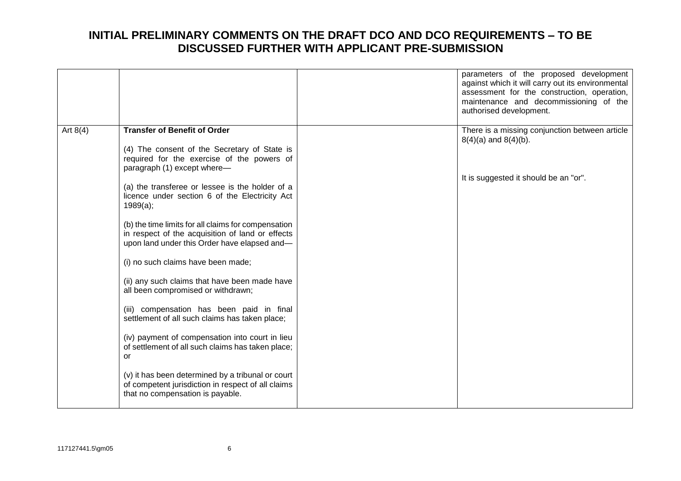|            |                                                                                                                                             | parameters of the proposed development<br>against which it will carry out its environmental<br>assessment for the construction, operation,<br>maintenance and decommissioning of the<br>authorised development. |
|------------|---------------------------------------------------------------------------------------------------------------------------------------------|-----------------------------------------------------------------------------------------------------------------------------------------------------------------------------------------------------------------|
| Art $8(4)$ | <b>Transfer of Benefit of Order</b><br>(4) The consent of the Secretary of State is<br>required for the exercise of the powers of           | There is a missing conjunction between article<br>$8(4)(a)$ and $8(4)(b)$ .                                                                                                                                     |
|            | paragraph (1) except where-<br>(a) the transferee or lessee is the holder of a<br>licence under section 6 of the Electricity Act            | It is suggested it should be an "or".                                                                                                                                                                           |
|            | 1989(a);<br>(b) the time limits for all claims for compensation<br>in respect of the acquisition of land or effects                         |                                                                                                                                                                                                                 |
|            | upon land under this Order have elapsed and-<br>(i) no such claims have been made;                                                          |                                                                                                                                                                                                                 |
|            | (ii) any such claims that have been made have<br>all been compromised or withdrawn;                                                         |                                                                                                                                                                                                                 |
|            | (iii) compensation has been paid in final<br>settlement of all such claims has taken place;                                                 |                                                                                                                                                                                                                 |
|            | (iv) payment of compensation into court in lieu<br>of settlement of all such claims has taken place;<br>or                                  |                                                                                                                                                                                                                 |
|            | (v) it has been determined by a tribunal or court<br>of competent jurisdiction in respect of all claims<br>that no compensation is payable. |                                                                                                                                                                                                                 |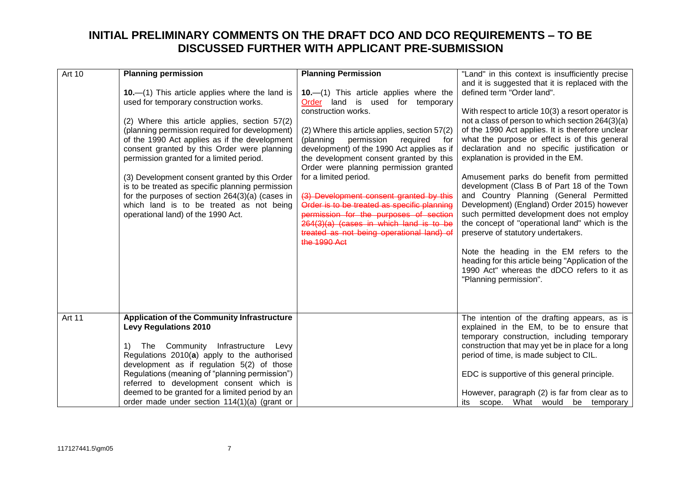| <b>Art 10</b> | <b>Planning permission</b>                         | <b>Planning Permission</b>                    | "Land" in this context is insufficiently precise   |
|---------------|----------------------------------------------------|-----------------------------------------------|----------------------------------------------------|
|               |                                                    |                                               | and it is suggested that it is replaced with the   |
|               | 10. $-$ (1) This article applies where the land is | 10.-(1) This article applies where the        | defined term "Order land".                         |
|               | used for temporary construction works.             | Order land is used for temporary              |                                                    |
|               |                                                    | construction works.                           | With respect to article 10(3) a resort operator is |
|               | (2) Where this article applies, section 57(2)      |                                               | not a class of person to which section 264(3)(a)   |
|               | (planning permission required for development)     | (2) Where this article applies, section 57(2) | of the 1990 Act applies. It is therefore unclear   |
|               | of the 1990 Act applies as if the development      | (planning<br>permission<br>required<br>for    | what the purpose or effect is of this general      |
|               | consent granted by this Order were planning        | development) of the 1990 Act applies as if    | declaration and no specific justification or       |
|               | permission granted for a limited period.           | the development consent granted by this       | explanation is provided in the EM.                 |
|               |                                                    | Order were planning permission granted        |                                                    |
|               | (3) Development consent granted by this Order      | for a limited period.                         | Amusement parks do benefit from permitted          |
|               | is to be treated as specific planning permission   |                                               | development (Class B of Part 18 of the Town        |
|               | for the purposes of section 264(3)(a) (cases in    | (3) Development consent granted by this       | and Country Planning (General Permitted            |
|               | which land is to be treated as not being           | Order is to be treated as specific planning   | Development) (England) Order 2015) however         |
|               | operational land) of the 1990 Act.                 | permission for the purposes of section        | such permitted development does not employ         |
|               |                                                    | 264(3)(a) (cases in which land is to be       | the concept of "operational land" which is the     |
|               |                                                    | treated as not being operational land) of     | preserve of statutory undertakers.                 |
|               |                                                    | the 1990 Act                                  |                                                    |
|               |                                                    |                                               | Note the heading in the EM refers to the           |
|               |                                                    |                                               | heading for this article being "Application of the |
|               |                                                    |                                               | 1990 Act" whereas the dDCO refers to it as         |
|               |                                                    |                                               | "Planning permission".                             |
|               |                                                    |                                               |                                                    |
|               |                                                    |                                               |                                                    |
|               |                                                    |                                               |                                                    |
| Art 11        | <b>Application of the Community Infrastructure</b> |                                               | The intention of the drafting appears, as is       |
|               | <b>Levy Regulations 2010</b>                       |                                               | explained in the EM, to be to ensure that          |
|               |                                                    |                                               | temporary construction, including temporary        |
|               | Community Infrastructure<br>1)<br>The<br>Levy      |                                               | construction that may yet be in place for a long   |
|               | Regulations 2010(a) apply to the authorised        |                                               | period of time, is made subject to CIL.            |
|               | development as if regulation 5(2) of those         |                                               |                                                    |
|               | Regulations (meaning of "planning permission")     |                                               | EDC is supportive of this general principle.       |
|               | referred to development consent which is           |                                               |                                                    |
|               | deemed to be granted for a limited period by an    |                                               | However, paragraph (2) is far from clear as to     |
|               | order made under section 114(1)(a) (grant or       |                                               | its scope. What would be temporary                 |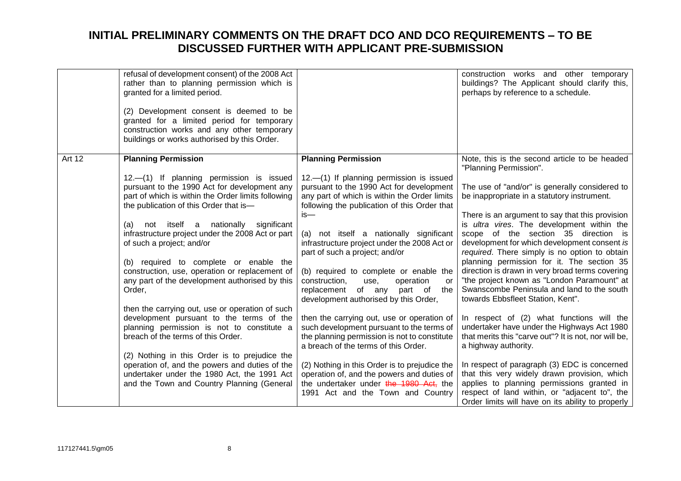|               | refusal of development consent) of the 2008 Act<br>rather than to planning permission which is<br>granted for a limited period.<br>(2) Development consent is deemed to be<br>granted for a limited period for temporary<br>construction works and any other temporary<br>buildings or works authorised by this Order. |                                                                                                                                                                                      | construction works and other temporary<br>buildings? The Applicant should clarify this,<br>perhaps by reference to a schedule.                                                                                                                                                                                                          |
|---------------|------------------------------------------------------------------------------------------------------------------------------------------------------------------------------------------------------------------------------------------------------------------------------------------------------------------------|--------------------------------------------------------------------------------------------------------------------------------------------------------------------------------------|-----------------------------------------------------------------------------------------------------------------------------------------------------------------------------------------------------------------------------------------------------------------------------------------------------------------------------------------|
| <b>Art 12</b> | <b>Planning Permission</b>                                                                                                                                                                                                                                                                                             | <b>Planning Permission</b>                                                                                                                                                           | Note, this is the second article to be headed<br>"Planning Permission".                                                                                                                                                                                                                                                                 |
|               | 12.—(1) If planning permission is issued<br>pursuant to the 1990 Act for development any<br>part of which is within the Order limits following<br>the publication of this Order that is-                                                                                                                               | 12.-(1) If planning permission is issued<br>pursuant to the 1990 Act for development<br>any part of which is within the Order limits<br>following the publication of this Order that | The use of "and/or" is generally considered to<br>be inappropriate in a statutory instrument.                                                                                                                                                                                                                                           |
|               | (a) not itself a nationally significant<br>infrastructure project under the 2008 Act or part<br>of such a project; and/or<br>(b) required to complete or enable the<br>construction, use, operation or replacement of                                                                                                  | $is-$<br>(a) not itself a nationally significant<br>infrastructure project under the 2008 Act or<br>part of such a project; and/or<br>(b) required to complete or enable the         | There is an argument to say that this provision<br>is ultra vires. The development within the<br>scope of the section 35 direction is<br>development for which development consent is<br>required. There simply is no option to obtain<br>planning permission for it. The section 35<br>direction is drawn in very broad terms covering |
|               | any part of the development authorised by this<br>Order,                                                                                                                                                                                                                                                               | construction,<br>operation<br>use,<br>or<br>replacement<br>of any<br>part of the<br>development authorised by this Order,                                                            | "the project known as "London Paramount" at<br>Swanscombe Peninsula and land to the south<br>towards Ebbsfleet Station, Kent".                                                                                                                                                                                                          |
|               | then the carrying out, use or operation of such<br>development pursuant to the terms of the<br>planning permission is not to constitute a<br>breach of the terms of this Order.                                                                                                                                        | then the carrying out, use or operation of<br>such development pursuant to the terms of<br>the planning permission is not to constitute<br>a breach of the terms of this Order.      | In respect of (2) what functions will the<br>undertaker have under the Highways Act 1980<br>that merits this "carve out"? It is not, nor will be,<br>a highway authority.                                                                                                                                                               |
|               | (2) Nothing in this Order is to prejudice the<br>operation of, and the powers and duties of the<br>undertaker under the 1980 Act, the 1991 Act<br>and the Town and Country Planning (General                                                                                                                           | (2) Nothing in this Order is to prejudice the<br>operation of, and the powers and duties of<br>the undertaker under the 1980 Act, the<br>1991 Act and the Town and Country           | In respect of paragraph (3) EDC is concerned<br>that this very widely drawn provision, which<br>applies to planning permissions granted in<br>respect of land within, or "adjacent to", the<br>Order limits will have on its ability to properly                                                                                        |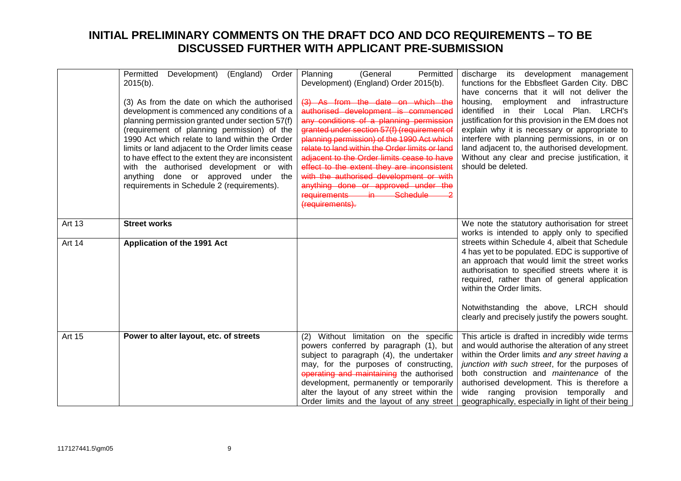|        | (England)<br>Permitted<br>Development)<br>Order<br>$2015(b)$ .<br>(3) As from the date on which the authorised<br>development is commenced any conditions of a<br>planning permission granted under section 57(f)<br>(requirement of planning permission) of the<br>1990 Act which relate to land within the Order<br>limits or land adjacent to the Order limits cease<br>to have effect to the extent they are inconsistent<br>with the authorised development or with<br>anything done or approved under the<br>requirements in Schedule 2 (requirements). | Permitted<br>Planning<br>(General<br>Development) (England) Order 2015(b).<br>(3) As from the date on which the<br>authorised development is commenced<br>any conditions of a planning permission<br>granted under section 57(f) (requirement of<br>planning permission) of the 1990 Act which<br>relate to land within the Order limits or land<br>adjacent to the Order limits cease to have<br>effect to the extent they are inconsistent<br>with the authorised development or with<br>anything done or approved under the<br>requirements in Schedule<br>(requirements). | discharge its development management<br>functions for the Ebbsfleet Garden City. DBC<br>have concerns that it will not deliver the<br>housing,<br>employment and infrastructure<br>in their Local Plan. LRCH's<br>identified<br>justification for this provision in the EM does not<br>explain why it is necessary or appropriate to<br>interfere with planning permissions, in or on<br>land adjacent to, the authorised development.<br>Without any clear and precise justification, it<br>should be deleted. |
|--------|---------------------------------------------------------------------------------------------------------------------------------------------------------------------------------------------------------------------------------------------------------------------------------------------------------------------------------------------------------------------------------------------------------------------------------------------------------------------------------------------------------------------------------------------------------------|-------------------------------------------------------------------------------------------------------------------------------------------------------------------------------------------------------------------------------------------------------------------------------------------------------------------------------------------------------------------------------------------------------------------------------------------------------------------------------------------------------------------------------------------------------------------------------|-----------------------------------------------------------------------------------------------------------------------------------------------------------------------------------------------------------------------------------------------------------------------------------------------------------------------------------------------------------------------------------------------------------------------------------------------------------------------------------------------------------------|
| Art 13 | <b>Street works</b>                                                                                                                                                                                                                                                                                                                                                                                                                                                                                                                                           |                                                                                                                                                                                                                                                                                                                                                                                                                                                                                                                                                                               | We note the statutory authorisation for street<br>works is intended to apply only to specified                                                                                                                                                                                                                                                                                                                                                                                                                  |
| Art 14 | Application of the 1991 Act                                                                                                                                                                                                                                                                                                                                                                                                                                                                                                                                   |                                                                                                                                                                                                                                                                                                                                                                                                                                                                                                                                                                               | streets within Schedule 4, albeit that Schedule<br>4 has yet to be populated. EDC is supportive of<br>an approach that would limit the street works<br>authorisation to specified streets where it is<br>required, rather than of general application<br>within the Order limits.<br>Notwithstanding the above, LRCH should<br>clearly and precisely justify the powers sought.                                                                                                                                 |
|        |                                                                                                                                                                                                                                                                                                                                                                                                                                                                                                                                                               |                                                                                                                                                                                                                                                                                                                                                                                                                                                                                                                                                                               |                                                                                                                                                                                                                                                                                                                                                                                                                                                                                                                 |
| Art 15 | Power to alter layout, etc. of streets                                                                                                                                                                                                                                                                                                                                                                                                                                                                                                                        | (2) Without limitation on the specific<br>powers conferred by paragraph (1), but<br>subject to paragraph (4), the undertaker<br>may, for the purposes of constructing,<br>operating and maintaining the authorised<br>development, permanently or temporarily<br>alter the layout of any street within the<br>Order limits and the layout of any street                                                                                                                                                                                                                       | This article is drafted in incredibly wide terms<br>and would authorise the alteration of any street<br>within the Order limits and any street having a<br>junction with such street, for the purposes of<br>both construction and <i>maintenance</i> of the<br>authorised development. This is therefore a<br>wide ranging provision temporally and<br>geographically, especially in light of their being                                                                                                      |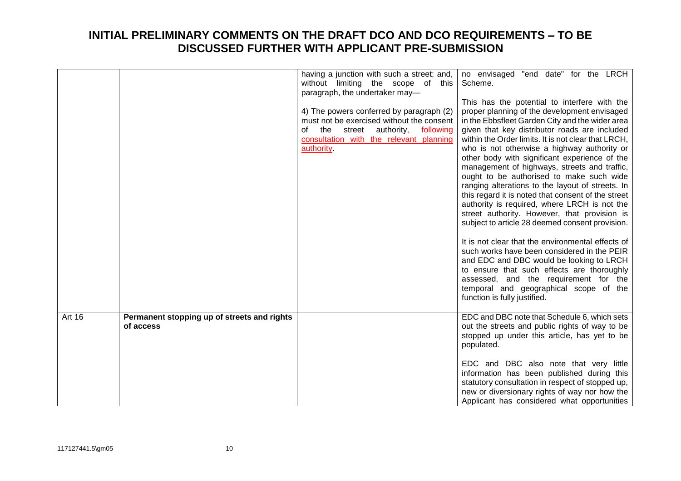|        |                                                          | having a junction with such a street; and,<br>without limiting the scope of this<br>paragraph, the undertaker may-<br>4) The powers conferred by paragraph (2)<br>must not be exercised without the consent<br>of the<br>street authority, following<br>consultation with the relevant planning<br>authority. | no envisaged "end date" for the LRCH<br>Scheme.<br>This has the potential to interfere with the<br>proper planning of the development envisaged<br>in the Ebbsfleet Garden City and the wider area<br>given that key distributor roads are included<br>within the Order limits. It is not clear that LRCH,<br>who is not otherwise a highway authority or<br>other body with significant experience of the<br>management of highways, streets and traffic,<br>ought to be authorised to make such wide<br>ranging alterations to the layout of streets. In<br>this regard it is noted that consent of the street<br>authority is required, where LRCH is not the<br>street authority. However, that provision is<br>subject to article 28 deemed consent provision.<br>It is not clear that the environmental effects of<br>such works have been considered in the PEIR<br>and EDC and DBC would be looking to LRCH |
|--------|----------------------------------------------------------|---------------------------------------------------------------------------------------------------------------------------------------------------------------------------------------------------------------------------------------------------------------------------------------------------------------|---------------------------------------------------------------------------------------------------------------------------------------------------------------------------------------------------------------------------------------------------------------------------------------------------------------------------------------------------------------------------------------------------------------------------------------------------------------------------------------------------------------------------------------------------------------------------------------------------------------------------------------------------------------------------------------------------------------------------------------------------------------------------------------------------------------------------------------------------------------------------------------------------------------------|
|        |                                                          |                                                                                                                                                                                                                                                                                                               | to ensure that such effects are thoroughly<br>assessed, and the requirement for the<br>temporal and geographical scope of the<br>function is fully justified.                                                                                                                                                                                                                                                                                                                                                                                                                                                                                                                                                                                                                                                                                                                                                       |
| Art 16 | Permanent stopping up of streets and rights<br>of access |                                                                                                                                                                                                                                                                                                               | EDC and DBC note that Schedule 6, which sets<br>out the streets and public rights of way to be<br>stopped up under this article, has yet to be<br>populated.                                                                                                                                                                                                                                                                                                                                                                                                                                                                                                                                                                                                                                                                                                                                                        |
|        |                                                          |                                                                                                                                                                                                                                                                                                               | EDC and DBC also note that very little<br>information has been published during this<br>statutory consultation in respect of stopped up,<br>new or diversionary rights of way nor how the<br>Applicant has considered what opportunities                                                                                                                                                                                                                                                                                                                                                                                                                                                                                                                                                                                                                                                                            |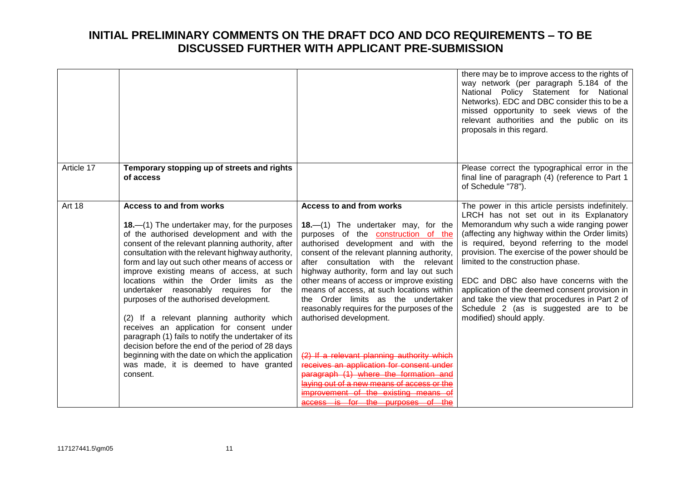|               |                                                                                                                                                                                                                                                                                                                                                                                                                                                                                                                                                                                                                                                                                                                                                                                            |                                                                                                                                                                                                                                                                                                                                                                                                                                                                                                                                                                                                                                                                                                                                                              | there may be to improve access to the rights of<br>way network (per paragraph 5.184 of the<br>National Policy Statement for National<br>Networks). EDC and DBC consider this to be a<br>missed opportunity to seek views of the<br>relevant authorities and the public on its<br>proposals in this regard.                                                                                                                                                                                                                                          |
|---------------|--------------------------------------------------------------------------------------------------------------------------------------------------------------------------------------------------------------------------------------------------------------------------------------------------------------------------------------------------------------------------------------------------------------------------------------------------------------------------------------------------------------------------------------------------------------------------------------------------------------------------------------------------------------------------------------------------------------------------------------------------------------------------------------------|--------------------------------------------------------------------------------------------------------------------------------------------------------------------------------------------------------------------------------------------------------------------------------------------------------------------------------------------------------------------------------------------------------------------------------------------------------------------------------------------------------------------------------------------------------------------------------------------------------------------------------------------------------------------------------------------------------------------------------------------------------------|-----------------------------------------------------------------------------------------------------------------------------------------------------------------------------------------------------------------------------------------------------------------------------------------------------------------------------------------------------------------------------------------------------------------------------------------------------------------------------------------------------------------------------------------------------|
| Article 17    | Temporary stopping up of streets and rights<br>of access                                                                                                                                                                                                                                                                                                                                                                                                                                                                                                                                                                                                                                                                                                                                   |                                                                                                                                                                                                                                                                                                                                                                                                                                                                                                                                                                                                                                                                                                                                                              | Please correct the typographical error in the<br>final line of paragraph (4) (reference to Part 1<br>of Schedule "78").                                                                                                                                                                                                                                                                                                                                                                                                                             |
| <b>Art 18</b> | <b>Access to and from works</b><br>18.—(1) The undertaker may, for the purposes<br>of the authorised development and with the<br>consent of the relevant planning authority, after<br>consultation with the relevant highway authority,<br>form and lay out such other means of access or<br>improve existing means of access, at such<br>locations within the Order limits as the<br>undertaker reasonably requires for<br>the<br>purposes of the authorised development.<br>(2) If a relevant planning authority which<br>receives an application for consent under<br>paragraph (1) fails to notify the undertaker of its<br>decision before the end of the period of 28 days<br>beginning with the date on which the application<br>was made, it is deemed to have granted<br>consent. | Access to and from works<br>18. $-(1)$ The undertaker may, for the<br>purposes of the construction of the<br>authorised development and with the<br>consent of the relevant planning authority,<br>after consultation with the relevant<br>highway authority, form and lay out such<br>other means of access or improve existing<br>means of access, at such locations within<br>the Order limits as the undertaker<br>reasonably requires for the purposes of the<br>authorised development.<br>(2) If a relevant planning authority which<br>receives an application for consent under<br>paragraph (1) where the formation and<br>laving out of a new means of access or the<br>improvement of the existing means of<br>access is for the purposes of the | The power in this article persists indefinitely.<br>LRCH has not set out in its Explanatory<br>Memorandum why such a wide ranging power<br>(affecting any highway within the Order limits)<br>is required, beyond referring to the model<br>provision. The exercise of the power should be<br>limited to the construction phase.<br>EDC and DBC also have concerns with the<br>application of the deemed consent provision in<br>and take the view that procedures in Part 2 of<br>Schedule 2 (as is suggested are to be<br>modified) should apply. |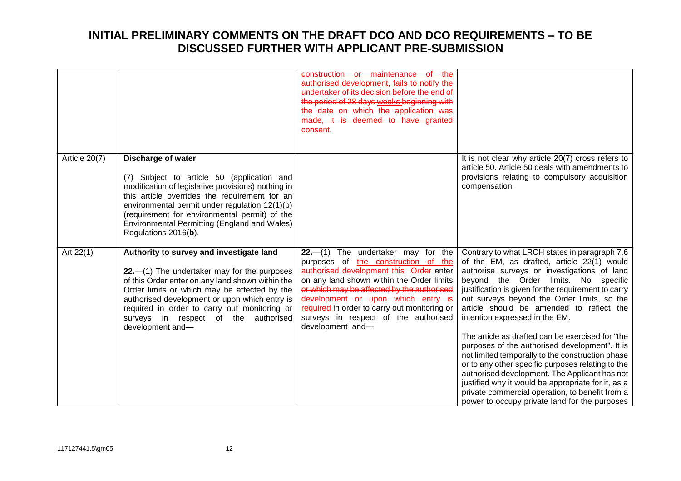|               |                                                                      | construction or maintenance                                                         |                                                                                                       |
|---------------|----------------------------------------------------------------------|-------------------------------------------------------------------------------------|-------------------------------------------------------------------------------------------------------|
|               |                                                                      | authorised development, fails to notify the                                         |                                                                                                       |
|               |                                                                      | undertaker of its decision before the end of                                        |                                                                                                       |
|               |                                                                      | the period of 28 days weeks beginning with<br>the date on which the application was |                                                                                                       |
|               |                                                                      | made, it is deemed to have granted                                                  |                                                                                                       |
|               |                                                                      | consent.                                                                            |                                                                                                       |
|               |                                                                      |                                                                                     |                                                                                                       |
|               |                                                                      |                                                                                     |                                                                                                       |
| Article 20(7) | <b>Discharge of water</b>                                            |                                                                                     | It is not clear why article 20(7) cross refers to                                                     |
|               |                                                                      |                                                                                     | article 50. Article 50 deals with amendments to                                                       |
|               | (7) Subject to article 50 (application and                           |                                                                                     | provisions relating to compulsory acquisition                                                         |
|               | modification of legislative provisions) nothing in                   |                                                                                     | compensation.                                                                                         |
|               | this article overrides the requirement for an                        |                                                                                     |                                                                                                       |
|               | environmental permit under regulation 12(1)(b)                       |                                                                                     |                                                                                                       |
|               | (requirement for environmental permit) of the                        |                                                                                     |                                                                                                       |
|               | Environmental Permitting (England and Wales)<br>Regulations 2016(b). |                                                                                     |                                                                                                       |
|               |                                                                      |                                                                                     |                                                                                                       |
| Art $22(1)$   | Authority to survey and investigate land                             | $22-$ (1) The undertaker may for the                                                | Contrary to what LRCH states in paragraph 7.6                                                         |
|               |                                                                      | purposes of the construction of the                                                 | of the EM, as drafted, article 22(1) would                                                            |
|               | $22$ . $-$ (1) The undertaker may for the purposes                   | authorised development this Order enter                                             | authorise surveys or investigations of land                                                           |
|               | of this Order enter on any land shown within the                     | on any land shown within the Order limits                                           | beyond the Order limits. No specific                                                                  |
|               | Order limits or which may be affected by the                         | or which may be affected by the authorised                                          | justification is given for the requirement to carry                                                   |
|               | authorised development or upon which entry is                        | development or upon which entry is                                                  | out surveys beyond the Order limits, so the                                                           |
|               | required in order to carry out monitoring or                         | required in order to carry out monitoring or                                        | article should be amended to reflect the                                                              |
|               | surveys in respect of the authorised                                 | surveys in respect of the authorised                                                | intention expressed in the EM.                                                                        |
|               | development and-                                                     | development and-                                                                    |                                                                                                       |
|               |                                                                      |                                                                                     | The article as drafted can be exercised for "the                                                      |
|               |                                                                      |                                                                                     | purposes of the authorised development". It is                                                        |
|               |                                                                      |                                                                                     | not limited temporally to the construction phase<br>or to any other specific purposes relating to the |
|               |                                                                      |                                                                                     | authorised development. The Applicant has not                                                         |
|               |                                                                      |                                                                                     | justified why it would be appropriate for it, as a                                                    |
|               |                                                                      |                                                                                     | private commercial operation, to benefit from a                                                       |
|               |                                                                      |                                                                                     | power to occupy private land for the purposes                                                         |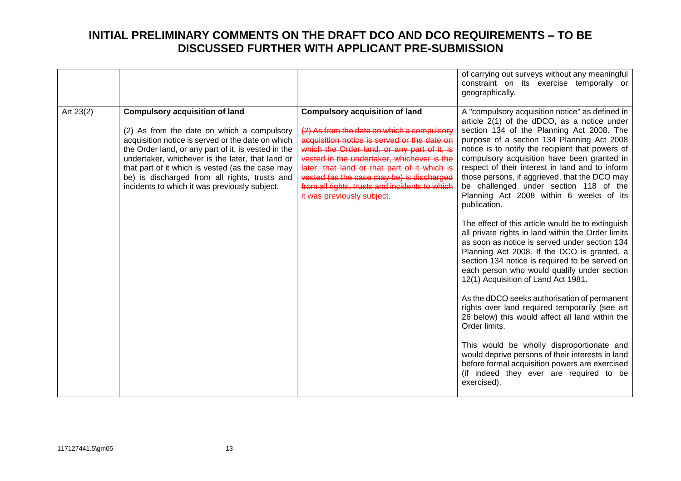|                                                                                                                                                                                                                                                                                                                                                                                                                        | of carrying out surveys without any meaningful<br>constraint on its exercise temporally or<br>geographically.                                                                                                                                                                                                                                                                                                                                                                                                                                                                                                                                                                                                                                                                                                                                                                                                                                                                                                                                                                                                                                                                                                                                                                                                                                                                                                                                                                                                                                                                                                                                               |
|------------------------------------------------------------------------------------------------------------------------------------------------------------------------------------------------------------------------------------------------------------------------------------------------------------------------------------------------------------------------------------------------------------------------|-------------------------------------------------------------------------------------------------------------------------------------------------------------------------------------------------------------------------------------------------------------------------------------------------------------------------------------------------------------------------------------------------------------------------------------------------------------------------------------------------------------------------------------------------------------------------------------------------------------------------------------------------------------------------------------------------------------------------------------------------------------------------------------------------------------------------------------------------------------------------------------------------------------------------------------------------------------------------------------------------------------------------------------------------------------------------------------------------------------------------------------------------------------------------------------------------------------------------------------------------------------------------------------------------------------------------------------------------------------------------------------------------------------------------------------------------------------------------------------------------------------------------------------------------------------------------------------------------------------------------------------------------------------|
| Art 23(2)<br><b>Compulsory acquisition of land</b><br>(2) As from the date on which a compulsory<br>acquisition notice is served or the date on which<br>the Order land, or any part of it, is vested in the<br>undertaker, whichever is the later, that land or<br>that part of it which is vested (as the case may<br>be) is discharged from all rights, trusts and<br>incidents to which it was previously subject. | A "compulsory acquisition notice" as defined in<br><b>Compulsory acquisition of land</b><br>article 2(1) of the dDCO, as a notice under<br>section 134 of the Planning Act 2008. The<br>(2) As from the date on which a compulsory<br>acquisition notice is served or the date on<br>purpose of a section 134 Planning Act 2008<br>which the Order land, or any part of it, is<br>notice is to notify the recipient that powers of<br>vested in the undertaker, whichever is the<br>compulsory acquisition have been granted in<br>respect of their interest in land and to inform<br>later, that land or that part of it which is<br>vested (as the case may be) is discharged<br>those persons, if aggrieved, that the DCO may<br>from all rights, trusts and incidents to which<br>be challenged under section 118 of the<br>it was previously subject.<br>Planning Act 2008 within 6 weeks of its<br>publication.<br>The effect of this article would be to extinguish<br>all private rights in land within the Order limits<br>as soon as notice is served under section 134<br>Planning Act 2008. If the DCO is granted, a<br>section 134 notice is required to be served on<br>each person who would qualify under section<br>12(1) Acquisition of Land Act 1981.<br>As the dDCO seeks authorisation of permanent<br>rights over land required temporarily (see art<br>26 below) this would affect all land within the<br>Order limits.<br>This would be wholly disproportionate and<br>would deprive persons of their interests in land<br>before formal acquisition powers are exercised<br>(if indeed they ever are required to be<br>exercised). |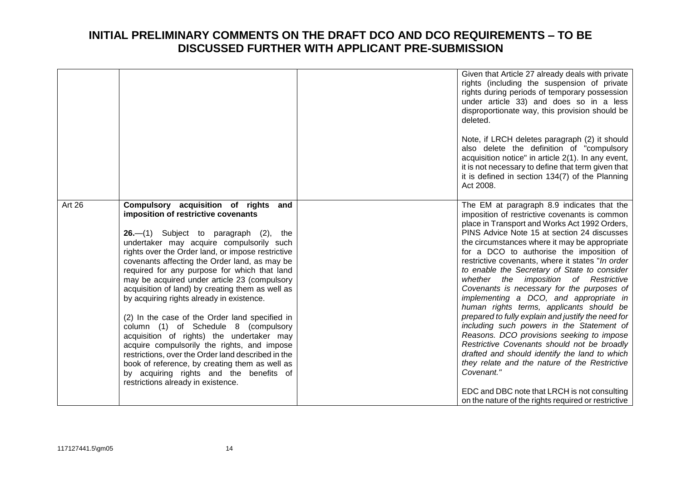|        |                                                                                                                                                                                                                                                                                                                                                                                                                                                                                                                                                                                                                                                                                                                                                                                                                                                                 | Given that Article 27 already deals with private<br>rights (including the suspension of private<br>rights during periods of temporary possession<br>under article 33) and does so in a less<br>disproportionate way, this provision should be<br>deleted.<br>Note, if LRCH deletes paragraph (2) it should<br>also delete the definition of "compulsory<br>acquisition notice" in article 2(1). In any event,<br>it is not necessary to define that term given that<br>it is defined in section 134(7) of the Planning<br>Act 2008.                                                                                                                                                                                                                                                                                                                                                                                                                                                             |
|--------|-----------------------------------------------------------------------------------------------------------------------------------------------------------------------------------------------------------------------------------------------------------------------------------------------------------------------------------------------------------------------------------------------------------------------------------------------------------------------------------------------------------------------------------------------------------------------------------------------------------------------------------------------------------------------------------------------------------------------------------------------------------------------------------------------------------------------------------------------------------------|-------------------------------------------------------------------------------------------------------------------------------------------------------------------------------------------------------------------------------------------------------------------------------------------------------------------------------------------------------------------------------------------------------------------------------------------------------------------------------------------------------------------------------------------------------------------------------------------------------------------------------------------------------------------------------------------------------------------------------------------------------------------------------------------------------------------------------------------------------------------------------------------------------------------------------------------------------------------------------------------------|
| Art 26 | Compulsory acquisition of rights<br>and<br>imposition of restrictive covenants<br>$26.$ $-$ (1) Subject to paragraph (2), the<br>undertaker may acquire compulsorily such<br>rights over the Order land, or impose restrictive<br>covenants affecting the Order land, as may be<br>required for any purpose for which that land<br>may be acquired under article 23 (compulsory<br>acquisition of land) by creating them as well as<br>by acquiring rights already in existence.<br>(2) In the case of the Order land specified in<br>column (1) of Schedule 8 (compulsory<br>acquisition of rights) the undertaker may<br>acquire compulsorily the rights, and impose<br>restrictions, over the Order land described in the<br>book of reference, by creating them as well as<br>by acquiring rights and the benefits of<br>restrictions already in existence. | The EM at paragraph 8.9 indicates that the<br>imposition of restrictive covenants is common<br>place in Transport and Works Act 1992 Orders,<br>PINS Advice Note 15 at section 24 discusses<br>the circumstances where it may be appropriate<br>for a DCO to authorise the imposition of<br>restrictive covenants, where it states "In order<br>to enable the Secretary of State to consider<br>whether the imposition of Restrictive<br>Covenants is necessary for the purposes of<br>implementing a DCO, and appropriate in<br>human rights terms, applicants should be<br>prepared to fully explain and justify the need for<br>including such powers in the Statement of<br>Reasons. DCO provisions seeking to impose<br>Restrictive Covenants should not be broadly<br>drafted and should identify the land to which<br>they relate and the nature of the Restrictive<br>Covenant."<br>EDC and DBC note that LRCH is not consulting<br>on the nature of the rights required or restrictive |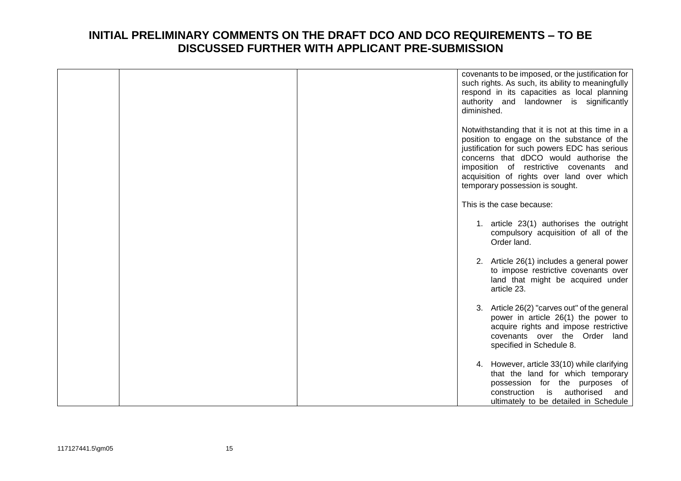|  | covenants to be imposed, or the justification for<br>such rights. As such, its ability to meaningfully<br>respond in its capacities as local planning<br>authority and landowner is significantly<br>diminished.                                                                                                         |
|--|--------------------------------------------------------------------------------------------------------------------------------------------------------------------------------------------------------------------------------------------------------------------------------------------------------------------------|
|  | Notwithstanding that it is not at this time in a<br>position to engage on the substance of the<br>justification for such powers EDC has serious<br>concerns that dDCO would authorise the<br>imposition of restrictive covenants<br>and<br>acquisition of rights over land over which<br>temporary possession is sought. |
|  | This is the case because:                                                                                                                                                                                                                                                                                                |
|  | 1. article 23(1) authorises the outright<br>compulsory acquisition of all of the<br>Order land.                                                                                                                                                                                                                          |
|  | 2. Article 26(1) includes a general power<br>to impose restrictive covenants over<br>land that might be acquired under<br>article 23.                                                                                                                                                                                    |
|  | 3. Article 26(2) "carves out" of the general<br>power in article 26(1) the power to<br>acquire rights and impose restrictive<br>covenants over the Order land<br>specified in Schedule 8.                                                                                                                                |
|  | 4. However, article 33(10) while clarifying<br>that the land for which temporary<br>possession for the purposes of<br>is<br>construction<br>authorised<br>and<br>ultimately to be detailed in Schedule                                                                                                                   |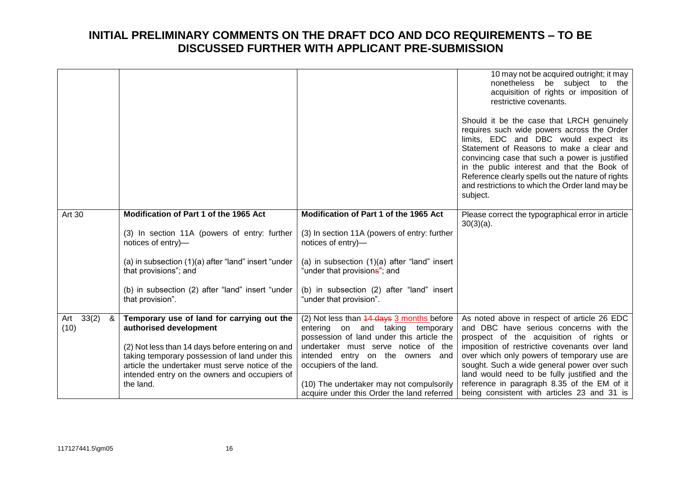|                   |                                                                                                   |                                                                                        | 10 may not be acquired outright; it may<br>nonetheless be subject to the<br>acquisition of rights or imposition of<br>restrictive covenants.<br>Should it be the case that LRCH genuinely<br>requires such wide powers across the Order<br>limits, EDC and DBC would expect its<br>Statement of Reasons to make a clear and<br>convincing case that such a power is justified<br>in the public interest and that the Book of<br>Reference clearly spells out the nature of rights<br>and restrictions to which the Order land may be<br>subject. |
|-------------------|---------------------------------------------------------------------------------------------------|----------------------------------------------------------------------------------------|--------------------------------------------------------------------------------------------------------------------------------------------------------------------------------------------------------------------------------------------------------------------------------------------------------------------------------------------------------------------------------------------------------------------------------------------------------------------------------------------------------------------------------------------------|
|                   |                                                                                                   |                                                                                        |                                                                                                                                                                                                                                                                                                                                                                                                                                                                                                                                                  |
| <b>Art 30</b>     | Modification of Part 1 of the 1965 Act                                                            | Modification of Part 1 of the 1965 Act                                                 | Please correct the typographical error in article<br>$30(3)(a)$ .                                                                                                                                                                                                                                                                                                                                                                                                                                                                                |
|                   | (3) In section 11A (powers of entry: further<br>notices of entry)-                                | (3) In section 11A (powers of entry: further<br>notices of entry)-                     |                                                                                                                                                                                                                                                                                                                                                                                                                                                                                                                                                  |
|                   | (a) in subsection $(1)(a)$ after "land" insert "under<br>that provisions"; and                    | (a) in subsection $(1)(a)$ after "land" insert<br>"under that provisions"; and         |                                                                                                                                                                                                                                                                                                                                                                                                                                                                                                                                                  |
|                   | (b) in subsection (2) after "land" insert "under<br>that provision".                              | (b) in subsection (2) after "land" insert<br>"under that provision".                   |                                                                                                                                                                                                                                                                                                                                                                                                                                                                                                                                                  |
| 33(2)<br>&<br>Art | Temporary use of land for carrying out the                                                        | (2) Not less than 44 days 3 months before                                              | As noted above in respect of article 26 EDC                                                                                                                                                                                                                                                                                                                                                                                                                                                                                                      |
| (10)              | authorised development                                                                            | entering on and taking temporary<br>possession of land under this article the          | and DBC have serious concerns with the<br>prospect of the acquisition of rights or                                                                                                                                                                                                                                                                                                                                                                                                                                                               |
|                   | (2) Not less than 14 days before entering on and                                                  | undertaker must serve notice of the                                                    | imposition of restrictive covenants over land                                                                                                                                                                                                                                                                                                                                                                                                                                                                                                    |
|                   | taking temporary possession of land under this<br>article the undertaker must serve notice of the | intended entry on the owners and<br>occupiers of the land.                             | over which only powers of temporary use are<br>sought. Such a wide general power over such                                                                                                                                                                                                                                                                                                                                                                                                                                                       |
|                   | intended entry on the owners and occupiers of                                                     |                                                                                        | land would need to be fully justified and the                                                                                                                                                                                                                                                                                                                                                                                                                                                                                                    |
|                   | the land.                                                                                         | (10) The undertaker may not compulsorily<br>acquire under this Order the land referred | reference in paragraph 8.35 of the EM of it<br>being consistent with articles 23 and 31 is                                                                                                                                                                                                                                                                                                                                                                                                                                                       |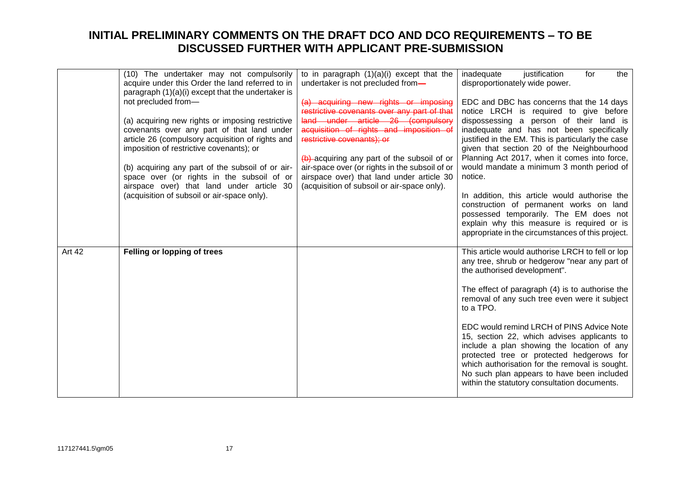|        | (10) The undertaker may not compulsorily<br>acquire under this Order the land referred to in<br>paragraph $(1)(a)(i)$ except that the undertaker is<br>not precluded from-<br>(a) acquiring new rights or imposing restrictive<br>covenants over any part of that land under<br>article 26 (compulsory acquisition of rights and<br>imposition of restrictive covenants); or<br>(b) acquiring any part of the subsoil of or air-<br>space over (or rights in the subsoil of or<br>airspace over) that land under article 30<br>(acquisition of subsoil or air-space only). | to in paragraph $(1)(a)(i)$ except that the<br>undertaker is not precluded from-<br>(a) acquiring new rights or imposing<br>restrictive covenants over any part of that<br>land under article 26 (compulsory<br>acquisition of rights and imposition of<br>restrictive covenants); or<br>$(b)$ -acquiring any part of the subsoil of or<br>air-space over (or rights in the subsoil of or<br>airspace over) that land under article 30<br>(acquisition of subsoil or air-space only). | inadequate<br>justification<br>the<br>for<br>disproportionately wide power.<br>EDC and DBC has concerns that the 14 days<br>notice LRCH is required to give before<br>dispossessing a person of their land is<br>inadequate and has not been specifically<br>justified in the EM. This is particularly the case<br>given that section 20 of the Neighbourhood<br>Planning Act 2017, when it comes into force,<br>would mandate a minimum 3 month period of<br>notice.<br>In addition, this article would authorise the<br>construction of permanent works on land<br>possessed temporarily. The EM does not<br>explain why this measure is required or is |
|--------|----------------------------------------------------------------------------------------------------------------------------------------------------------------------------------------------------------------------------------------------------------------------------------------------------------------------------------------------------------------------------------------------------------------------------------------------------------------------------------------------------------------------------------------------------------------------------|---------------------------------------------------------------------------------------------------------------------------------------------------------------------------------------------------------------------------------------------------------------------------------------------------------------------------------------------------------------------------------------------------------------------------------------------------------------------------------------|-----------------------------------------------------------------------------------------------------------------------------------------------------------------------------------------------------------------------------------------------------------------------------------------------------------------------------------------------------------------------------------------------------------------------------------------------------------------------------------------------------------------------------------------------------------------------------------------------------------------------------------------------------------|
| Art 42 | Felling or lopping of trees                                                                                                                                                                                                                                                                                                                                                                                                                                                                                                                                                |                                                                                                                                                                                                                                                                                                                                                                                                                                                                                       | appropriate in the circumstances of this project.<br>This article would authorise LRCH to fell or lop<br>any tree, shrub or hedgerow "near any part of<br>the authorised development".<br>The effect of paragraph (4) is to authorise the<br>removal of any such tree even were it subject<br>to a TPO.<br>EDC would remind LRCH of PINS Advice Note<br>15, section 22, which advises applicants to<br>include a plan showing the location of any<br>protected tree or protected hedgerows for<br>which authorisation for the removal is sought.<br>No such plan appears to have been included<br>within the statutory consultation documents.            |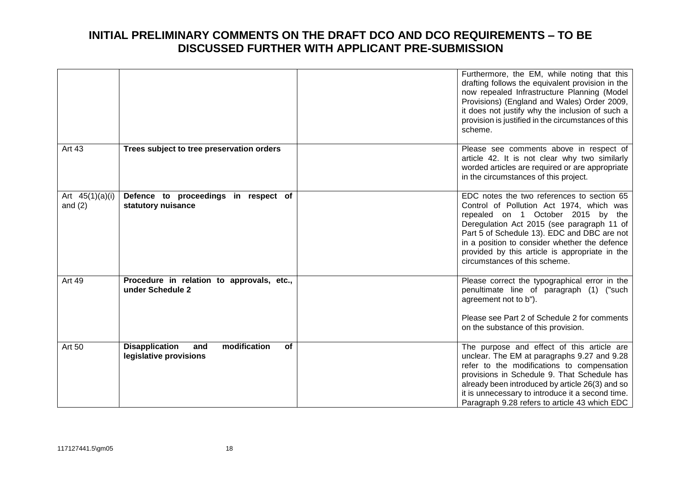|                                |                                                                              | Furthermore, the EM, while noting that this<br>drafting follows the equivalent provision in the<br>now repealed Infrastructure Planning (Model<br>Provisions) (England and Wales) Order 2009,<br>it does not justify why the inclusion of such a<br>provision is justified in the circumstances of this<br>scheme.                                           |
|--------------------------------|------------------------------------------------------------------------------|--------------------------------------------------------------------------------------------------------------------------------------------------------------------------------------------------------------------------------------------------------------------------------------------------------------------------------------------------------------|
| Art 43                         | Trees subject to tree preservation orders                                    | Please see comments above in respect of<br>article 42. It is not clear why two similarly<br>worded articles are required or are appropriate<br>in the circumstances of this project.                                                                                                                                                                         |
| Art $45(1)(a)(i)$<br>and $(2)$ | Defence to proceedings in respect of<br>statutory nuisance                   | EDC notes the two references to section 65<br>Control of Pollution Act 1974, which was<br>repealed on 1 October 2015 by the<br>Deregulation Act 2015 (see paragraph 11 of<br>Part 5 of Schedule 13). EDC and DBC are not<br>in a position to consider whether the defence<br>provided by this article is appropriate in the<br>circumstances of this scheme. |
| <b>Art 49</b>                  | Procedure in relation to approvals, etc.,<br>under Schedule 2                | Please correct the typographical error in the<br>penultimate line of paragraph (1) ("such<br>agreement not to b").<br>Please see Part 2 of Schedule 2 for comments<br>on the substance of this provision.                                                                                                                                                    |
| Art 50                         | <b>Disapplication</b><br>modification<br>of<br>and<br>legislative provisions | The purpose and effect of this article are<br>unclear. The EM at paragraphs 9.27 and 9.28<br>refer to the modifications to compensation<br>provisions in Schedule 9. That Schedule has<br>already been introduced by article 26(3) and so<br>it is unnecessary to introduce it a second time.<br>Paragraph 9.28 refers to article 43 which EDC               |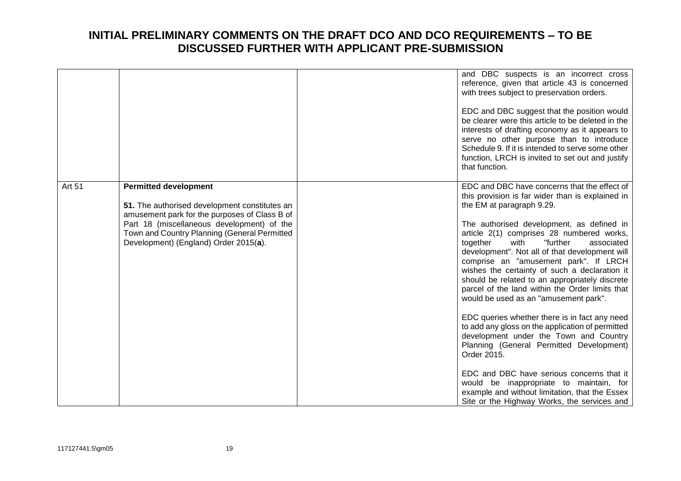|        |                                                                                                                                                                                                                                                                       | and DBC suspects is an incorrect cross<br>reference, given that article 43 is concerned<br>with trees subject to preservation orders.<br>EDC and DBC suggest that the position would<br>be clearer were this article to be deleted in the<br>interests of drafting economy as it appears to<br>serve no other purpose than to introduce<br>Schedule 9. If it is intended to serve some other<br>function, LRCH is invited to set out and justify<br>that function.                                                                                              |
|--------|-----------------------------------------------------------------------------------------------------------------------------------------------------------------------------------------------------------------------------------------------------------------------|-----------------------------------------------------------------------------------------------------------------------------------------------------------------------------------------------------------------------------------------------------------------------------------------------------------------------------------------------------------------------------------------------------------------------------------------------------------------------------------------------------------------------------------------------------------------|
|        |                                                                                                                                                                                                                                                                       |                                                                                                                                                                                                                                                                                                                                                                                                                                                                                                                                                                 |
| Art 51 | <b>Permitted development</b><br>51. The authorised development constitutes an<br>amusement park for the purposes of Class B of<br>Part 18 (miscellaneous development) of the<br>Town and Country Planning (General Permitted<br>Development) (England) Order 2015(a). | EDC and DBC have concerns that the effect of<br>this provision is far wider than is explained in<br>the EM at paragraph 9.29.<br>The authorised development, as defined in<br>article 2(1) comprises 28 numbered works,<br>together<br>with<br>"further<br>associated<br>development". Not all of that development will<br>comprise an "amusement park". If LRCH<br>wishes the certainty of such a declaration it<br>should be related to an appropriately discrete<br>parcel of the land within the Order limits that<br>would be used as an "amusement park". |
|        |                                                                                                                                                                                                                                                                       | EDC queries whether there is in fact any need<br>to add any gloss on the application of permitted<br>development under the Town and Country<br>Planning (General Permitted Development)<br>Order 2015.                                                                                                                                                                                                                                                                                                                                                          |
|        |                                                                                                                                                                                                                                                                       | EDC and DBC have serious concerns that it<br>would be inappropriate to maintain, for<br>example and without limitation, that the Essex<br>Site or the Highway Works, the services and                                                                                                                                                                                                                                                                                                                                                                           |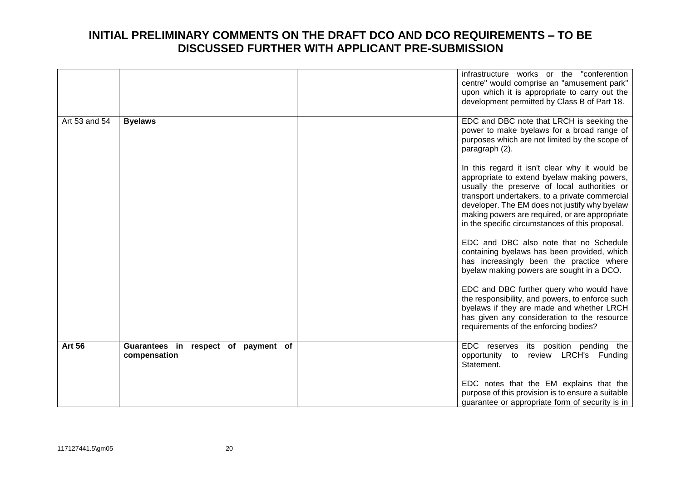|               |                                                        | infrastructure works or the "conferention<br>centre" would comprise an "amusement park"<br>upon which it is appropriate to carry out the<br>development permitted by Class B of Part 18.                                                                                                                                                             |
|---------------|--------------------------------------------------------|------------------------------------------------------------------------------------------------------------------------------------------------------------------------------------------------------------------------------------------------------------------------------------------------------------------------------------------------------|
| Art 53 and 54 | <b>Byelaws</b>                                         | EDC and DBC note that LRCH is seeking the<br>power to make byelaws for a broad range of<br>purposes which are not limited by the scope of<br>paragraph (2).                                                                                                                                                                                          |
|               |                                                        | In this regard it isn't clear why it would be<br>appropriate to extend byelaw making powers,<br>usually the preserve of local authorities or<br>transport undertakers, to a private commercial<br>developer. The EM does not justify why byelaw<br>making powers are required, or are appropriate<br>in the specific circumstances of this proposal. |
|               |                                                        | EDC and DBC also note that no Schedule<br>containing byelaws has been provided, which<br>has increasingly been the practice where<br>byelaw making powers are sought in a DCO.                                                                                                                                                                       |
|               |                                                        | EDC and DBC further query who would have<br>the responsibility, and powers, to enforce such<br>byelaws if they are made and whether LRCH<br>has given any consideration to the resource<br>requirements of the enforcing bodies?                                                                                                                     |
| <b>Art 56</b> | Guarantees in<br>respect of payment of<br>compensation | EDC reserves<br>its position pending the<br>review LRCH's Funding<br>opportunity<br>to<br>Statement.                                                                                                                                                                                                                                                 |
|               |                                                        | EDC notes that the EM explains that the<br>purpose of this provision is to ensure a suitable<br>guarantee or appropriate form of security is in                                                                                                                                                                                                      |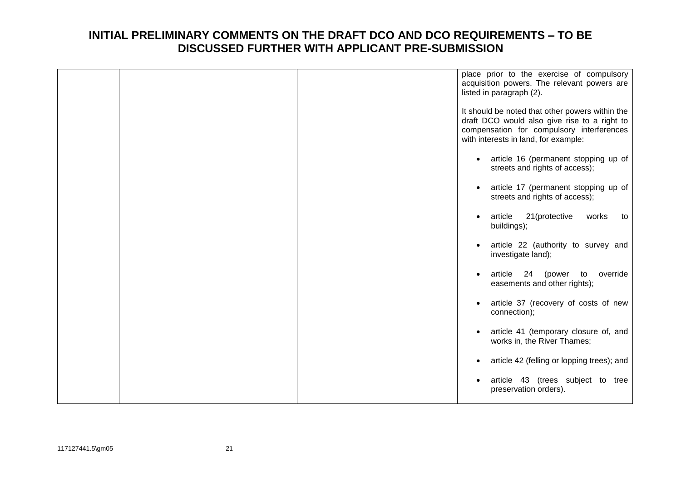|  | place prior to the exercise of compulsory<br>acquisition powers. The relevant powers are<br>listed in paragraph (2).                                                                 |
|--|--------------------------------------------------------------------------------------------------------------------------------------------------------------------------------------|
|  | It should be noted that other powers within the<br>draft DCO would also give rise to a right to<br>compensation for compulsory interferences<br>with interests in land, for example: |
|  | article 16 (permanent stopping up of<br>$\bullet$<br>streets and rights of access);                                                                                                  |
|  | article 17 (permanent stopping up of<br>$\bullet$<br>streets and rights of access);                                                                                                  |
|  | 21(protective<br>works<br>article<br>to<br>$\bullet$<br>buildings);                                                                                                                  |
|  | article 22 (authority to survey and<br>investigate land);                                                                                                                            |
|  | 24<br>article<br>(power<br>to<br>override<br>$\bullet$<br>easements and other rights);                                                                                               |
|  | article 37 (recovery of costs of new<br>$\bullet$<br>connection);                                                                                                                    |
|  | article 41 (temporary closure of, and<br>$\bullet$<br>works in, the River Thames;                                                                                                    |
|  | article 42 (felling or lopping trees); and                                                                                                                                           |
|  | article 43 (trees subject to tree<br>preservation orders).                                                                                                                           |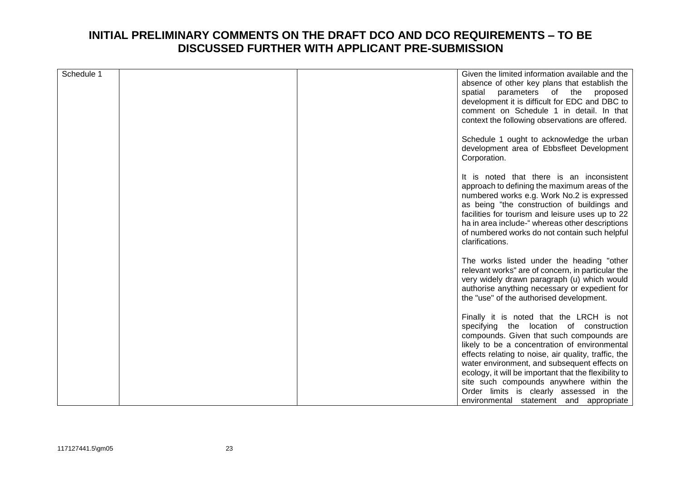| Schedule 1 |  | Given the limited information available and the<br>absence of other key plans that establish the<br>spatial<br>parameters of the<br>proposed<br>development it is difficult for EDC and DBC to<br>comment on Schedule 1 in detail. In that<br>context the following observations are offered.                                                                                                                                           |
|------------|--|-----------------------------------------------------------------------------------------------------------------------------------------------------------------------------------------------------------------------------------------------------------------------------------------------------------------------------------------------------------------------------------------------------------------------------------------|
|            |  | Schedule 1 ought to acknowledge the urban<br>development area of Ebbsfleet Development<br>Corporation.                                                                                                                                                                                                                                                                                                                                  |
|            |  | It is noted that there is an inconsistent<br>approach to defining the maximum areas of the<br>numbered works e.g. Work No.2 is expressed<br>as being "the construction of buildings and<br>facilities for tourism and leisure uses up to 22<br>ha in area include-" whereas other descriptions<br>of numbered works do not contain such helpful<br>clarifications.                                                                      |
|            |  | The works listed under the heading "other<br>relevant works" are of concern, in particular the<br>very widely drawn paragraph (u) which would<br>authorise anything necessary or expedient for<br>the "use" of the authorised development.                                                                                                                                                                                              |
|            |  | Finally it is noted that the LRCH is not<br>specifying the location of construction<br>compounds. Given that such compounds are<br>likely to be a concentration of environmental<br>effects relating to noise, air quality, traffic, the<br>water environment, and subsequent effects on<br>ecology, it will be important that the flexibility to<br>site such compounds anywhere within the<br>Order limits is clearly assessed in the |
|            |  | environmental statement and appropriate                                                                                                                                                                                                                                                                                                                                                                                                 |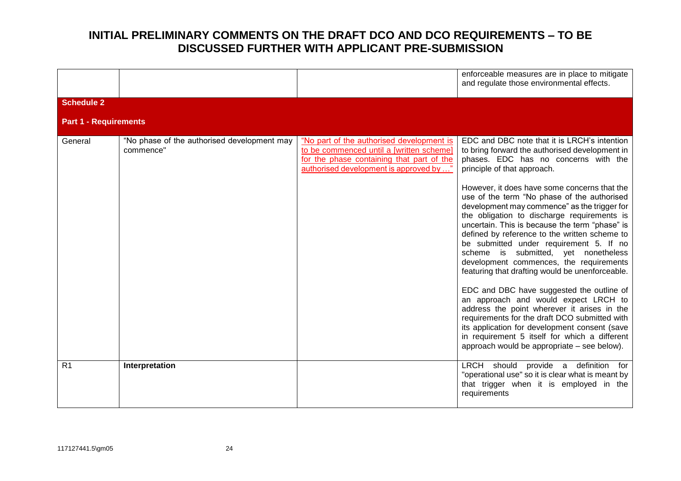|                              |                                                          |                                                                                                                                                                               | enforceable measures are in place to mitigate<br>and regulate those environmental effects.                                                                                                                                                                                                                                                                                                                                                                                     |
|------------------------------|----------------------------------------------------------|-------------------------------------------------------------------------------------------------------------------------------------------------------------------------------|--------------------------------------------------------------------------------------------------------------------------------------------------------------------------------------------------------------------------------------------------------------------------------------------------------------------------------------------------------------------------------------------------------------------------------------------------------------------------------|
| <b>Schedule 2</b>            |                                                          |                                                                                                                                                                               |                                                                                                                                                                                                                                                                                                                                                                                                                                                                                |
| <b>Part 1 - Requirements</b> |                                                          |                                                                                                                                                                               |                                                                                                                                                                                                                                                                                                                                                                                                                                                                                |
| General                      | "No phase of the authorised development may<br>commence" | "No part of the authorised development is<br>to be commenced until a [written scheme]<br>for the phase containing that part of the<br>authorised development is approved by " | EDC and DBC note that it is LRCH's intention<br>to bring forward the authorised development in<br>phases. EDC has no concerns with the<br>principle of that approach.                                                                                                                                                                                                                                                                                                          |
|                              |                                                          |                                                                                                                                                                               | However, it does have some concerns that the<br>use of the term "No phase of the authorised<br>development may commence" as the trigger for<br>the obligation to discharge requirements is<br>uncertain. This is because the term "phase" is<br>defined by reference to the written scheme to<br>be submitted under requirement 5. If no<br>scheme is submitted, yet nonetheless<br>development commences, the requirements<br>featuring that drafting would be unenforceable. |
|                              |                                                          |                                                                                                                                                                               | EDC and DBC have suggested the outline of<br>an approach and would expect LRCH to<br>address the point wherever it arises in the<br>requirements for the draft DCO submitted with<br>its application for development consent (save<br>in requirement 5 itself for which a different<br>approach would be appropriate – see below).                                                                                                                                             |
| R <sub>1</sub>               | Interpretation                                           |                                                                                                                                                                               | LRCH should provide a definition for<br>"operational use" so it is clear what is meant by<br>that trigger when it is employed in the<br>requirements                                                                                                                                                                                                                                                                                                                           |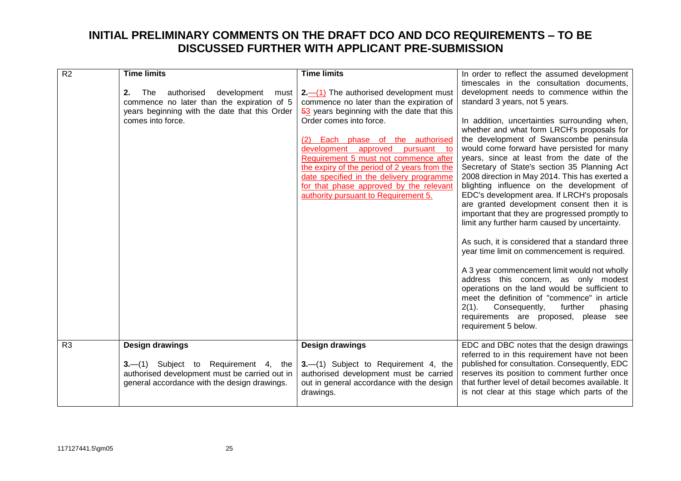| $\overline{R2}$ | <b>Time limits</b>                             | <b>Time limits</b>                           |                                                    |
|-----------------|------------------------------------------------|----------------------------------------------|----------------------------------------------------|
|                 |                                                |                                              | In order to reflect the assumed development        |
|                 |                                                |                                              | timescales in the consultation documents,          |
|                 | authorised<br>development<br>2.<br>The<br>must | $2-$ (1) The authorised development must     | development needs to commence within the           |
|                 | commence no later than the expiration of 5     | commence no later than the expiration of     | standard 3 years, not 5 years.                     |
|                 | years beginning with the date that this Order  | 53 years beginning with the date that this   |                                                    |
|                 | comes into force.                              | Order comes into force.                      | In addition, uncertainties surrounding when,       |
|                 |                                                |                                              | whether and what form LRCH's proposals for         |
|                 |                                                | <b>Each</b> phase of the authorised          | the development of Swanscombe peninsula            |
|                 |                                                | approved<br>development<br>pursuant to       | would come forward have persisted for many         |
|                 |                                                | Requirement 5 must not commence after        | years, since at least from the date of the         |
|                 |                                                | the expiry of the period of 2 years from the | Secretary of State's section 35 Planning Act       |
|                 |                                                | date specified in the delivery programme     | 2008 direction in May 2014. This has exerted a     |
|                 |                                                | for that phase approved by the relevant      | blighting influence on the development of          |
|                 |                                                | authority pursuant to Requirement 5.         | EDC's development area. If LRCH's proposals        |
|                 |                                                |                                              | are granted development consent then it is         |
|                 |                                                |                                              | important that they are progressed promptly to     |
|                 |                                                |                                              | limit any further harm caused by uncertainty.      |
|                 |                                                |                                              |                                                    |
|                 |                                                |                                              | As such, it is considered that a standard three    |
|                 |                                                |                                              | year time limit on commencement is required.       |
|                 |                                                |                                              |                                                    |
|                 |                                                |                                              | A 3 year commencement limit would not wholly       |
|                 |                                                |                                              | address this concern, as only modest               |
|                 |                                                |                                              | operations on the land would be sufficient to      |
|                 |                                                |                                              | meet the definition of "commence" in article       |
|                 |                                                |                                              | $2(1)$ .<br>Consequently,<br>further<br>phasing    |
|                 |                                                |                                              | requirements are proposed, please see              |
|                 |                                                |                                              | requirement 5 below.                               |
|                 |                                                |                                              |                                                    |
| R <sub>3</sub>  | <b>Design drawings</b>                         | Design drawings                              | EDC and DBC notes that the design drawings         |
|                 |                                                |                                              | referred to in this requirement have not been      |
|                 | 3.—(1) Subject to Requirement 4, the           | 3.-(1) Subject to Requirement 4, the         | published for consultation. Consequently, EDC      |
|                 | authorised development must be carried out in  | authorised development must be carried       | reserves its position to comment further once      |
|                 | general accordance with the design drawings.   | out in general accordance with the design    | that further level of detail becomes available. It |
|                 |                                                |                                              | is not clear at this stage which parts of the      |
|                 |                                                | drawings.                                    |                                                    |
|                 |                                                |                                              |                                                    |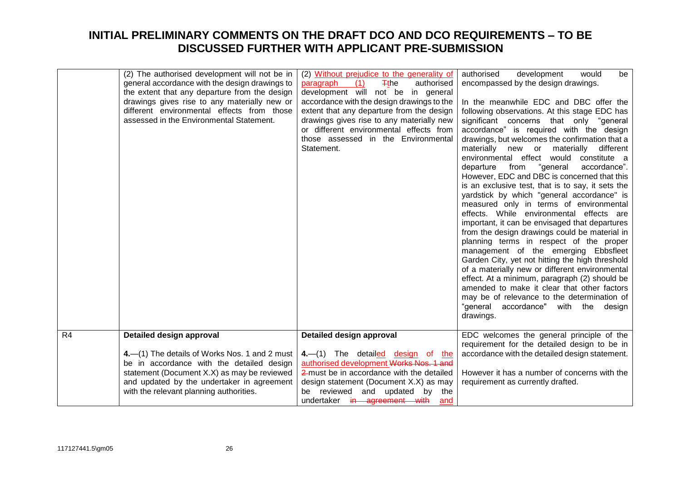|                | (2) The authorised development will not be in<br>general accordance with the design drawings to<br>the extent that any departure from the design<br>drawings gives rise to any materially new or<br>different environmental effects from those<br>assessed in the Environmental Statement. | (2) Without prejudice to the generality of<br>(1)<br>paragraph<br>$\mp$ the<br>authorised<br>development will not be in general<br>accordance with the design drawings to the<br>extent that any departure from the design<br>drawings gives rise to any materially new<br>or different environmental effects from<br>those assessed in the Environmental<br>Statement. | authorised<br>development<br>would<br>be<br>encompassed by the design drawings.<br>In the meanwhile EDC and DBC offer the<br>following observations. At this stage EDC has<br>significant concerns that only "general<br>accordance" is required with the design<br>drawings, but welcomes the confirmation that a<br>materially new or<br>materially<br>different<br>environmental effect would<br>constitute a<br>"general<br>accordance".<br>departure<br>from<br>However, EDC and DBC is concerned that this<br>is an exclusive test, that is to say, it sets the<br>yardstick by which "general accordance" is<br>measured only in terms of environmental<br>effects. While environmental effects are<br>important, it can be envisaged that departures<br>from the design drawings could be material in<br>planning terms in respect of the proper<br>management of the emerging Ebbsfleet<br>Garden City, yet not hitting the high threshold<br>of a materially new or different environmental<br>effect. At a minimum, paragraph (2) should be<br>amended to make it clear that other factors<br>may be of relevance to the determination of<br>"general accordance" with the design<br>drawings. |
|----------------|--------------------------------------------------------------------------------------------------------------------------------------------------------------------------------------------------------------------------------------------------------------------------------------------|-------------------------------------------------------------------------------------------------------------------------------------------------------------------------------------------------------------------------------------------------------------------------------------------------------------------------------------------------------------------------|-----------------------------------------------------------------------------------------------------------------------------------------------------------------------------------------------------------------------------------------------------------------------------------------------------------------------------------------------------------------------------------------------------------------------------------------------------------------------------------------------------------------------------------------------------------------------------------------------------------------------------------------------------------------------------------------------------------------------------------------------------------------------------------------------------------------------------------------------------------------------------------------------------------------------------------------------------------------------------------------------------------------------------------------------------------------------------------------------------------------------------------------------------------------------------------------------------------|
| R <sub>4</sub> | Detailed design approval<br>4. (1) The details of Works Nos. 1 and 2 must<br>be in accordance with the detailed design                                                                                                                                                                     | Detailed design approval<br>4.-(1) The detailed design of the<br>authorised development Works Nos. 1 and                                                                                                                                                                                                                                                                | EDC welcomes the general principle of the<br>requirement for the detailed design to be in<br>accordance with the detailed design statement.                                                                                                                                                                                                                                                                                                                                                                                                                                                                                                                                                                                                                                                                                                                                                                                                                                                                                                                                                                                                                                                               |
|                | statement (Document X.X) as may be reviewed<br>and updated by the undertaker in agreement<br>with the relevant planning authorities.                                                                                                                                                       | 2 must be in accordance with the detailed<br>design statement (Document X.X) as may<br>be reviewed and updated by<br>the<br>undertaker in agreement with<br>and                                                                                                                                                                                                         | However it has a number of concerns with the<br>requirement as currently drafted.                                                                                                                                                                                                                                                                                                                                                                                                                                                                                                                                                                                                                                                                                                                                                                                                                                                                                                                                                                                                                                                                                                                         |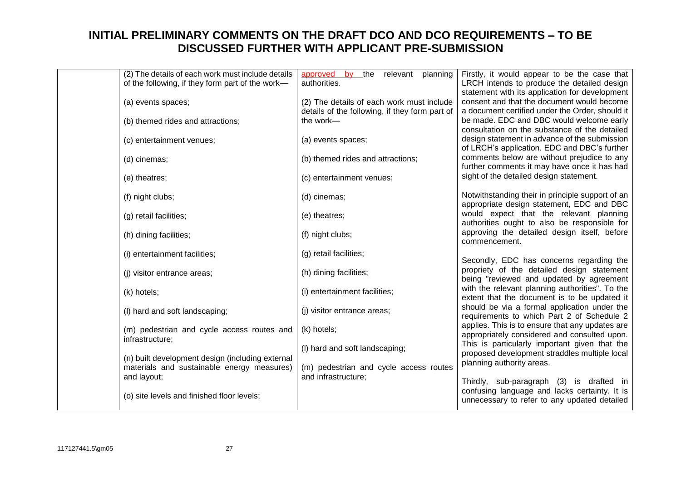| (2) The details of each work must include details<br>of the following, if they form part of the work- | approved by the relevant planning<br>authorities.                                           | Firstly, it would appear to be the case that<br>LRCH intends to produce the detailed design<br>statement with its application for development |
|-------------------------------------------------------------------------------------------------------|---------------------------------------------------------------------------------------------|-----------------------------------------------------------------------------------------------------------------------------------------------|
| (a) events spaces;                                                                                    | (2) The details of each work must include<br>details of the following, if they form part of | consent and that the document would become<br>a document certified under the Order, should it                                                 |
| (b) themed rides and attractions;                                                                     | the work-                                                                                   | be made. EDC and DBC would welcome early<br>consultation on the substance of the detailed                                                     |
| (c) entertainment venues;                                                                             | (a) events spaces;                                                                          | design statement in advance of the submission<br>of LRCH's application. EDC and DBC's further                                                 |
| (d) cinemas;                                                                                          | (b) themed rides and attractions;                                                           | comments below are without prejudice to any<br>further comments it may have once it has had                                                   |
| (e) theatres;                                                                                         | (c) entertainment venues;                                                                   | sight of the detailed design statement.                                                                                                       |
| (f) night clubs;                                                                                      | (d) cinemas;                                                                                | Notwithstanding their in principle support of an<br>appropriate design statement, EDC and DBC                                                 |
| (g) retail facilities;                                                                                | (e) theatres;                                                                               | would expect that the relevant planning<br>authorities ought to also be responsible for                                                       |
| (h) dining facilities;                                                                                | (f) night clubs;                                                                            | approving the detailed design itself, before<br>commencement.                                                                                 |
| (i) entertainment facilities;                                                                         | (g) retail facilities;                                                                      | Secondly, EDC has concerns regarding the                                                                                                      |
| (i) visitor entrance areas;                                                                           | (h) dining facilities;                                                                      | propriety of the detailed design statement<br>being "reviewed and updated by agreement                                                        |
| (k) hotels;                                                                                           | (i) entertainment facilities;                                                               | with the relevant planning authorities". To the<br>extent that the document is to be updated it                                               |
| (I) hard and soft landscaping;                                                                        | (i) visitor entrance areas;                                                                 | should be via a formal application under the<br>requirements to which Part 2 of Schedule 2                                                    |
| (m) pedestrian and cycle access routes and<br>infrastructure;                                         | (k) hotels;                                                                                 | applies. This is to ensure that any updates are<br>appropriately considered and consulted upon.                                               |
| (n) built development design (including external                                                      | (I) hard and soft landscaping;                                                              | This is particularly important given that the<br>proposed development straddles multiple local                                                |
| materials and sustainable energy measures)<br>and layout;                                             | (m) pedestrian and cycle access routes<br>and infrastructure;                               | planning authority areas.<br>Thirdly, sub-paragraph (3) is drafted in                                                                         |
| (o) site levels and finished floor levels;                                                            |                                                                                             | confusing language and lacks certainty. It is<br>unnecessary to refer to any updated detailed                                                 |
|                                                                                                       |                                                                                             |                                                                                                                                               |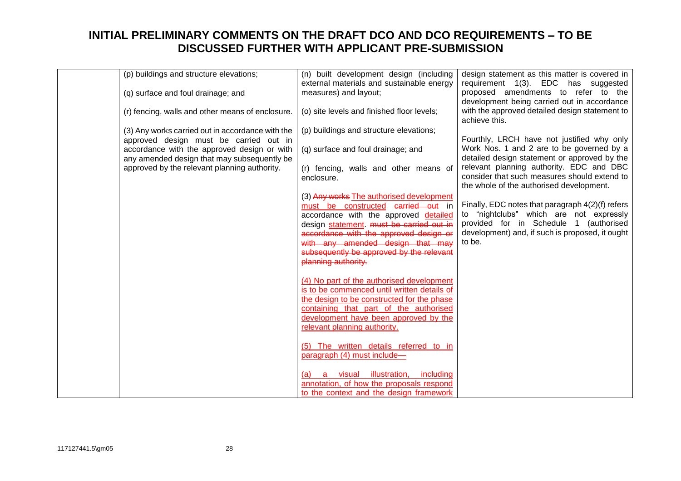| (p) buildings and structure elevations;          | (n) built development design (including     | design statement as this matter is covered in                                            |
|--------------------------------------------------|---------------------------------------------|------------------------------------------------------------------------------------------|
|                                                  | external materials and sustainable energy   | requirement 1(3). EDC has suggested                                                      |
| (q) surface and foul drainage; and               | measures) and layout;                       | proposed amendments to refer to the                                                      |
|                                                  |                                             | development being carried out in accordance                                              |
| (r) fencing, walls and other means of enclosure. | (o) site levels and finished floor levels;  | with the approved detailed design statement to                                           |
|                                                  |                                             | achieve this.                                                                            |
| (3) Any works carried out in accordance with the | (p) buildings and structure elevations;     |                                                                                          |
| approved design must be carried out in           |                                             | Fourthly, LRCH have not justified why only                                               |
| accordance with the approved design or with      | (q) surface and foul drainage; and          | Work Nos. 1 and 2 are to be governed by a                                                |
| any amended design that may subsequently be      |                                             | detailed design statement or approved by the<br>relevant planning authority. EDC and DBC |
| approved by the relevant planning authority.     | (r) fencing, walls and other means of       | consider that such measures should extend to                                             |
|                                                  | enclosure.                                  | the whole of the authorised development.                                                 |
|                                                  | (3) Any works The authorised development    |                                                                                          |
|                                                  | must be constructed carried out in          | Finally, EDC notes that paragraph 4(2)(f) refers                                         |
|                                                  | accordance with the approved detailed       | to "nightclubs" which are not expressly                                                  |
|                                                  | design statement. must be carried out in    | provided for in Schedule 1 (authorised                                                   |
|                                                  | accordance with the approved design or      | development) and, if such is proposed, it ought                                          |
|                                                  | with any amended design that may            | to be.                                                                                   |
|                                                  | subsequently be approved by the relevant    |                                                                                          |
|                                                  | planning authority.                         |                                                                                          |
|                                                  | (4) No part of the authorised development   |                                                                                          |
|                                                  | is to be commenced until written details of |                                                                                          |
|                                                  | the design to be constructed for the phase  |                                                                                          |
|                                                  | containing that part of the authorised      |                                                                                          |
|                                                  | development have been approved by the       |                                                                                          |
|                                                  | relevant planning authority.                |                                                                                          |
|                                                  |                                             |                                                                                          |
|                                                  | (5) The written details referred to in      |                                                                                          |
|                                                  | paragraph (4) must include-                 |                                                                                          |
|                                                  | a visual illustration, including<br>(a)     |                                                                                          |
|                                                  | annotation, of how the proposals respond    |                                                                                          |
|                                                  | to the context and the design framework     |                                                                                          |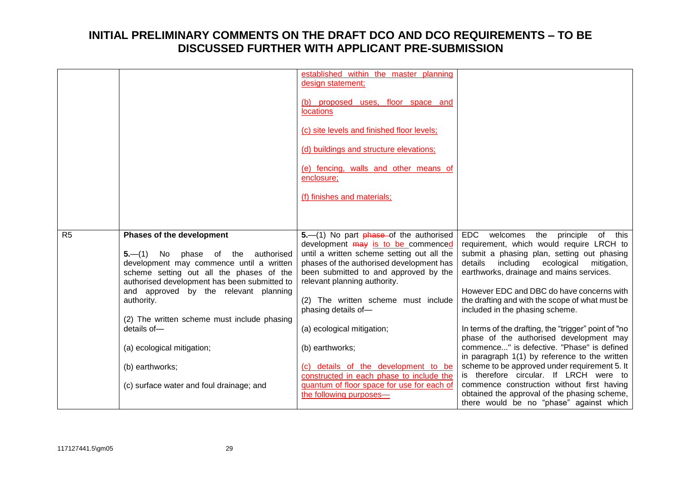|                |                                                                                                                                                                                                                                                                                                                                                                                         | established within the master planning<br>design statement;                                                                                                                                                                                                                                                                                                                                                                                             |                                                                                                                                                                                                                                                                                                                                                                                                                                                                                                                                                                                                                                                                                  |
|----------------|-----------------------------------------------------------------------------------------------------------------------------------------------------------------------------------------------------------------------------------------------------------------------------------------------------------------------------------------------------------------------------------------|---------------------------------------------------------------------------------------------------------------------------------------------------------------------------------------------------------------------------------------------------------------------------------------------------------------------------------------------------------------------------------------------------------------------------------------------------------|----------------------------------------------------------------------------------------------------------------------------------------------------------------------------------------------------------------------------------------------------------------------------------------------------------------------------------------------------------------------------------------------------------------------------------------------------------------------------------------------------------------------------------------------------------------------------------------------------------------------------------------------------------------------------------|
|                |                                                                                                                                                                                                                                                                                                                                                                                         | (b) proposed uses, floor space and<br><b>locations</b>                                                                                                                                                                                                                                                                                                                                                                                                  |                                                                                                                                                                                                                                                                                                                                                                                                                                                                                                                                                                                                                                                                                  |
|                |                                                                                                                                                                                                                                                                                                                                                                                         | (c) site levels and finished floor levels;                                                                                                                                                                                                                                                                                                                                                                                                              |                                                                                                                                                                                                                                                                                                                                                                                                                                                                                                                                                                                                                                                                                  |
|                |                                                                                                                                                                                                                                                                                                                                                                                         | (d) buildings and structure elevations;                                                                                                                                                                                                                                                                                                                                                                                                                 |                                                                                                                                                                                                                                                                                                                                                                                                                                                                                                                                                                                                                                                                                  |
|                |                                                                                                                                                                                                                                                                                                                                                                                         | (e) fencing, walls and other means of<br>enclosure;                                                                                                                                                                                                                                                                                                                                                                                                     |                                                                                                                                                                                                                                                                                                                                                                                                                                                                                                                                                                                                                                                                                  |
|                |                                                                                                                                                                                                                                                                                                                                                                                         | (f) finishes and materials;                                                                                                                                                                                                                                                                                                                                                                                                                             |                                                                                                                                                                                                                                                                                                                                                                                                                                                                                                                                                                                                                                                                                  |
|                |                                                                                                                                                                                                                                                                                                                                                                                         |                                                                                                                                                                                                                                                                                                                                                                                                                                                         |                                                                                                                                                                                                                                                                                                                                                                                                                                                                                                                                                                                                                                                                                  |
| R <sub>5</sub> | <b>Phases of the development</b><br>$5-(1)$ No phase of the<br>authorised<br>development may commence until a written<br>scheme setting out all the phases of the<br>authorised development has been submitted to<br>and approved by the relevant planning<br>authority.<br>(2) The written scheme must include phasing<br>details of-<br>(a) ecological mitigation;<br>(b) earthworks; | $5-$ (1) No part $phase$ -of the authorised<br>development may is to be commenced<br>until a written scheme setting out all the<br>phases of the authorised development has<br>been submitted to and approved by the<br>relevant planning authority.<br>(2) The written scheme must include<br>phasing details of-<br>(a) ecological mitigation;<br>(b) earthworks;<br>(c) details of the development to be<br>constructed in each phase to include the | <b>EDC</b><br>welcomes<br>the<br>principle<br>of this<br>requirement, which would require LRCH to<br>submit a phasing plan, setting out phasing<br>details<br>including<br>ecological<br>mitigation,<br>earthworks, drainage and mains services.<br>However EDC and DBC do have concerns with<br>the drafting and with the scope of what must be<br>included in the phasing scheme.<br>In terms of the drafting, the "trigger" point of "no<br>phase of the authorised development may<br>commence" is defective. "Phase" is defined<br>in paragraph 1(1) by reference to the written<br>scheme to be approved under requirement 5. It<br>is therefore circular. If LRCH were to |
|                | (c) surface water and foul drainage; and                                                                                                                                                                                                                                                                                                                                                | quantum of floor space for use for each of<br>the following purposes-                                                                                                                                                                                                                                                                                                                                                                                   | commence construction without first having<br>obtained the approval of the phasing scheme,<br>there would be no "phase" against which                                                                                                                                                                                                                                                                                                                                                                                                                                                                                                                                            |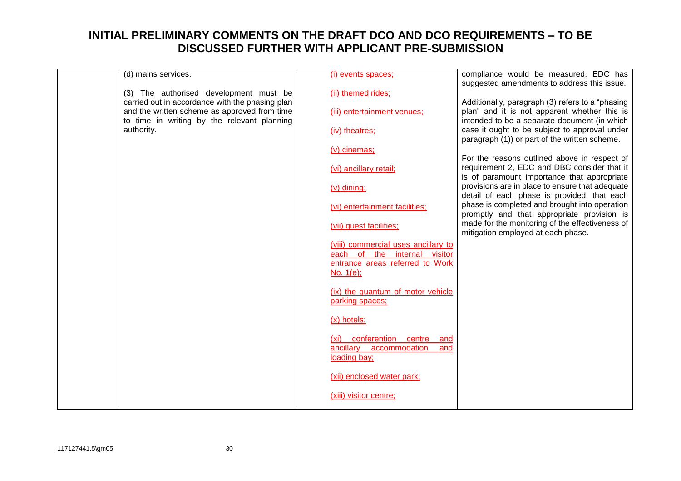| (d) mains services.                                                                         | (i) events spaces;                                                                | compliance would be measured. EDC has<br>suggested amendments to address this issue.           |
|---------------------------------------------------------------------------------------------|-----------------------------------------------------------------------------------|------------------------------------------------------------------------------------------------|
| (3) The authorised development must be<br>carried out in accordance with the phasing plan   | (ii) themed rides;                                                                | Additionally, paragraph (3) refers to a "phasing                                               |
| and the written scheme as approved from time<br>to time in writing by the relevant planning | (iii) entertainment venues;                                                       | plan" and it is not apparent whether this is<br>intended to be a separate document (in which   |
| authority.                                                                                  | (iv) theatres;                                                                    | case it ought to be subject to approval under<br>paragraph (1)) or part of the written scheme. |
|                                                                                             | (v) cinemas;                                                                      | For the reasons outlined above in respect of                                                   |
|                                                                                             | (vi) ancillary retail;                                                            | requirement 2, EDC and DBC consider that it<br>is of paramount importance that appropriate     |
|                                                                                             | $(v)$ dining;                                                                     | provisions are in place to ensure that adequate<br>detail of each phase is provided, that each |
|                                                                                             | (vi) entertainment facilities;                                                    | phase is completed and brought into operation<br>promptly and that appropriate provision is    |
|                                                                                             | (vii) guest facilities;                                                           | made for the monitoring of the effectiveness of<br>mitigation employed at each phase.          |
|                                                                                             | (viii) commercial uses ancillary to<br>each of the internal visitor               |                                                                                                |
|                                                                                             | entrance areas referred to Work<br>$No. 1(e)$ ;                                   |                                                                                                |
|                                                                                             | (ix) the quantum of motor vehicle<br>parking spaces;                              |                                                                                                |
|                                                                                             | (x) hotels;                                                                       |                                                                                                |
|                                                                                             | (xi) conferention centre<br>and<br>ancillary accommodation<br>and<br>loading bay; |                                                                                                |
|                                                                                             | (xii) enclosed water park;                                                        |                                                                                                |
|                                                                                             | (xiii) visitor centre;                                                            |                                                                                                |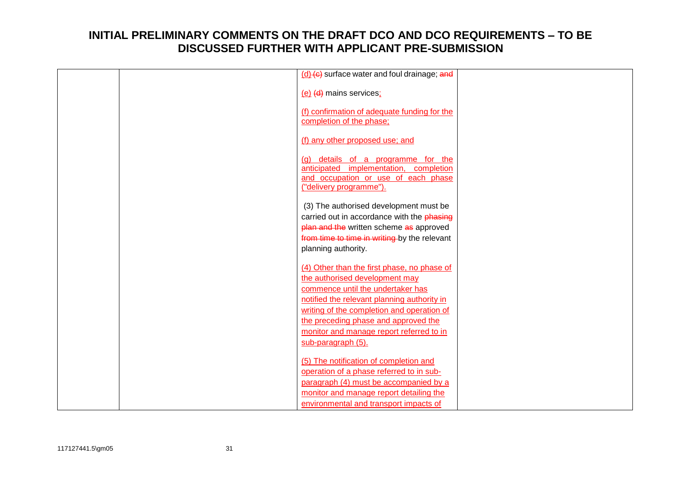|  | (d) (e) surface water and foul drainage; and                                       |  |
|--|------------------------------------------------------------------------------------|--|
|  | (e) (d) mains services;                                                            |  |
|  | (f) confirmation of adequate funding for the                                       |  |
|  | completion of the phase;                                                           |  |
|  |                                                                                    |  |
|  | (f) any other proposed use; and                                                    |  |
|  | details of a programme for the<br>(a)                                              |  |
|  | anticipated implementation, completion                                             |  |
|  | and occupation or use of each phase<br>("delivery programme").                     |  |
|  |                                                                                    |  |
|  | (3) The authorised development must be                                             |  |
|  | carried out in accordance with the phasing                                         |  |
|  | plan and the written scheme as approved                                            |  |
|  | from time to time in writing by the relevant<br>planning authority.                |  |
|  |                                                                                    |  |
|  | (4) Other than the first phase, no phase of                                        |  |
|  | the authorised development may                                                     |  |
|  | commence until the undertaker has                                                  |  |
|  | notified the relevant planning authority in                                        |  |
|  | writing of the completion and operation of<br>the preceding phase and approved the |  |
|  | monitor and manage report referred to in                                           |  |
|  | sub-paragraph (5).                                                                 |  |
|  |                                                                                    |  |
|  | (5) The notification of completion and                                             |  |
|  | operation of a phase referred to in sub-                                           |  |
|  | paragraph (4) must be accompanied by a<br>monitor and manage report detailing the  |  |
|  | environmental and transport impacts of                                             |  |
|  |                                                                                    |  |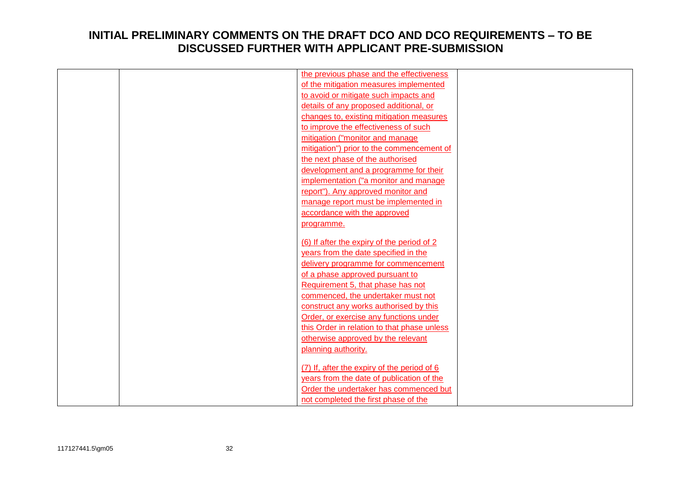|  | the previous phase and the effectiveness    |  |
|--|---------------------------------------------|--|
|  | of the mitigation measures implemented      |  |
|  | to avoid or mitigate such impacts and       |  |
|  | details of any proposed additional, or      |  |
|  | changes to, existing mitigation measures    |  |
|  | to improve the effectiveness of such        |  |
|  | mitigation ("monitor and manage             |  |
|  | mitigation") prior to the commencement of   |  |
|  | the next phase of the authorised            |  |
|  | development and a programme for their       |  |
|  | implementation ("a monitor and manage       |  |
|  | report"). Any approved monitor and          |  |
|  | manage report must be implemented in        |  |
|  | accordance with the approved                |  |
|  | programme.                                  |  |
|  |                                             |  |
|  | (6) If after the expiry of the period of 2  |  |
|  | years from the date specified in the        |  |
|  | delivery programme for commencement         |  |
|  | of a phase approved pursuant to             |  |
|  | Requirement 5, that phase has not           |  |
|  | commenced, the undertaker must not          |  |
|  | construct any works authorised by this      |  |
|  | Order, or exercise any functions under      |  |
|  | this Order in relation to that phase unless |  |
|  | otherwise approved by the relevant          |  |
|  | planning authority.                         |  |
|  |                                             |  |
|  | (7) If, after the expiry of the period of 6 |  |
|  | years from the date of publication of the   |  |
|  | Order the undertaker has commenced but      |  |
|  | not completed the first phase of the        |  |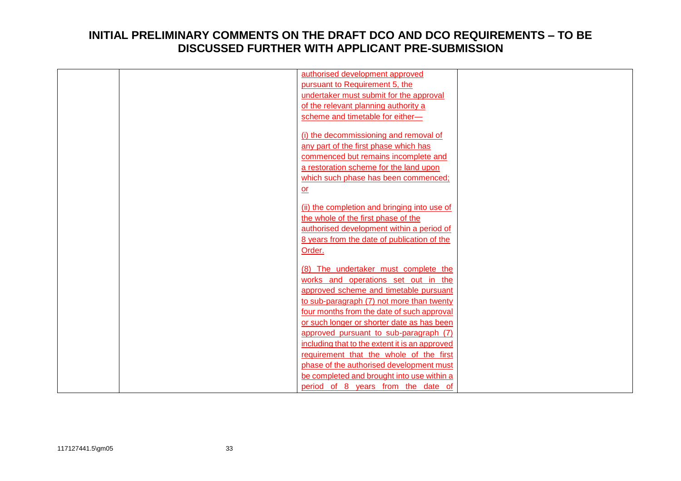|  | authorised development approved                |  |
|--|------------------------------------------------|--|
|  | pursuant to Requirement 5, the                 |  |
|  | undertaker must submit for the approval        |  |
|  | of the relevant planning authority a           |  |
|  | scheme and timetable for either-               |  |
|  |                                                |  |
|  | (i) the decommissioning and removal of         |  |
|  | any part of the first phase which has          |  |
|  | commenced but remains incomplete and           |  |
|  | a restoration scheme for the land upon         |  |
|  | which such phase has been commenced;           |  |
|  | $or$                                           |  |
|  |                                                |  |
|  | (ii) the completion and bringing into use of   |  |
|  | the whole of the first phase of the            |  |
|  | authorised development within a period of      |  |
|  | 8 years from the date of publication of the    |  |
|  | Order.                                         |  |
|  | (8) The undertaker must complete the           |  |
|  | works and operations set out in the            |  |
|  | approved scheme and timetable pursuant         |  |
|  | to sub-paragraph (7) not more than twenty      |  |
|  | four months from the date of such approval     |  |
|  | or such longer or shorter date as has been     |  |
|  |                                                |  |
|  | approved pursuant to sub-paragraph (7)         |  |
|  | including that to the extent it is an approved |  |
|  | requirement that the whole of the first        |  |
|  | phase of the authorised development must       |  |
|  | be completed and brought into use within a     |  |
|  | period of 8 years from the date of             |  |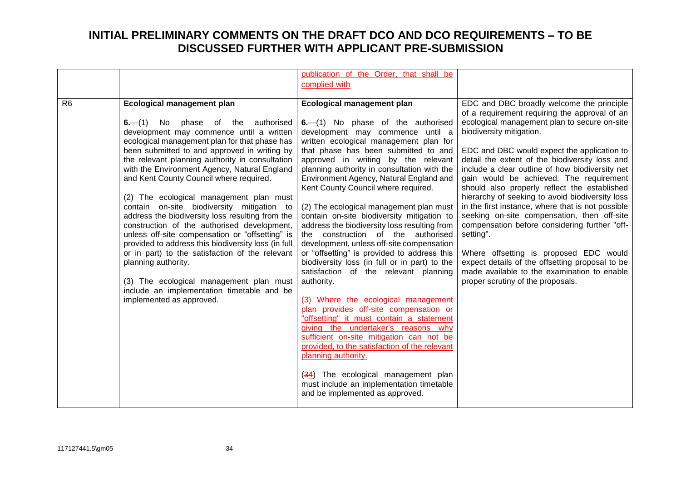|                |                                                                                                | publication of the Order, that shall be                                            |                                                                                              |
|----------------|------------------------------------------------------------------------------------------------|------------------------------------------------------------------------------------|----------------------------------------------------------------------------------------------|
|                |                                                                                                | complied with                                                                      |                                                                                              |
|                |                                                                                                |                                                                                    |                                                                                              |
| R <sub>6</sub> | <b>Ecological management plan</b>                                                              | <b>Ecological management plan</b>                                                  | EDC and DBC broadly welcome the principle<br>of a requirement requiring the approval of an   |
|                | $6 - (1)$ No phase of the<br>authorised                                                        | $6- (1)$ No phase of the authorised                                                | ecological management plan to secure on-site                                                 |
|                | development may commence until a written                                                       | development may commence until a                                                   | biodiversity mitigation.                                                                     |
|                | ecological management plan for that phase has                                                  | written ecological management plan for                                             |                                                                                              |
|                | been submitted to and approved in writing by                                                   | that phase has been submitted to and                                               | EDC and DBC would expect the application to                                                  |
|                | the relevant planning authority in consultation                                                | approved in writing by the relevant                                                | detail the extent of the biodiversity loss and                                               |
|                | with the Environment Agency, Natural England                                                   | planning authority in consultation with the                                        | include a clear outline of how biodiversity net                                              |
|                | and Kent County Council where required.                                                        | Environment Agency, Natural England and                                            | gain would be achieved. The requirement                                                      |
|                |                                                                                                | Kent County Council where required.                                                | should also properly reflect the established                                                 |
|                | (2) The ecological management plan must                                                        |                                                                                    | hierarchy of seeking to avoid biodiversity loss                                              |
|                | contain on-site biodiversity mitigation to                                                     | (2) The ecological management plan must                                            | in the first instance, where that is not possible                                            |
|                | address the biodiversity loss resulting from the                                               | contain on-site biodiversity mitigation to                                         | seeking on-site compensation, then off-site<br>compensation before considering further "off- |
|                | construction of the authorised development,<br>unless off-site compensation or "offsetting" is | address the biodiversity loss resulting from<br>the construction of the authorised | setting".                                                                                    |
|                | provided to address this biodiversity loss (in full                                            | development, unless off-site compensation                                          |                                                                                              |
|                | or in part) to the satisfaction of the relevant                                                | or "offsetting" is provided to address this                                        | Where offsetting is proposed EDC would                                                       |
|                | planning authority.                                                                            | biodiversity loss (in full or in part) to the                                      | expect details of the offsetting proposal to be                                              |
|                |                                                                                                | satisfaction of the relevant planning                                              | made available to the examination to enable                                                  |
|                | (3) The ecological management plan must                                                        | authority.                                                                         | proper scrutiny of the proposals.                                                            |
|                | include an implementation timetable and be                                                     |                                                                                    |                                                                                              |
|                | implemented as approved.                                                                       | (3) Where the ecological management                                                |                                                                                              |
|                |                                                                                                | plan provides off-site compensation or                                             |                                                                                              |
|                |                                                                                                | "offsetting" it must contain a statement<br>giving the undertaker's reasons why    |                                                                                              |
|                |                                                                                                | sufficient on-site mitigation can not be                                           |                                                                                              |
|                |                                                                                                | provided, to the satisfaction of the relevant                                      |                                                                                              |
|                |                                                                                                | planning authority.                                                                |                                                                                              |
|                |                                                                                                |                                                                                    |                                                                                              |
|                |                                                                                                | (34) The ecological management plan                                                |                                                                                              |
|                |                                                                                                | must include an implementation timetable                                           |                                                                                              |
|                |                                                                                                | and be implemented as approved.                                                    |                                                                                              |
|                |                                                                                                |                                                                                    |                                                                                              |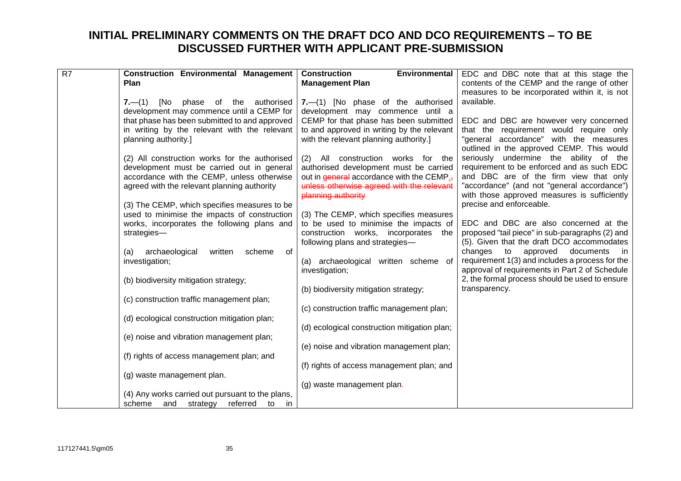| $\overline{R7}$ | <b>Construction Environmental Management</b>     | Environmental<br><b>Construction</b>         | EDC and DBC note that at this stage the         |
|-----------------|--------------------------------------------------|----------------------------------------------|-------------------------------------------------|
|                 | <b>Plan</b>                                      | <b>Management Plan</b>                       | contents of the CEMP and the range of other     |
|                 |                                                  |                                              | measures to be incorporated within it, is not   |
|                 | [No<br>phase of the authorised<br>$7 - (1)$      | 7.-(1) [No phase of the authorised           | available.                                      |
|                 | development may commence until a CEMP for        | development may commence until a             |                                                 |
|                 | that phase has been submitted to and approved    | CEMP for that phase has been submitted       | EDC and DBC are however very concerned          |
|                 | in writing by the relevant with the relevant     | to and approved in writing by the relevant   | that the requirement would require only         |
|                 | planning authority.]                             | with the relevant planning authority.]       | "general accordance" with the measures          |
|                 |                                                  |                                              | outlined in the approved CEMP. This would       |
|                 | (2) All construction works for the authorised    | (2) All construction works for the           | seriously undermine the ability of the          |
|                 | development must be carried out in general       | authorised development must be carried       | requirement to be enforced and as such EDC      |
|                 | accordance with the CEMP, unless otherwise       | out in general accordance with the CEMP.     | and DBC are of the firm view that only          |
|                 | agreed with the relevant planning authority      | unless otherwise agreed with the relevant    | "accordance" (and not "general accordance")     |
|                 |                                                  | planning authority                           | with those approved measures is sufficiently    |
|                 | (3) The CEMP, which specifies measures to be     |                                              | precise and enforceable.                        |
|                 | used to minimise the impacts of construction     | (3) The CEMP, which specifies measures       |                                                 |
|                 | works, incorporates the following plans and      | to be used to minimise the impacts of        | EDC and DBC are also concerned at the           |
|                 | strategies-                                      | construction works, incorporates the         | proposed "tail piece" in sub-paragraphs (2) and |
|                 |                                                  | following plans and strategies-              | (5). Given that the draft DCO accommodates      |
|                 | archaeological<br>written<br>scheme<br>of<br>(a) |                                              | changes to<br>approved documents in             |
|                 | investigation;                                   | (a) archaeological written scheme of         | requirement 1(3) and includes a process for the |
|                 |                                                  | investigation;                               | approval of requirements in Part 2 of Schedule  |
|                 | (b) biodiversity mitigation strategy;            |                                              | 2, the formal process should be used to ensure  |
|                 |                                                  | (b) biodiversity mitigation strategy;        | transparency.                                   |
|                 | (c) construction traffic management plan;        |                                              |                                                 |
|                 |                                                  | (c) construction traffic management plan;    |                                                 |
|                 | (d) ecological construction mitigation plan;     |                                              |                                                 |
|                 |                                                  | (d) ecological construction mitigation plan; |                                                 |
|                 | (e) noise and vibration management plan;         |                                              |                                                 |
|                 |                                                  | (e) noise and vibration management plan;     |                                                 |
|                 | (f) rights of access management plan; and        |                                              |                                                 |
|                 |                                                  | (f) rights of access management plan; and    |                                                 |
|                 | (g) waste management plan.                       |                                              |                                                 |
|                 |                                                  | (g) waste management plan.                   |                                                 |
|                 | (4) Any works carried out pursuant to the plans, |                                              |                                                 |
|                 | scheme<br>and strategy<br>referred<br>to<br>in.  |                                              |                                                 |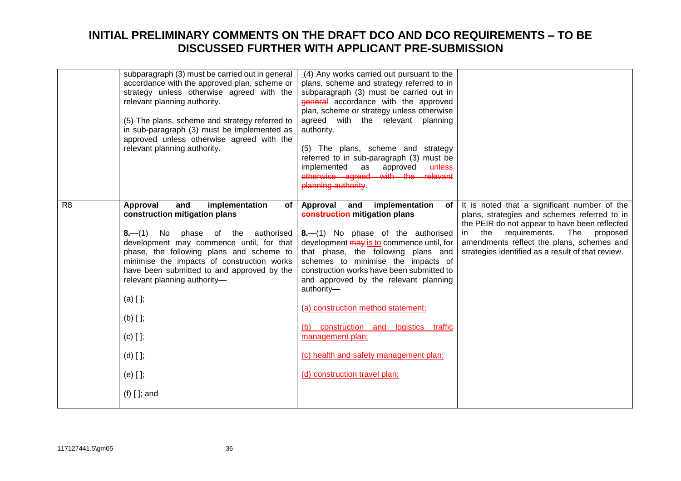|                | subparagraph (3) must be carried out in general<br>accordance with the approved plan, scheme or<br>strategy unless otherwise agreed with the<br>relevant planning authority.<br>(5) The plans, scheme and strategy referred to<br>in sub-paragraph (3) must be implemented as<br>approved unless otherwise agreed with the<br>relevant planning authority.                                                                       | (4) Any works carried out pursuant to the<br>plans, scheme and strategy referred to in<br>subparagraph (3) must be carried out in<br>general accordance with the approved<br>plan, scheme or strategy unless otherwise<br>agreed with the relevant planning<br>authority.<br>(5) The plans, scheme and strategy<br>referred to in sub-paragraph (3) must be<br>approved-unless<br>implemented<br>as<br>otherwise agreed with the relevant<br>planning authority.                                                             |                                                                                                                                                                                                                                                                                                  |
|----------------|----------------------------------------------------------------------------------------------------------------------------------------------------------------------------------------------------------------------------------------------------------------------------------------------------------------------------------------------------------------------------------------------------------------------------------|------------------------------------------------------------------------------------------------------------------------------------------------------------------------------------------------------------------------------------------------------------------------------------------------------------------------------------------------------------------------------------------------------------------------------------------------------------------------------------------------------------------------------|--------------------------------------------------------------------------------------------------------------------------------------------------------------------------------------------------------------------------------------------------------------------------------------------------|
| R <sub>8</sub> | Approval<br>implementation<br>and<br>of<br>construction mitigation plans<br>8.-(1) No phase of the authorised<br>development may commence until, for that<br>phase, the following plans and scheme to<br>minimise the impacts of construction works<br>have been submitted to and approved by the<br>relevant planning authority-<br>$(a)$ [ ];<br>$(b)$ $[$ $]$ ;<br>$(c)$ [ ];<br>$(d)$ $[]$ ;<br>$(e)$ [ ];<br>$(f)$ [ ]; and | Approval<br>implementation<br>and<br>of l<br>construction mitigation plans<br>8.-(1) No phase of the authorised<br>development may is to commence until, for<br>that phase, the following plans and<br>schemes to minimise the impacts of<br>construction works have been submitted to<br>and approved by the relevant planning<br>authority-<br>(a) construction method statement;<br>(b) construction and logistics traffic<br>management plan;<br>(c) health and safety management plan;<br>(d) construction travel plan; | It is noted that a significant number of the<br>plans, strategies and schemes referred to in<br>the PEIR do not appear to have been reflected<br>requirements.<br>the<br>The<br>proposed<br>in<br>amendments reflect the plans, schemes and<br>strategies identified as a result of that review. |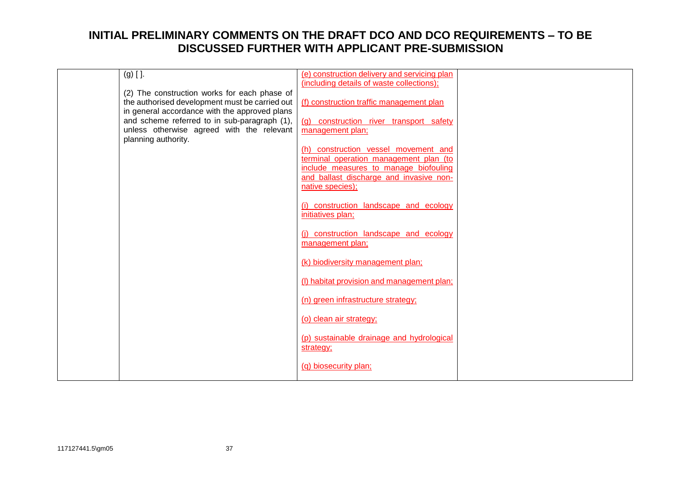| $(g)$ [ ].                                                                                | (e) construction delivery and servicing plan                                     |  |
|-------------------------------------------------------------------------------------------|----------------------------------------------------------------------------------|--|
| (2) The construction works for each phase of                                              | (including details of waste collections);                                        |  |
| the authorised development must be carried out                                            | (f) construction traffic management plan                                         |  |
| in general accordance with the approved plans                                             |                                                                                  |  |
| and scheme referred to in sub-paragraph (1),<br>unless otherwise agreed with the relevant | (g) construction river transport safety<br>management plan;                      |  |
| planning authority.                                                                       |                                                                                  |  |
|                                                                                           | (h) construction vessel movement and                                             |  |
|                                                                                           | terminal operation management plan (to                                           |  |
|                                                                                           | include measures to manage biofouling<br>and ballast discharge and invasive non- |  |
|                                                                                           | native species);                                                                 |  |
|                                                                                           |                                                                                  |  |
|                                                                                           | (i) construction landscape and ecology<br>initiatives plan;                      |  |
|                                                                                           |                                                                                  |  |
|                                                                                           | (i) construction landscape and ecology                                           |  |
|                                                                                           | management plan;                                                                 |  |
|                                                                                           | (k) biodiversity management plan;                                                |  |
|                                                                                           | (I) habitat provision and management plan;                                       |  |
|                                                                                           |                                                                                  |  |
|                                                                                           | (n) green infrastructure strategy;                                               |  |
|                                                                                           | (o) clean air strategy;                                                          |  |
|                                                                                           | (p) sustainable drainage and hydrological                                        |  |
|                                                                                           | strategy;                                                                        |  |
|                                                                                           | (q) biosecurity plan;                                                            |  |
|                                                                                           |                                                                                  |  |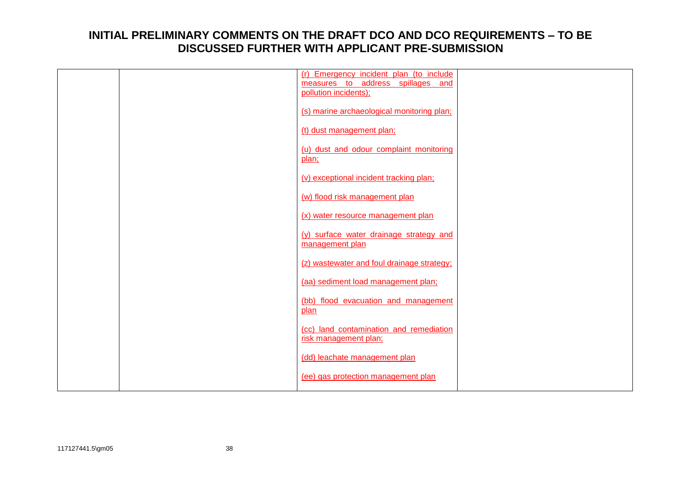|  | (r) Emergency incident plan (to include    |  |
|--|--------------------------------------------|--|
|  | measures to address spillages and          |  |
|  | pollution incidents);                      |  |
|  |                                            |  |
|  | (s) marine archaeological monitoring plan; |  |
|  |                                            |  |
|  | (t) dust management plan;                  |  |
|  | (u) dust and odour complaint monitoring    |  |
|  | plan;                                      |  |
|  |                                            |  |
|  | (v) exceptional incident tracking plan;    |  |
|  |                                            |  |
|  | (w) flood risk management plan             |  |
|  |                                            |  |
|  | (x) water resource management plan         |  |
|  |                                            |  |
|  | (y) surface water drainage strategy and    |  |
|  | management plan                            |  |
|  |                                            |  |
|  | (z) wastewater and foul drainage strategy; |  |
|  |                                            |  |
|  | (aa) sediment load management plan;        |  |
|  | (bb) flood evacuation and management       |  |
|  | plan                                       |  |
|  |                                            |  |
|  | (cc) land contamination and remediation    |  |
|  | risk management plan;                      |  |
|  |                                            |  |
|  | (dd) leachate management plan              |  |
|  |                                            |  |
|  | (ee) gas protection management plan        |  |
|  |                                            |  |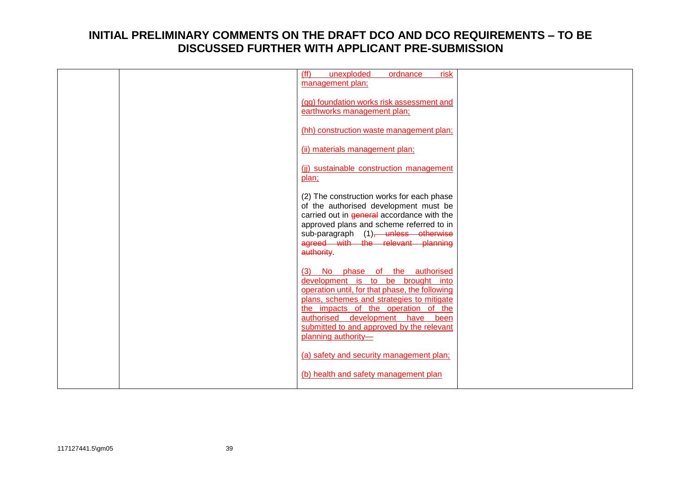| (ff)<br>unexploded<br>risk<br>ordnance<br>management plan;                                                                                                                                                                                                                                                              |  |
|-------------------------------------------------------------------------------------------------------------------------------------------------------------------------------------------------------------------------------------------------------------------------------------------------------------------------|--|
| (gg) foundation works risk assessment and<br>earthworks management plan;                                                                                                                                                                                                                                                |  |
| (hh) construction waste management plan;                                                                                                                                                                                                                                                                                |  |
| (ii) materials management plan;                                                                                                                                                                                                                                                                                         |  |
| (ii) sustainable construction management<br>plan;                                                                                                                                                                                                                                                                       |  |
| (2) The construction works for each phase<br>of the authorised development must be<br>carried out in general accordance with the<br>approved plans and scheme referred to in<br>sub-paragraph (1) <del>, unless otherwise</del><br>agreed with the relevant planning<br>authority.                                      |  |
| (3) No phase of the authorised<br>development is to be brought into<br>operation until, for that phase, the following<br>plans, schemes and strategies to mitigate<br>the impacts of the operation of the<br>authorised development<br>have<br>been<br>submitted to and approved by the relevant<br>planning authority- |  |
| (a) safety and security management plan;<br>(b) health and safety management plan                                                                                                                                                                                                                                       |  |
|                                                                                                                                                                                                                                                                                                                         |  |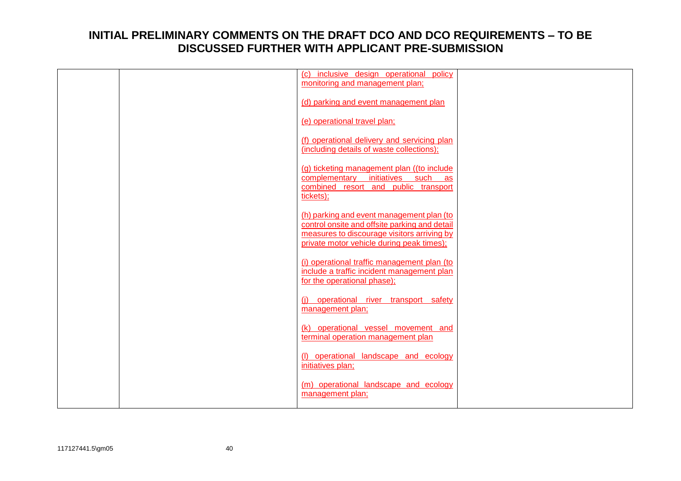|  | (c) inclusive design operational policy<br>monitoring and management plan;                                                                                                             |  |
|--|----------------------------------------------------------------------------------------------------------------------------------------------------------------------------------------|--|
|  | (d) parking and event management plan                                                                                                                                                  |  |
|  | (e) operational travel plan;                                                                                                                                                           |  |
|  | (f) operational delivery and servicing plan<br>(including details of waste collections);                                                                                               |  |
|  | (g) ticketing management plan ((to include<br>complementary<br>initiatives such<br>as<br>combined resort and public transport<br>tickets);                                             |  |
|  | (h) parking and event management plan (to<br>control onsite and offsite parking and detail<br>measures to discourage visitors arriving by<br>private motor vehicle during peak times); |  |
|  | (i) operational traffic management plan (to<br>include a traffic incident management plan<br>for the operational phase);                                                               |  |
|  | (i) operational river transport safety<br>management plan;                                                                                                                             |  |
|  | (k) operational vessel movement and<br>terminal operation management plan                                                                                                              |  |
|  | (I) operational landscape and ecology<br>initiatives plan;                                                                                                                             |  |
|  | (m) operational landscape and ecology<br>management plan;                                                                                                                              |  |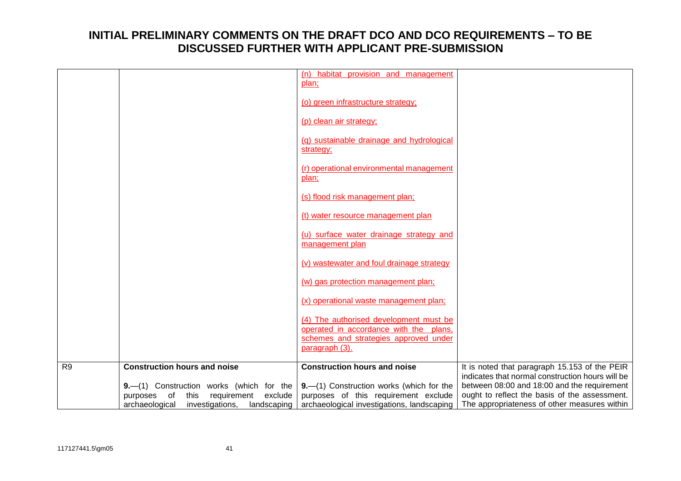|                |                                                  | (n) habitat provision and management<br>plan;                                    |                                                  |
|----------------|--------------------------------------------------|----------------------------------------------------------------------------------|--------------------------------------------------|
|                |                                                  | (o) green infrastructure strategy;                                               |                                                  |
|                |                                                  | (p) clean air strategy;                                                          |                                                  |
|                |                                                  | (g) sustainable drainage and hydrological<br>strategy;                           |                                                  |
|                |                                                  | (r) operational environmental management<br>plan;                                |                                                  |
|                |                                                  | (s) flood risk management plan;                                                  |                                                  |
|                |                                                  | (t) water resource management plan                                               |                                                  |
|                |                                                  | (u) surface water drainage strategy and<br>management plan                       |                                                  |
|                |                                                  | (v) wastewater and foul drainage strategy                                        |                                                  |
|                |                                                  | (w) gas protection management plan;                                              |                                                  |
|                |                                                  | (x) operational waste management plan;                                           |                                                  |
|                |                                                  | (4) The authorised development must be<br>operated in accordance with the plans, |                                                  |
|                |                                                  | schemes and strategies approved under                                            |                                                  |
|                |                                                  | paragraph (3).                                                                   |                                                  |
| R <sub>9</sub> | <b>Construction hours and noise</b>              | <b>Construction hours and noise</b>                                              | It is noted that paragraph 15.153 of the PEIR    |
|                |                                                  |                                                                                  | indicates that normal construction hours will be |
|                | 9.-(1) Construction works (which for the         | $9 - (1)$ Construction works (which for the                                      | between 08:00 and 18:00 and the requirement      |
|                | exclude<br>purposes of<br>this<br>requirement    | purposes of this requirement exclude                                             | ought to reflect the basis of the assessment.    |
|                | archaeological<br>investigations,<br>landscaping | archaeological investigations, landscaping                                       | The appropriateness of other measures within     |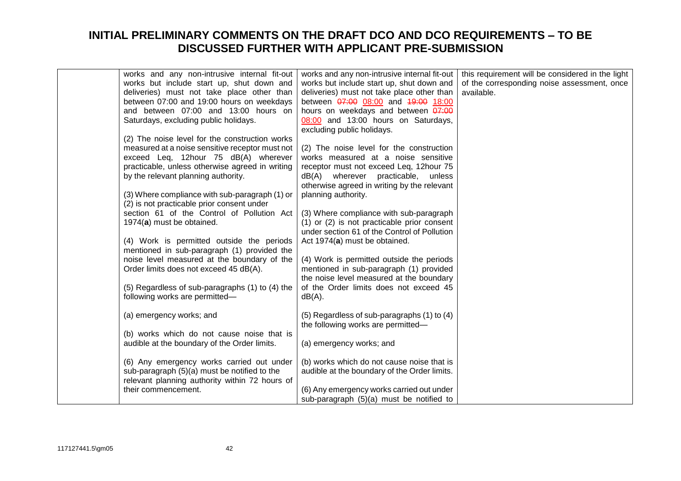| works and any non-intrusive internal fit-out    | works and any non-intrusive internal fit-out    | this requirement will be considered in the light |
|-------------------------------------------------|-------------------------------------------------|--------------------------------------------------|
| works but include start up, shut down and       | works but include start up, shut down and       | of the corresponding noise assessment, once      |
| deliveries) must not take place other than      | deliveries) must not take place other than      | available.                                       |
| between 07:00 and 19:00 hours on weekdays       | between 07:00 08:00 and 19:00 18:00             |                                                  |
| and between 07:00 and 13:00 hours on            | hours on weekdays and between 07:00             |                                                  |
| Saturdays, excluding public holidays.           | 08:00 and 13:00 hours on Saturdays,             |                                                  |
|                                                 | excluding public holidays.                      |                                                  |
| (2) The noise level for the construction works  |                                                 |                                                  |
| measured at a noise sensitive receptor must not | (2) The noise level for the construction        |                                                  |
| exceed Leq, 12hour 75 dB(A) wherever            | works measured at a noise sensitive             |                                                  |
| practicable, unless otherwise agreed in writing | receptor must not exceed Leq, 12hour 75         |                                                  |
| by the relevant planning authority.             | dB(A) wherever<br>practicable, unless           |                                                  |
|                                                 | otherwise agreed in writing by the relevant     |                                                  |
| (3) Where compliance with sub-paragraph (1) or  | planning authority.                             |                                                  |
| (2) is not practicable prior consent under      |                                                 |                                                  |
| section 61 of the Control of Pollution Act      | (3) Where compliance with sub-paragraph         |                                                  |
| 1974(a) must be obtained.                       | $(1)$ or $(2)$ is not practicable prior consent |                                                  |
|                                                 | under section 61 of the Control of Pollution    |                                                  |
| (4) Work is permitted outside the periods       | Act 1974(a) must be obtained.                   |                                                  |
| mentioned in sub-paragraph (1) provided the     |                                                 |                                                  |
| noise level measured at the boundary of the     | (4) Work is permitted outside the periods       |                                                  |
| Order limits does not exceed 45 dB(A).          | mentioned in sub-paragraph (1) provided         |                                                  |
|                                                 | the noise level measured at the boundary        |                                                  |
| (5) Regardless of sub-paragraphs (1) to (4) the | of the Order limits does not exceed 45          |                                                  |
| following works are permitted-                  | $dB(A)$ .                                       |                                                  |
|                                                 |                                                 |                                                  |
| (a) emergency works; and                        | (5) Regardless of sub-paragraphs (1) to (4)     |                                                  |
|                                                 | the following works are permitted-              |                                                  |
| (b) works which do not cause noise that is      |                                                 |                                                  |
| audible at the boundary of the Order limits.    | (a) emergency works; and                        |                                                  |
|                                                 |                                                 |                                                  |
| (6) Any emergency works carried out under       | (b) works which do not cause noise that is      |                                                  |
| sub-paragraph (5)(a) must be notified to the    | audible at the boundary of the Order limits.    |                                                  |
| relevant planning authority within 72 hours of  |                                                 |                                                  |
| their commencement.                             | (6) Any emergency works carried out under       |                                                  |
|                                                 | sub-paragraph (5)(a) must be notified to        |                                                  |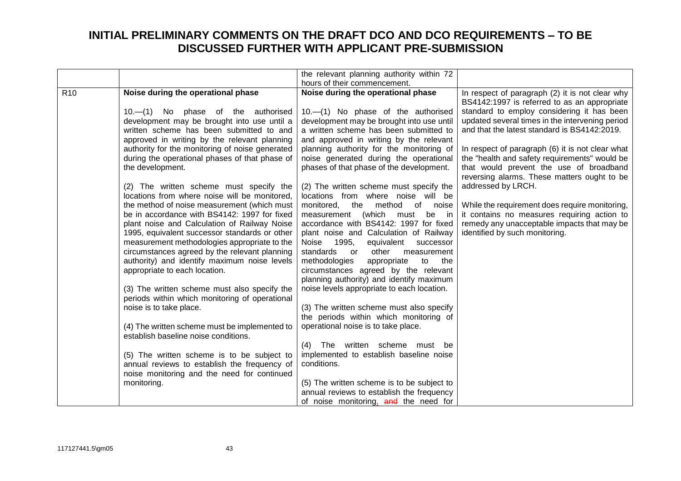|                 |                                                                                                                                                                                                                                                                                                                                                                                                                                                                                                                                                                                                                                                                                                                                                                                                                                                              | the relevant planning authority within 72                                                                                                                                                                                                                                                                                                                                                                                                                                                                                                                                                                                                                                                                                                                                                                                                                                               |                                                                                                                                                                                                                                                                                                                                                                                                  |
|-----------------|--------------------------------------------------------------------------------------------------------------------------------------------------------------------------------------------------------------------------------------------------------------------------------------------------------------------------------------------------------------------------------------------------------------------------------------------------------------------------------------------------------------------------------------------------------------------------------------------------------------------------------------------------------------------------------------------------------------------------------------------------------------------------------------------------------------------------------------------------------------|-----------------------------------------------------------------------------------------------------------------------------------------------------------------------------------------------------------------------------------------------------------------------------------------------------------------------------------------------------------------------------------------------------------------------------------------------------------------------------------------------------------------------------------------------------------------------------------------------------------------------------------------------------------------------------------------------------------------------------------------------------------------------------------------------------------------------------------------------------------------------------------------|--------------------------------------------------------------------------------------------------------------------------------------------------------------------------------------------------------------------------------------------------------------------------------------------------------------------------------------------------------------------------------------------------|
|                 |                                                                                                                                                                                                                                                                                                                                                                                                                                                                                                                                                                                                                                                                                                                                                                                                                                                              | hours of their commencement.                                                                                                                                                                                                                                                                                                                                                                                                                                                                                                                                                                                                                                                                                                                                                                                                                                                            |                                                                                                                                                                                                                                                                                                                                                                                                  |
| R <sub>10</sub> | Noise during the operational phase<br>10. (1) No phase of the authorised<br>development may be brought into use until a<br>written scheme has been submitted to and<br>approved in writing by the relevant planning<br>authority for the monitoring of noise generated<br>during the operational phases of that phase of<br>the development.                                                                                                                                                                                                                                                                                                                                                                                                                                                                                                                 | Noise during the operational phase<br>10.-(1) No phase of the authorised<br>development may be brought into use until<br>a written scheme has been submitted to<br>and approved in writing by the relevant<br>planning authority for the monitoring of<br>noise generated during the operational<br>phases of that phase of the development.                                                                                                                                                                                                                                                                                                                                                                                                                                                                                                                                            | In respect of paragraph (2) it is not clear why<br>BS4142:1997 is referred to as an appropriate<br>standard to employ considering it has been<br>updated several times in the intervening period<br>and that the latest standard is BS4142:2019.<br>In respect of paragraph (6) it is not clear what<br>the "health and safety requirements" would be<br>that would prevent the use of broadband |
|                 | (2) The written scheme must specify the<br>locations from where noise will be monitored,<br>the method of noise measurement (which must<br>be in accordance with BS4142: 1997 for fixed<br>plant noise and Calculation of Railway Noise<br>1995, equivalent successor standards or other<br>measurement methodologies appropriate to the<br>circumstances agreed by the relevant planning<br>authority) and identify maximum noise levels<br>appropriate to each location.<br>(3) The written scheme must also specify the<br>periods within which monitoring of operational<br>noise is to take place.<br>(4) The written scheme must be implemented to<br>establish baseline noise conditions.<br>(5) The written scheme is to be subject to<br>annual reviews to establish the frequency of<br>noise monitoring and the need for continued<br>monitoring. | (2) The written scheme must specify the<br>locations from where noise will be<br>of<br>monitored,<br>the<br>method<br>noise<br>(which<br>be in<br>measurement<br>must<br>accordance with BS4142: 1997 for fixed<br>plant noise and Calculation of Railway<br>Noise 1995,<br>equivalent successor<br>standards<br>other<br>measurement<br>or<br>methodologies<br>appropriate<br>to<br>the<br>circumstances agreed by the relevant<br>planning authority) and identify maximum<br>noise levels appropriate to each location.<br>(3) The written scheme must also specify<br>the periods within which monitoring of<br>operational noise is to take place.<br>(4) The written scheme must be<br>implemented to establish baseline noise<br>conditions.<br>(5) The written scheme is to be subject to<br>annual reviews to establish the frequency<br>of noise monitoring, and the need for | reversing alarms. These matters ought to be<br>addressed by LRCH.<br>While the requirement does require monitoring,<br>it contains no measures requiring action to<br>remedy any unacceptable impacts that may be<br>identified by such monitoring.                                                                                                                                              |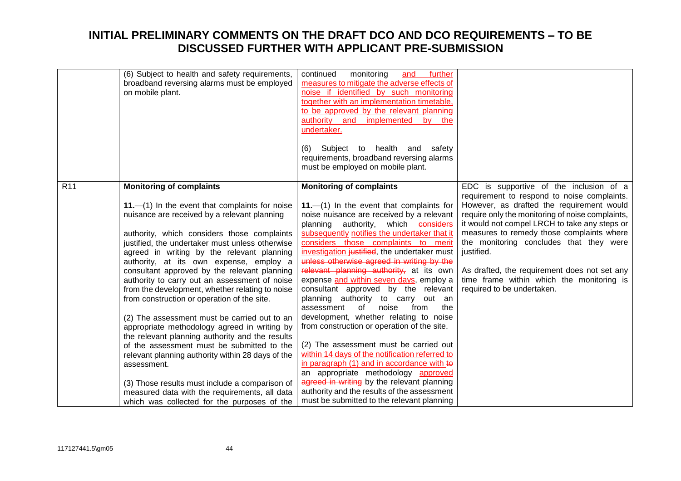|                 | (6) Subject to health and safety requirements,<br>broadband reversing alarms must be employed<br>on mobile plant.                                                                                                                                                                                                                                                                                                                                                                                                                                                                                                                                                                                                                                                                                                                                                                                                                                             | further<br>continued<br>monitoring<br>and<br>measures to mitigate the adverse effects of<br>noise if identified by such monitoring<br>together with an implementation timetable,<br>to be approved by the relevant planning<br>authority and implemented by the<br>undertaker.<br>Subject to health and safety<br>(6)<br>requirements, broadband reversing alarms<br>must be employed on mobile plant.                                                                                                                                                                                                                                                                                                                                                                                                                                                                                                                                                                                      |                                                                                                                                                                                                                                                                                                                                                                                                                                                                           |
|-----------------|---------------------------------------------------------------------------------------------------------------------------------------------------------------------------------------------------------------------------------------------------------------------------------------------------------------------------------------------------------------------------------------------------------------------------------------------------------------------------------------------------------------------------------------------------------------------------------------------------------------------------------------------------------------------------------------------------------------------------------------------------------------------------------------------------------------------------------------------------------------------------------------------------------------------------------------------------------------|---------------------------------------------------------------------------------------------------------------------------------------------------------------------------------------------------------------------------------------------------------------------------------------------------------------------------------------------------------------------------------------------------------------------------------------------------------------------------------------------------------------------------------------------------------------------------------------------------------------------------------------------------------------------------------------------------------------------------------------------------------------------------------------------------------------------------------------------------------------------------------------------------------------------------------------------------------------------------------------------|---------------------------------------------------------------------------------------------------------------------------------------------------------------------------------------------------------------------------------------------------------------------------------------------------------------------------------------------------------------------------------------------------------------------------------------------------------------------------|
| R <sub>11</sub> | <b>Monitoring of complaints</b><br>$11$ . $-$ (1) In the event that complaints for noise<br>nuisance are received by a relevant planning<br>authority, which considers those complaints<br>justified, the undertaker must unless otherwise<br>agreed in writing by the relevant planning<br>authority, at its own expense, employ a<br>consultant approved by the relevant planning<br>authority to carry out an assessment of noise<br>from the development, whether relating to noise<br>from construction or operation of the site.<br>(2) The assessment must be carried out to an<br>appropriate methodology agreed in writing by<br>the relevant planning authority and the results<br>of the assessment must be submitted to the<br>relevant planning authority within 28 days of the<br>assessment.<br>(3) Those results must include a comparison of<br>measured data with the requirements, all data<br>which was collected for the purposes of the | <b>Monitoring of complaints</b><br>11. $-$ (1) In the event that complaints for<br>noise nuisance are received by a relevant<br>planning authority, which considers<br>subsequently notifies the undertaker that it<br>considers those complaints to merit<br>investigation justified, the undertaker must<br>unless otherwise agreed in writing by the<br>relevant planning authority, at its own<br>expense and within seven days, employ a<br>consultant approved by the relevant<br>planning authority to carry out an<br>noise<br>assessment<br>of<br>from<br>the<br>development, whether relating to noise<br>from construction or operation of the site.<br>(2) The assessment must be carried out<br>within 14 days of the notification referred to<br>in paragraph (1) and in accordance with to<br>an appropriate methodology approved<br>agreed in writing by the relevant planning<br>authority and the results of the assessment<br>must be submitted to the relevant planning | EDC is supportive of the inclusion of a<br>requirement to respond to noise complaints.<br>However, as drafted the requirement would<br>require only the monitoring of noise complaints,<br>it would not compel LRCH to take any steps or<br>measures to remedy those complaints where<br>the monitoring concludes that they were<br>justified.<br>As drafted, the requirement does not set any<br>time frame within which the monitoring is<br>required to be undertaken. |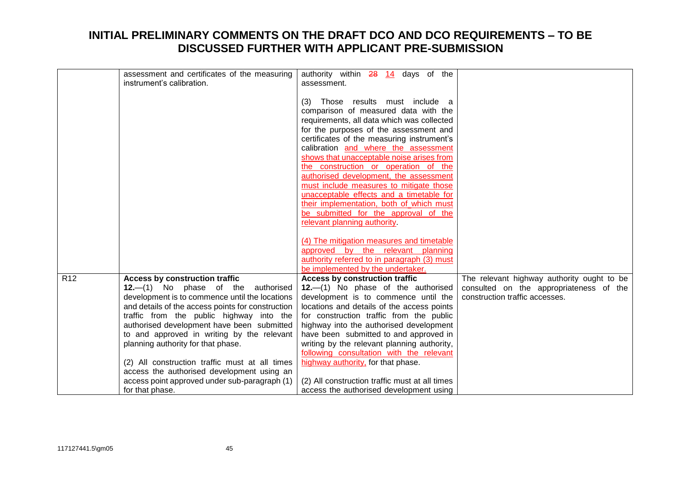|                 | assessment and certificates of the measuring<br>instrument's calibration.                                                                                                                                                                                                                                                                                                                                                                                                     | authority within 28 14 days of the<br>assessment.                                                                                                                                                                                                                                                                                                                                                                                                                                                                                                                                                   |                                                                           |
|-----------------|-------------------------------------------------------------------------------------------------------------------------------------------------------------------------------------------------------------------------------------------------------------------------------------------------------------------------------------------------------------------------------------------------------------------------------------------------------------------------------|-----------------------------------------------------------------------------------------------------------------------------------------------------------------------------------------------------------------------------------------------------------------------------------------------------------------------------------------------------------------------------------------------------------------------------------------------------------------------------------------------------------------------------------------------------------------------------------------------------|---------------------------------------------------------------------------|
|                 |                                                                                                                                                                                                                                                                                                                                                                                                                                                                               | Those results must include a<br>(3)<br>comparison of measured data with the<br>requirements, all data which was collected<br>for the purposes of the assessment and<br>certificates of the measuring instrument's<br>calibration and where the assessment<br>shows that unacceptable noise arises from<br>the construction or operation of the<br>authorised development, the assessment<br>must include measures to mitigate those<br>unacceptable effects and a timetable for<br>their implementation, both of which must<br>be submitted for the approval of the<br>relevant planning authority. |                                                                           |
|                 |                                                                                                                                                                                                                                                                                                                                                                                                                                                                               | (4) The mitigation measures and timetable                                                                                                                                                                                                                                                                                                                                                                                                                                                                                                                                                           |                                                                           |
|                 |                                                                                                                                                                                                                                                                                                                                                                                                                                                                               | approved by the relevant planning<br>authority referred to in paragraph (3) must<br>be implemented by the undertaker.                                                                                                                                                                                                                                                                                                                                                                                                                                                                               |                                                                           |
| R <sub>12</sub> | <b>Access by construction traffic</b>                                                                                                                                                                                                                                                                                                                                                                                                                                         | <b>Access by construction traffic</b>                                                                                                                                                                                                                                                                                                                                                                                                                                                                                                                                                               | The relevant highway authority ought to be                                |
|                 | $12.-(1)$ No phase of the<br>authorised<br>development is to commence until the locations<br>and details of the access points for construction<br>traffic from the public highway into the<br>authorised development have been submitted<br>to and approved in writing by the relevant<br>planning authority for that phase.<br>(2) All construction traffic must at all times<br>access the authorised development using an<br>access point approved under sub-paragraph (1) | 12.-(1) No phase of the authorised<br>development is to commence until the<br>locations and details of the access points<br>for construction traffic from the public<br>highway into the authorised development<br>have been submitted to and approved in<br>writing by the relevant planning authority,<br>following consultation with the relevant<br>highway authority, for that phase.<br>(2) All construction traffic must at all times                                                                                                                                                        | consulted on the appropriateness of the<br>construction traffic accesses. |
|                 | for that phase.                                                                                                                                                                                                                                                                                                                                                                                                                                                               | access the authorised development using                                                                                                                                                                                                                                                                                                                                                                                                                                                                                                                                                             |                                                                           |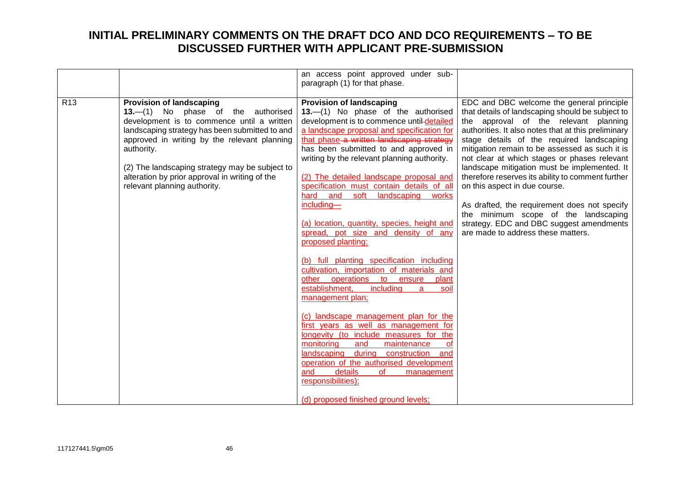|                 |                                                                                                                                                                                                                                                                                                                                                                         | an access point approved under sub-<br>paragraph (1) for that phase.                                                                                                                                                                                                                                                                                                                                                                                                                                                                                                                                                                                                                                                                                                                                                                                                                                                                                                                                                                                                                                                                  |                                                                                                                                                                                                                                                                                                                                                                                                                                                                                                                                                                                                                                                              |
|-----------------|-------------------------------------------------------------------------------------------------------------------------------------------------------------------------------------------------------------------------------------------------------------------------------------------------------------------------------------------------------------------------|---------------------------------------------------------------------------------------------------------------------------------------------------------------------------------------------------------------------------------------------------------------------------------------------------------------------------------------------------------------------------------------------------------------------------------------------------------------------------------------------------------------------------------------------------------------------------------------------------------------------------------------------------------------------------------------------------------------------------------------------------------------------------------------------------------------------------------------------------------------------------------------------------------------------------------------------------------------------------------------------------------------------------------------------------------------------------------------------------------------------------------------|--------------------------------------------------------------------------------------------------------------------------------------------------------------------------------------------------------------------------------------------------------------------------------------------------------------------------------------------------------------------------------------------------------------------------------------------------------------------------------------------------------------------------------------------------------------------------------------------------------------------------------------------------------------|
| R <sub>13</sub> | <b>Provision of landscaping</b><br>13.-(1) No phase of the authorised<br>development is to commence until a written<br>landscaping strategy has been submitted to and<br>approved in writing by the relevant planning<br>authority.<br>(2) The landscaping strategy may be subject to<br>alteration by prior approval in writing of the<br>relevant planning authority. | <b>Provision of landscaping</b><br>13.-(1) No phase of the authorised<br>development is to commence until-detailed<br>a landscape proposal and specification for<br>that phase a written landscaping strategy<br>has been submitted to and approved in<br>writing by the relevant planning authority.<br>(2) The detailed landscape proposal and<br>specification must contain details of all<br>hard and soft<br>landscaping works<br>including-<br>(a) location, quantity, species, height and<br>spread, pot size and density of any<br>proposed planting;<br>(b) full planting specification including<br>cultivation, importation of materials and<br>other operations to ensure<br>plant<br>including<br>establishment,<br>$\mathbf{a}$<br>soil<br>management plan;<br>(c) landscape management plan for the<br>first years as well as management for<br>longevity (to include measures for the<br>monitoring<br>and<br>maintenance<br>0f<br>landscaping during construction and<br>operation of the authorised development<br>details<br>and<br>of<br>management<br>responsibilities);<br>(d) proposed finished ground levels; | EDC and DBC welcome the general principle<br>that details of landscaping should be subject to<br>the approval of the relevant planning<br>authorities. It also notes that at this preliminary<br>stage details of the required landscaping<br>mitigation remain to be assessed as such it is<br>not clear at which stages or phases relevant<br>landscape mitigation must be implemented. It<br>therefore reserves its ability to comment further<br>on this aspect in due course.<br>As drafted, the requirement does not specify<br>the minimum scope of the landscaping<br>strategy. EDC and DBC suggest amendments<br>are made to address these matters. |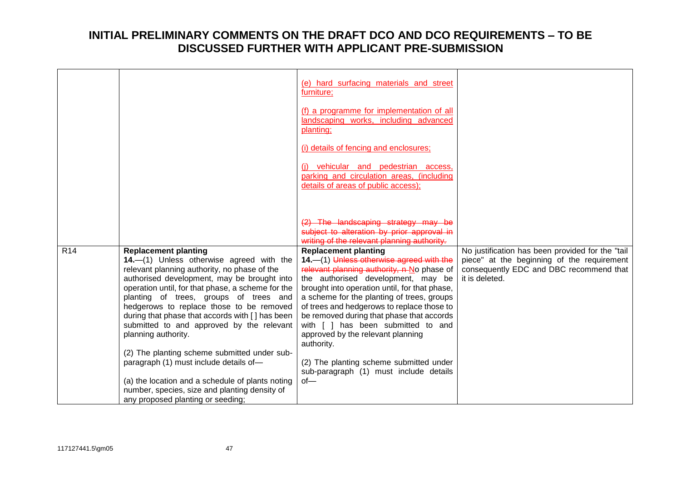|                 |                                                                                                                                                                                                                                                                                                                                                                                                                                                                                                                                    | (e) hard surfacing materials and street<br>furniture;<br>(f) a programme for implementation of all<br>landscaping works, including advanced<br>planting;                                                                                                                                                                                                                                                                                                                                                                              |                                                                                                                                                             |
|-----------------|------------------------------------------------------------------------------------------------------------------------------------------------------------------------------------------------------------------------------------------------------------------------------------------------------------------------------------------------------------------------------------------------------------------------------------------------------------------------------------------------------------------------------------|---------------------------------------------------------------------------------------------------------------------------------------------------------------------------------------------------------------------------------------------------------------------------------------------------------------------------------------------------------------------------------------------------------------------------------------------------------------------------------------------------------------------------------------|-------------------------------------------------------------------------------------------------------------------------------------------------------------|
|                 |                                                                                                                                                                                                                                                                                                                                                                                                                                                                                                                                    | (i) details of fencing and enclosures;<br>(i) vehicular and pedestrian access,                                                                                                                                                                                                                                                                                                                                                                                                                                                        |                                                                                                                                                             |
|                 |                                                                                                                                                                                                                                                                                                                                                                                                                                                                                                                                    | parking and circulation areas, (including<br>details of areas of public access);                                                                                                                                                                                                                                                                                                                                                                                                                                                      |                                                                                                                                                             |
|                 |                                                                                                                                                                                                                                                                                                                                                                                                                                                                                                                                    | $(2)$ The landscaping strategy may<br>subject to alteration by prior approval in<br>writing of the relevant planning authority.                                                                                                                                                                                                                                                                                                                                                                                                       |                                                                                                                                                             |
| R <sub>14</sub> | <b>Replacement planting</b><br>14.-(1) Unless otherwise agreed with the<br>relevant planning authority, no phase of the<br>authorised development, may be brought into<br>operation until, for that phase, a scheme for the<br>planting of trees, groups of trees and<br>hedgerows to replace those to be removed<br>during that phase that accords with [] has been<br>submitted to and approved by the relevant<br>planning authority.<br>(2) The planting scheme submitted under sub-<br>paragraph (1) must include details of- | <b>Replacement planting</b><br>14. - (1) Unless otherwise agreed with the<br>relevant planning authority, n-No phase of<br>the authorised development, may be<br>brought into operation until, for that phase,<br>a scheme for the planting of trees, groups<br>of trees and hedgerows to replace those to<br>be removed during that phase that accords<br>with [ ] has been submitted to and<br>approved by the relevant planning<br>authority.<br>(2) The planting scheme submitted under<br>sub-paragraph (1) must include details | No justification has been provided for the "tail<br>piece" at the beginning of the requirement<br>consequently EDC and DBC recommend that<br>it is deleted. |
|                 | (a) the location and a schedule of plants noting<br>number, species, size and planting density of<br>any proposed planting or seeding;                                                                                                                                                                                                                                                                                                                                                                                             | $of -$                                                                                                                                                                                                                                                                                                                                                                                                                                                                                                                                |                                                                                                                                                             |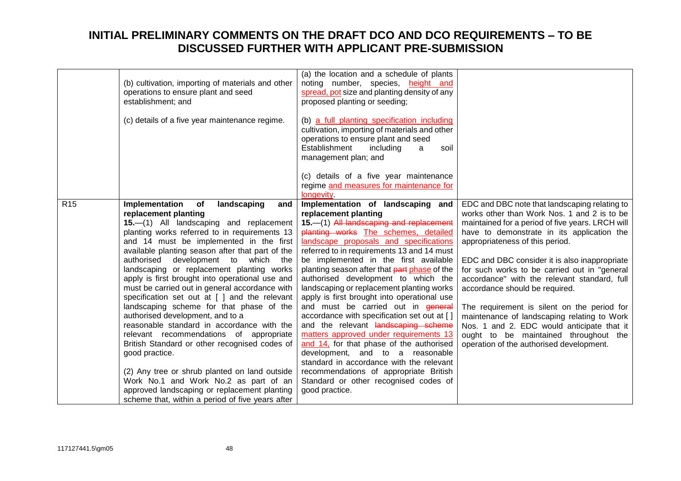|                 | (b) cultivation, importing of materials and other<br>operations to ensure plant and seed<br>establishment; and<br>(c) details of a five year maintenance regime.                                                                                                                                                                                                                                                                                                                                                                                                                                                                                                                                                                                                                                                                                                                                                                                  | (a) the location and a schedule of plants<br>noting number, species, height and<br>spread, pot size and planting density of any<br>proposed planting or seeding;<br>(b) a full planting specification including<br>cultivation, importing of materials and other<br>operations to ensure plant and seed<br>Establishment<br>including<br>soil<br>a<br>management plan; and<br>(c) details of a five year maintenance<br>regime and measures for maintenance for                                                                                                                                                                                                                                                                                                                                                                                                                      |                                                                                                                                                                                                                                                                                                                                                                                                                                                                                                                                                                                                                                                       |
|-----------------|---------------------------------------------------------------------------------------------------------------------------------------------------------------------------------------------------------------------------------------------------------------------------------------------------------------------------------------------------------------------------------------------------------------------------------------------------------------------------------------------------------------------------------------------------------------------------------------------------------------------------------------------------------------------------------------------------------------------------------------------------------------------------------------------------------------------------------------------------------------------------------------------------------------------------------------------------|--------------------------------------------------------------------------------------------------------------------------------------------------------------------------------------------------------------------------------------------------------------------------------------------------------------------------------------------------------------------------------------------------------------------------------------------------------------------------------------------------------------------------------------------------------------------------------------------------------------------------------------------------------------------------------------------------------------------------------------------------------------------------------------------------------------------------------------------------------------------------------------|-------------------------------------------------------------------------------------------------------------------------------------------------------------------------------------------------------------------------------------------------------------------------------------------------------------------------------------------------------------------------------------------------------------------------------------------------------------------------------------------------------------------------------------------------------------------------------------------------------------------------------------------------------|
| R <sub>15</sub> | Implementation<br>of<br>landscaping<br>and<br>replacement planting<br>15.-(1) All landscaping and replacement<br>planting works referred to in requirements 13<br>and 14 must be implemented in the first<br>available planting season after that part of the<br>authorised development to which the<br>landscaping or replacement planting works<br>apply is first brought into operational use and<br>must be carried out in general accordance with<br>specification set out at [ ] and the relevant<br>landscaping scheme for that phase of the<br>authorised development, and to a<br>reasonable standard in accordance with the<br>relevant recommendations of appropriate<br>British Standard or other recognised codes of<br>good practice.<br>(2) Any tree or shrub planted on land outside<br>Work No.1 and Work No.2 as part of an<br>approved landscaping or replacement planting<br>scheme that, within a period of five years after | longevity<br>Implementation of landscaping and<br>replacement planting<br>15.-(1) All landscaping and replacement<br>planting works The schemes, detailed<br>landscape proposals and specifications<br>referred to in requirements 13 and 14 must<br>be implemented in the first available<br>planting season after that part phase of the<br>authorised development to which the<br>landscaping or replacement planting works<br>apply is first brought into operational use<br>and must be carried out in general<br>accordance with specification set out at []<br>and the relevant landscaping scheme<br>matters approved under requirements 13<br>and 14, for that phase of the authorised<br>development, and to a reasonable<br>standard in accordance with the relevant<br>recommendations of appropriate British<br>Standard or other recognised codes of<br>good practice. | EDC and DBC note that landscaping relating to<br>works other than Work Nos. 1 and 2 is to be<br>maintained for a period of five years. LRCH will<br>have to demonstrate in its application the<br>appropriateness of this period.<br>EDC and DBC consider it is also inappropriate<br>for such works to be carried out in "general<br>accordance" with the relevant standard, full<br>accordance should be required.<br>The requirement is silent on the period for<br>maintenance of landscaping relating to Work<br>Nos. 1 and 2. EDC would anticipate that it<br>ought to be maintained throughout the<br>operation of the authorised development. |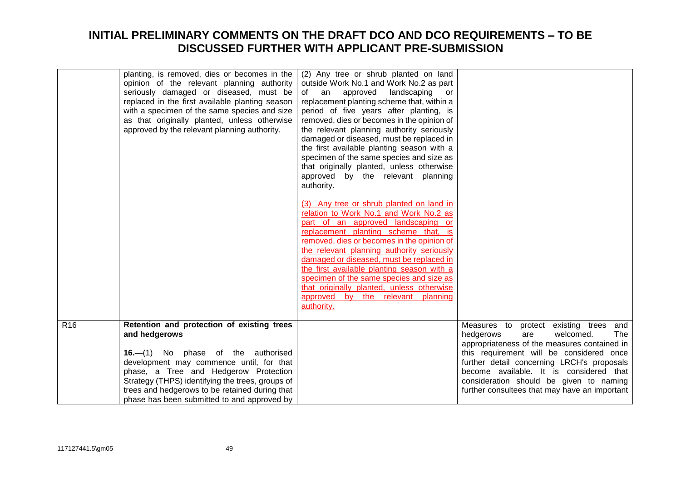| planting, is removed, dies or becomes in the<br>(2) Any tree or shrub planted on land<br>opinion of the relevant planning authority<br>outside Work No.1 and Work No.2 as part<br>seriously damaged or diseased, must be<br>of an approved landscaping<br>or<br>replaced in the first available planting season<br>replacement planting scheme that, within a<br>with a specimen of the same species and size<br>period of five years after planting, is<br>removed, dies or becomes in the opinion of<br>as that originally planted, unless otherwise<br>approved by the relevant planning authority.<br>the relevant planning authority seriously<br>damaged or diseased, must be replaced in<br>the first available planting season with a<br>specimen of the same species and size as<br>that originally planted, unless otherwise<br>approved by the relevant planning<br>authority. |
|-------------------------------------------------------------------------------------------------------------------------------------------------------------------------------------------------------------------------------------------------------------------------------------------------------------------------------------------------------------------------------------------------------------------------------------------------------------------------------------------------------------------------------------------------------------------------------------------------------------------------------------------------------------------------------------------------------------------------------------------------------------------------------------------------------------------------------------------------------------------------------------------|
| (3) Any tree or shrub planted on land in<br>relation to Work No.1 and Work No.2 as<br>part of an approved landscaping or<br>replacement planting scheme that, is<br>removed, dies or becomes in the opinion of<br>the relevant planning authority seriously<br>damaged or diseased, must be replaced in<br>the first available planting season with a<br>specimen of the same species and size as<br>that originally planted, unless otherwise<br>approved by the relevant planning<br>authority.                                                                                                                                                                                                                                                                                                                                                                                         |
| Retention and protection of existing trees<br>R <sub>16</sub><br>Measures to protect existing trees and                                                                                                                                                                                                                                                                                                                                                                                                                                                                                                                                                                                                                                                                                                                                                                                   |
| and hedgerows<br>hedgerows<br>welcomed.<br>are                                                                                                                                                                                                                                                                                                                                                                                                                                                                                                                                                                                                                                                                                                                                                                                                                                            |
| appropriateness of the measures contained in                                                                                                                                                                                                                                                                                                                                                                                                                                                                                                                                                                                                                                                                                                                                                                                                                                              |
| 16.—(1) No phase of the authorised<br>this requirement will be considered once                                                                                                                                                                                                                                                                                                                                                                                                                                                                                                                                                                                                                                                                                                                                                                                                            |
| further detail concerning LRCH's proposals<br>development may commence until, for that                                                                                                                                                                                                                                                                                                                                                                                                                                                                                                                                                                                                                                                                                                                                                                                                    |
| phase, a Tree and Hedgerow Protection<br>become available. It is considered that<br>consideration should be given to naming<br>Strategy (THPS) identifying the trees, groups of                                                                                                                                                                                                                                                                                                                                                                                                                                                                                                                                                                                                                                                                                                           |
| trees and hedgerows to be retained during that<br>further consultees that may have an important                                                                                                                                                                                                                                                                                                                                                                                                                                                                                                                                                                                                                                                                                                                                                                                           |
| phase has been submitted to and approved by                                                                                                                                                                                                                                                                                                                                                                                                                                                                                                                                                                                                                                                                                                                                                                                                                                               |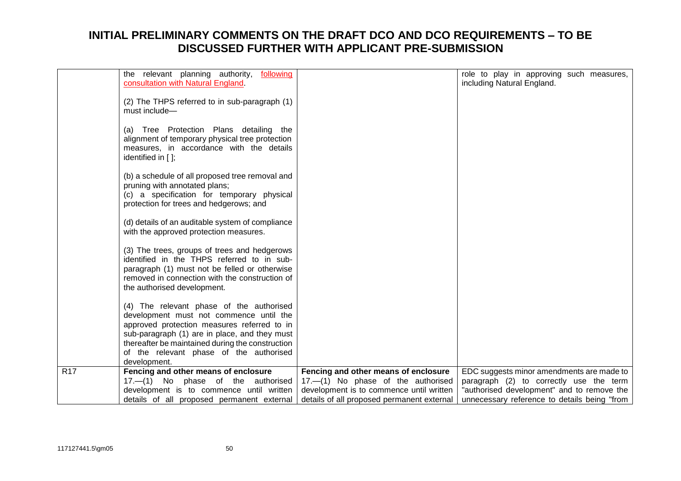|                  | the relevant planning authority,<br>following<br>consultation with Natural England.                                                                                                                                                                                                                |                                            | role to play in approving such measures,<br>including Natural England. |
|------------------|----------------------------------------------------------------------------------------------------------------------------------------------------------------------------------------------------------------------------------------------------------------------------------------------------|--------------------------------------------|------------------------------------------------------------------------|
|                  | (2) The THPS referred to in sub-paragraph (1)<br>must include-                                                                                                                                                                                                                                     |                                            |                                                                        |
|                  | (a) Tree Protection Plans detailing the<br>alignment of temporary physical tree protection<br>measures, in accordance with the details<br>identified in $[$ ];                                                                                                                                     |                                            |                                                                        |
|                  | (b) a schedule of all proposed tree removal and<br>pruning with annotated plans;<br>(c) a specification for temporary physical<br>protection for trees and hedgerows; and                                                                                                                          |                                            |                                                                        |
|                  | (d) details of an auditable system of compliance<br>with the approved protection measures.                                                                                                                                                                                                         |                                            |                                                                        |
|                  | (3) The trees, groups of trees and hedgerows<br>identified in the THPS referred to in sub-<br>paragraph (1) must not be felled or otherwise<br>removed in connection with the construction of<br>the authorised development.                                                                       |                                            |                                                                        |
|                  | (4) The relevant phase of the authorised<br>development must not commence until the<br>approved protection measures referred to in<br>sub-paragraph (1) are in place, and they must<br>thereafter be maintained during the construction<br>of the relevant phase of the authorised<br>development. |                                            |                                                                        |
| $\overline{R17}$ | Fencing and other means of enclosure                                                                                                                                                                                                                                                               | Fencing and other means of enclosure       | EDC suggests minor amendments are made to                              |
|                  | 17.-(1) No phase of the authorised                                                                                                                                                                                                                                                                 | 17.-(1) No phase of the authorised         | paragraph (2) to correctly use the term                                |
|                  | development is to commence until written                                                                                                                                                                                                                                                           | development is to commence until written   | "authorised development" and to remove the                             |
|                  | details of all proposed permanent external                                                                                                                                                                                                                                                         | details of all proposed permanent external | unnecessary reference to details being "from                           |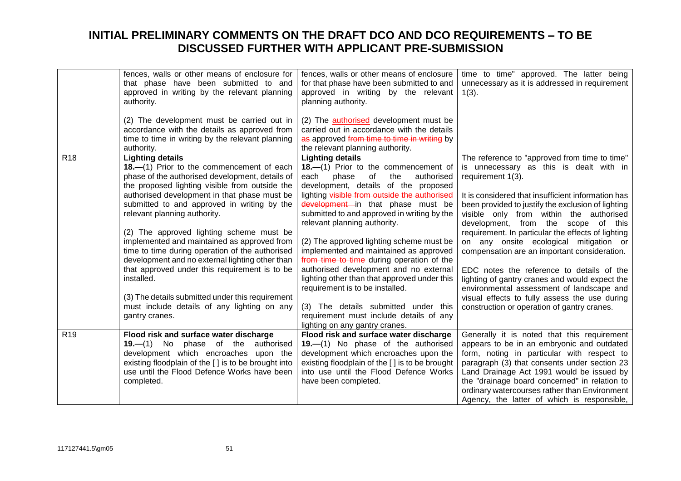|                 | fences, walls or other means of enclosure for<br>that phase have been submitted to and<br>approved in writing by the relevant planning<br>authority.<br>(2) The development must be carried out in                                                                                                                                                                                                                                                                                                                                                                                                                                                                                            | fences, walls or other means of enclosure<br>for that phase have been submitted to and<br>approved in writing by the relevant<br>planning authority.<br>(2) The <b>authorised</b> development must be                                                                                                                                                                                                                                                                                                                                                                                                                                                                                                        | time to time" approved. The latter being<br>unnecessary as it is addressed in requirement<br>$1(3)$ .                                                                                                                                                                                                                                                                                                                                                                                                                                                                                                                                                                                                   |
|-----------------|-----------------------------------------------------------------------------------------------------------------------------------------------------------------------------------------------------------------------------------------------------------------------------------------------------------------------------------------------------------------------------------------------------------------------------------------------------------------------------------------------------------------------------------------------------------------------------------------------------------------------------------------------------------------------------------------------|--------------------------------------------------------------------------------------------------------------------------------------------------------------------------------------------------------------------------------------------------------------------------------------------------------------------------------------------------------------------------------------------------------------------------------------------------------------------------------------------------------------------------------------------------------------------------------------------------------------------------------------------------------------------------------------------------------------|---------------------------------------------------------------------------------------------------------------------------------------------------------------------------------------------------------------------------------------------------------------------------------------------------------------------------------------------------------------------------------------------------------------------------------------------------------------------------------------------------------------------------------------------------------------------------------------------------------------------------------------------------------------------------------------------------------|
|                 | accordance with the details as approved from<br>time to time in writing by the relevant planning<br>authority.                                                                                                                                                                                                                                                                                                                                                                                                                                                                                                                                                                                | carried out in accordance with the details<br>as approved from time to time in writing by<br>the relevant planning authority.                                                                                                                                                                                                                                                                                                                                                                                                                                                                                                                                                                                |                                                                                                                                                                                                                                                                                                                                                                                                                                                                                                                                                                                                                                                                                                         |
| R <sub>18</sub> | <b>Lighting details</b><br>18.—(1) Prior to the commencement of each<br>phase of the authorised development, details of<br>the proposed lighting visible from outside the<br>authorised development in that phase must be<br>submitted to and approved in writing by the<br>relevant planning authority.<br>(2) The approved lighting scheme must be<br>implemented and maintained as approved from<br>time to time during operation of the authorised<br>development and no external lighting other than<br>that approved under this requirement is to be<br>installed.<br>(3) The details submitted under this requirement<br>must include details of any lighting on any<br>gantry cranes. | <b>Lighting details</b><br>18.-(1) Prior to the commencement of<br>of<br>the<br>authorised<br>each<br>phase<br>development, details of the proposed<br>lighting visible from outside the authorised<br>development in that phase must be<br>submitted to and approved in writing by the<br>relevant planning authority.<br>(2) The approved lighting scheme must be<br>implemented and maintained as approved<br>from time to time during operation of the<br>authorised development and no external<br>lighting other than that approved under this<br>requirement is to be installed.<br>(3) The details submitted under this<br>requirement must include details of any<br>lighting on any gantry cranes. | The reference to "approved from time to time"<br>is unnecessary as this is dealt with in<br>requirement 1(3).<br>It is considered that insufficient information has<br>been provided to justify the exclusion of lighting<br>visible only from within the authorised<br>development, from the scope of this<br>requirement. In particular the effects of lighting<br>on any onsite ecological mitigation or<br>compensation are an important consideration.<br>EDC notes the reference to details of the<br>lighting of gantry cranes and would expect the<br>environmental assessment of landscape and<br>visual effects to fully assess the use during<br>construction or operation of gantry cranes. |
| R <sub>19</sub> | Flood risk and surface water discharge<br>$19 - (1)$ No phase of the<br>authorised<br>development which encroaches upon the<br>existing floodplain of the [ ] is to be brought into<br>use until the Flood Defence Works have been<br>completed.                                                                                                                                                                                                                                                                                                                                                                                                                                              | Flood risk and surface water discharge<br>19. (1) No phase of the authorised<br>development which encroaches upon the<br>existing floodplain of the [] is to be brought<br>into use until the Flood Defence Works<br>have been completed.                                                                                                                                                                                                                                                                                                                                                                                                                                                                    | Generally it is noted that this requirement<br>appears to be in an embryonic and outdated<br>form, noting in particular with respect to<br>paragraph (3) that consents under section 23<br>Land Drainage Act 1991 would be issued by<br>the "drainage board concerned" in relation to<br>ordinary watercourses rather than Environment<br>Agency, the latter of which is responsible,                                                                                                                                                                                                                                                                                                                   |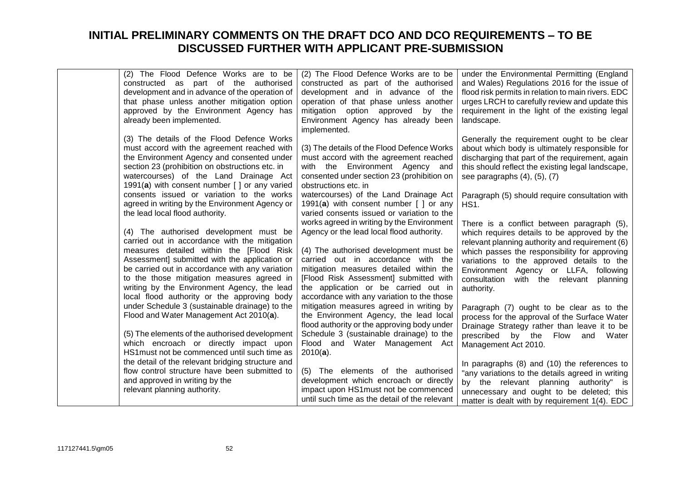| (2) The Flood Defence Works are to be<br>constructed as part of the authorised<br>development and in advance of the operation of<br>that phase unless another mitigation option<br>approved by the Environment Agency has<br>already been implemented.                                                                                                                               | (2) The Flood Defence Works are to be<br>constructed as part of the authorised<br>development and in advance of the<br>operation of that phase unless another<br>mitigation option approved by the<br>Environment Agency has already been<br>implemented.                                                                                          | under the Environmental Permitting (England<br>and Wales) Regulations 2016 for the issue of<br>flood risk permits in relation to main rivers. EDC<br>urges LRCH to carefully review and update this<br>requirement in the light of the existing legal<br>landscape.                                                                                 |
|--------------------------------------------------------------------------------------------------------------------------------------------------------------------------------------------------------------------------------------------------------------------------------------------------------------------------------------------------------------------------------------|----------------------------------------------------------------------------------------------------------------------------------------------------------------------------------------------------------------------------------------------------------------------------------------------------------------------------------------------------|-----------------------------------------------------------------------------------------------------------------------------------------------------------------------------------------------------------------------------------------------------------------------------------------------------------------------------------------------------|
| (3) The details of the Flood Defence Works<br>must accord with the agreement reached with<br>the Environment Agency and consented under<br>section 23 (prohibition on obstructions etc. in<br>watercourses) of the Land Drainage Act<br>1991(a) with consent number [ ] or any varied                                                                                                | (3) The details of the Flood Defence Works<br>must accord with the agreement reached<br>with the Environment Agency and<br>consented under section 23 (prohibition on<br>obstructions etc. in                                                                                                                                                      | Generally the requirement ought to be clear<br>about which body is ultimately responsible for<br>discharging that part of the requirement, again<br>this should reflect the existing legal landscape,<br>see paragraphs $(4)$ , $(5)$ , $(7)$                                                                                                       |
| consents issued or variation to the works<br>agreed in writing by the Environment Agency or<br>the lead local flood authority.                                                                                                                                                                                                                                                       | watercourses) of the Land Drainage Act<br>1991(a) with consent number $\lceil \cdot \rceil$ or any<br>varied consents issued or variation to the                                                                                                                                                                                                   | Paragraph (5) should require consultation with<br>HS1.                                                                                                                                                                                                                                                                                              |
| (4) The authorised development must be<br>carried out in accordance with the mitigation<br>measures detailed within the [Flood Risk]<br>Assessment] submitted with the application or<br>be carried out in accordance with any variation<br>to the those mitigation measures agreed in<br>writing by the Environment Agency, the lead<br>local flood authority or the approving body | works agreed in writing by the Environment<br>Agency or the lead local flood authority.<br>(4) The authorised development must be<br>carried out in accordance with the<br>mitigation measures detailed within the<br>[Flood Risk Assessment] submitted with<br>the application or be carried out in<br>accordance with any variation to the those | There is a conflict between paragraph (5),<br>which requires details to be approved by the<br>relevant planning authority and requirement (6)<br>which passes the responsibility for approving<br>variations to the approved details to the<br>Environment Agency or LLFA, following<br>consultation<br>with the relevant<br>planning<br>authority. |
| under Schedule 3 (sustainable drainage) to the<br>Flood and Water Management Act 2010(a).                                                                                                                                                                                                                                                                                            | mitigation measures agreed in writing by<br>the Environment Agency, the lead local<br>flood authority or the approving body under                                                                                                                                                                                                                  | Paragraph (7) ought to be clear as to the<br>process for the approval of the Surface Water<br>Drainage Strategy rather than leave it to be                                                                                                                                                                                                          |
| (5) The elements of the authorised development<br>which encroach or directly impact upon<br>HS1 must not be commenced until such time as                                                                                                                                                                                                                                             | Schedule 3 (sustainable drainage) to the<br>Flood and Water Management Act<br>$2010(a)$ .                                                                                                                                                                                                                                                          | prescribed by the Flow and<br>Water<br>Management Act 2010.                                                                                                                                                                                                                                                                                         |
| the detail of the relevant bridging structure and<br>flow control structure have been submitted to<br>and approved in writing by the<br>relevant planning authority.                                                                                                                                                                                                                 | (5) The elements of the authorised<br>development which encroach or directly<br>impact upon HS1must not be commenced<br>until such time as the detail of the relevant                                                                                                                                                                              | In paragraphs (8) and (10) the references to<br>"any variations to the details agreed in writing<br>by the relevant planning authority" is<br>unnecessary and ought to be deleted; this<br>matter is dealt with by requirement 1(4). EDC                                                                                                            |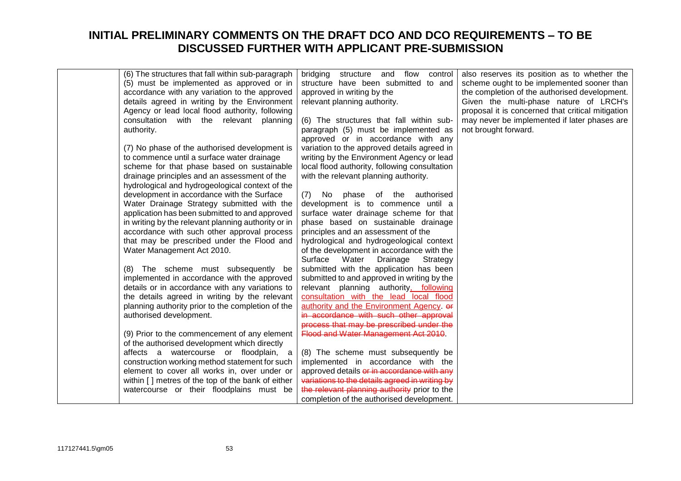| (6) The structures that fall within sub-paragraph<br>(5) must be implemented as approved or in<br>accordance with any variation to the approved<br>details agreed in writing by the Environment<br>Agency or lead local flood authority, following<br>consultation with the relevant planning<br>authority.<br>(7) No phase of the authorised development is<br>to commence until a surface water drainage<br>scheme for that phase based on sustainable<br>drainage principles and an assessment of the<br>hydrological and hydrogeological context of the<br>development in accordance with the Surface<br>Water Drainage Strategy submitted with the<br>application has been submitted to and approved<br>in writing by the relevant planning authority or in<br>accordance with such other approval process<br>that may be prescribed under the Flood and<br>Water Management Act 2010. | bridging structure and flow<br>control<br>structure have been submitted to and<br>approved in writing by the<br>relevant planning authority.<br>(6) The structures that fall within sub-<br>paragraph (5) must be implemented as<br>approved or in accordance with any<br>variation to the approved details agreed in<br>writing by the Environment Agency or lead<br>local flood authority, following consultation<br>with the relevant planning authority.<br>(7)<br>phase of the authorised<br>No.<br>development is to commence until a<br>surface water drainage scheme for that<br>phase based on sustainable drainage<br>principles and an assessment of the<br>hydrological and hydrogeological context<br>of the development in accordance with the | also reserves its position as to whether the<br>scheme ought to be implemented sooner than<br>the completion of the authorised development.<br>Given the multi-phase nature of LRCH's<br>proposal it is concerned that critical mitigation<br>may never be implemented if later phases are<br>not brought forward. |
|---------------------------------------------------------------------------------------------------------------------------------------------------------------------------------------------------------------------------------------------------------------------------------------------------------------------------------------------------------------------------------------------------------------------------------------------------------------------------------------------------------------------------------------------------------------------------------------------------------------------------------------------------------------------------------------------------------------------------------------------------------------------------------------------------------------------------------------------------------------------------------------------|--------------------------------------------------------------------------------------------------------------------------------------------------------------------------------------------------------------------------------------------------------------------------------------------------------------------------------------------------------------------------------------------------------------------------------------------------------------------------------------------------------------------------------------------------------------------------------------------------------------------------------------------------------------------------------------------------------------------------------------------------------------|--------------------------------------------------------------------------------------------------------------------------------------------------------------------------------------------------------------------------------------------------------------------------------------------------------------------|
| (8) The scheme must subsequently be<br>implemented in accordance with the approved<br>details or in accordance with any variations to<br>the details agreed in writing by the relevant<br>planning authority prior to the completion of the<br>authorised development.<br>(9) Prior to the commencement of any element<br>of the authorised development which directly<br>affects a watercourse or floodplain, a<br>construction working method statement for such<br>element to cover all works in, over under or<br>within [] metres of the top of the bank of either<br>watercourse or their floodplains must be                                                                                                                                                                                                                                                                         | Surface Water<br>Drainage<br>Strategy<br>submitted with the application has been<br>submitted to and approved in writing by the<br>relevant planning authority, following<br>consultation with the lead local flood<br>authority and the Environment Agency. or<br>in accordance with such other approval<br>process that may be prescribed under the<br>Flood and Water Management Act 2010<br>(8) The scheme must subsequently be<br>implemented in accordance with the<br>approved details or in accordance with any<br>variations to the details agreed in writing by<br>the relevant planning authority prior to the<br>completion of the authorised development.                                                                                       |                                                                                                                                                                                                                                                                                                                    |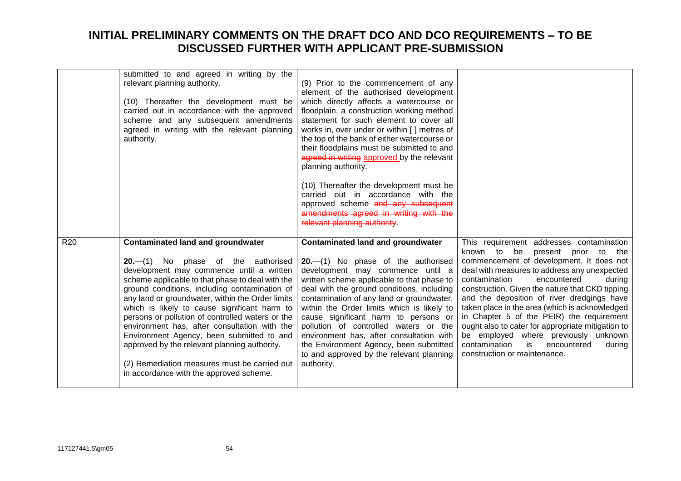|                 | submitted to and agreed in writing by the<br>relevant planning authority.<br>(10) Thereafter the development must be<br>carried out in accordance with the approved<br>scheme and any subsequent amendments<br>agreed in writing with the relevant planning<br>authority.                                                                                                                                                                                                                                                                                                                                                          | (9) Prior to the commencement of any<br>element of the authorised development<br>which directly affects a watercourse or<br>floodplain, a construction working method<br>statement for such element to cover all<br>works in, over under or within [] metres of<br>the top of the bank of either watercourse or<br>their floodplains must be submitted to and<br>agreed in writing approved by the relevant<br>planning authority.<br>(10) Thereafter the development must be<br>carried out in accordance with the<br>approved scheme and any subsequent<br>amendments agreed in writing with the<br>relevant planning authority. |                                                                                                                                                                                                                                                                                                                                                                                                                                                                                                                                                                                                          |
|-----------------|------------------------------------------------------------------------------------------------------------------------------------------------------------------------------------------------------------------------------------------------------------------------------------------------------------------------------------------------------------------------------------------------------------------------------------------------------------------------------------------------------------------------------------------------------------------------------------------------------------------------------------|------------------------------------------------------------------------------------------------------------------------------------------------------------------------------------------------------------------------------------------------------------------------------------------------------------------------------------------------------------------------------------------------------------------------------------------------------------------------------------------------------------------------------------------------------------------------------------------------------------------------------------|----------------------------------------------------------------------------------------------------------------------------------------------------------------------------------------------------------------------------------------------------------------------------------------------------------------------------------------------------------------------------------------------------------------------------------------------------------------------------------------------------------------------------------------------------------------------------------------------------------|
| R <sub>20</sub> | <b>Contaminated land and groundwater</b><br>$20 - (1)$ No phase of the authorised<br>development may commence until a written<br>scheme applicable to that phase to deal with the<br>ground conditions, including contamination of<br>any land or groundwater, within the Order limits<br>which is likely to cause significant harm to<br>persons or pollution of controlled waters or the<br>environment has, after consultation with the<br>Environment Agency, been submitted to and<br>approved by the relevant planning authority.<br>(2) Remediation measures must be carried out<br>in accordance with the approved scheme. | <b>Contaminated land and groundwater</b><br>$20$ . $-$ (1) No phase of the authorised<br>development may commence until a<br>written scheme applicable to that phase to<br>deal with the ground conditions, including<br>contamination of any land or groundwater,<br>within the Order limits which is likely to<br>cause significant harm to persons or<br>pollution of controlled waters or the<br>environment has, after consultation with<br>the Environment Agency, been submitted<br>to and approved by the relevant planning<br>authority.                                                                                  | This requirement addresses contamination<br>be<br>known to<br>present prior to<br>the<br>commencement of development. It does not<br>deal with measures to address any unexpected<br>contamination<br>encountered<br>during<br>construction. Given the nature that CKD tipping<br>and the deposition of river dredgings have<br>taken place in the area (which is acknowledged<br>in Chapter 5 of the PEIR) the requirement<br>ought also to cater for appropriate mitigation to<br>be employed where previously unknown<br>contamination<br>is<br>encountered<br>during<br>construction or maintenance. |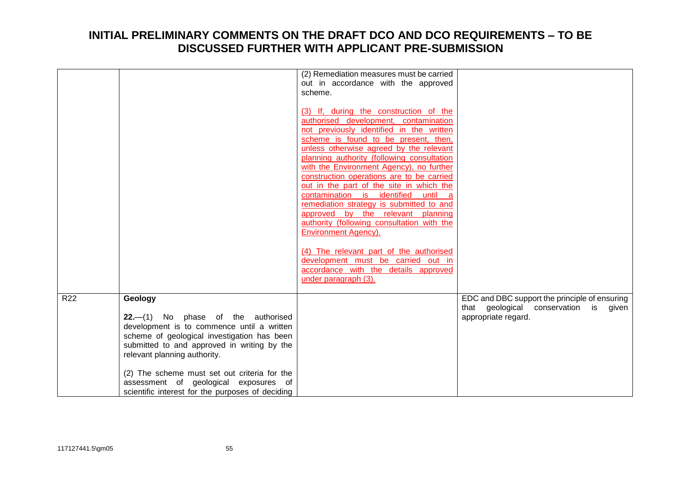|     |                                                                                           | (2) Remediation measures must be carried<br>out in accordance with the approved   |                                               |
|-----|-------------------------------------------------------------------------------------------|-----------------------------------------------------------------------------------|-----------------------------------------------|
|     |                                                                                           | scheme.                                                                           |                                               |
|     |                                                                                           | (3) If, during the construction of the                                            |                                               |
|     |                                                                                           | authorised development, contamination<br>not previously identified in the written |                                               |
|     |                                                                                           | scheme is found to be present, then,                                              |                                               |
|     |                                                                                           | unless otherwise agreed by the relevant                                           |                                               |
|     |                                                                                           | planning authority (following consultation                                        |                                               |
|     |                                                                                           | with the Environment Agency), no further                                          |                                               |
|     |                                                                                           | construction operations are to be carried                                         |                                               |
|     |                                                                                           | out in the part of the site in which the<br>contamination is identified until     |                                               |
|     |                                                                                           | remediation strategy is submitted to and                                          |                                               |
|     |                                                                                           | approved by the relevant planning                                                 |                                               |
|     |                                                                                           | authority (following consultation with the                                        |                                               |
|     |                                                                                           | <b>Environment Agency).</b>                                                       |                                               |
|     |                                                                                           | (4) The relevant part of the authorised                                           |                                               |
|     |                                                                                           | development must be carried out in                                                |                                               |
|     |                                                                                           | accordance with the details approved                                              |                                               |
|     |                                                                                           | under paragraph (3).                                                              |                                               |
| R22 | Geology                                                                                   |                                                                                   | EDC and DBC support the principle of ensuring |
|     |                                                                                           |                                                                                   | that geological conservation is given         |
|     | $22- (1)$ No phase of the authorised                                                      |                                                                                   | appropriate regard.                           |
|     | development is to commence until a written<br>scheme of geological investigation has been |                                                                                   |                                               |
|     | submitted to and approved in writing by the                                               |                                                                                   |                                               |
|     | relevant planning authority.                                                              |                                                                                   |                                               |
|     | (2) The scheme must set out criteria for the                                              |                                                                                   |                                               |
|     | assessment of geological exposures of                                                     |                                                                                   |                                               |
|     | scientific interest for the purposes of deciding                                          |                                                                                   |                                               |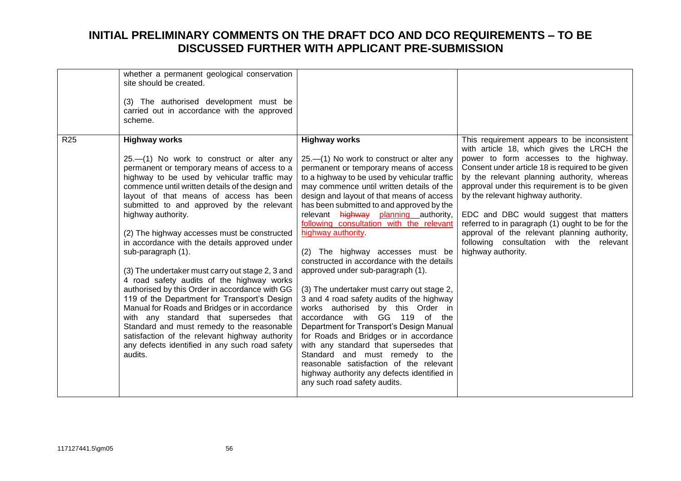|                 | whether a permanent geological conservation<br>site should be created.<br>(3) The authorised development must be<br>carried out in accordance with the approved<br>scheme.                                                                                                                                                                                                                                                                                                                                                                                                                                                                                                                                                                                                                                                                                                                                                |                                                                                                                                                                                                                                                                                                                                                                                                                                                                                                                                                                                                                                                                                                                                                                                                                                                                                                                                                                                                  |                                                                                                                                                                                                                                                                                                                                                                                                                                                                                                                                               |
|-----------------|---------------------------------------------------------------------------------------------------------------------------------------------------------------------------------------------------------------------------------------------------------------------------------------------------------------------------------------------------------------------------------------------------------------------------------------------------------------------------------------------------------------------------------------------------------------------------------------------------------------------------------------------------------------------------------------------------------------------------------------------------------------------------------------------------------------------------------------------------------------------------------------------------------------------------|--------------------------------------------------------------------------------------------------------------------------------------------------------------------------------------------------------------------------------------------------------------------------------------------------------------------------------------------------------------------------------------------------------------------------------------------------------------------------------------------------------------------------------------------------------------------------------------------------------------------------------------------------------------------------------------------------------------------------------------------------------------------------------------------------------------------------------------------------------------------------------------------------------------------------------------------------------------------------------------------------|-----------------------------------------------------------------------------------------------------------------------------------------------------------------------------------------------------------------------------------------------------------------------------------------------------------------------------------------------------------------------------------------------------------------------------------------------------------------------------------------------------------------------------------------------|
| R <sub>25</sub> | <b>Highway works</b><br>$25.$ $-$ (1) No work to construct or alter any<br>permanent or temporary means of access to a<br>highway to be used by vehicular traffic may<br>commence until written details of the design and<br>layout of that means of access has been<br>submitted to and approved by the relevant<br>highway authority.<br>(2) The highway accesses must be constructed<br>in accordance with the details approved under<br>sub-paragraph (1).<br>(3) The undertaker must carry out stage 2, 3 and<br>4 road safety audits of the highway works<br>authorised by this Order in accordance with GG<br>119 of the Department for Transport's Design<br>Manual for Roads and Bridges or in accordance<br>with any standard that supersedes that<br>Standard and must remedy to the reasonable<br>satisfaction of the relevant highway authority<br>any defects identified in any such road safety<br>audits. | <b>Highway works</b><br>25.—(1) No work to construct or alter any<br>permanent or temporary means of access<br>to a highway to be used by vehicular traffic<br>may commence until written details of the<br>design and layout of that means of access<br>has been submitted to and approved by the<br>relevant highway planning authority,<br>following consultation with the relevant<br>highway authority<br>(2) The highway accesses must be<br>constructed in accordance with the details<br>approved under sub-paragraph (1).<br>(3) The undertaker must carry out stage 2,<br>3 and 4 road safety audits of the highway<br>works authorised by this Order in<br>accordance with GG 119 of the<br>Department for Transport's Design Manual<br>for Roads and Bridges or in accordance<br>with any standard that supersedes that<br>Standard and must remedy to the<br>reasonable satisfaction of the relevant<br>highway authority any defects identified in<br>any such road safety audits. | This requirement appears to be inconsistent<br>with article 18, which gives the LRCH the<br>power to form accesses to the highway.<br>Consent under article 18 is required to be given<br>by the relevant planning authority, whereas<br>approval under this requirement is to be given<br>by the relevant highway authority.<br>EDC and DBC would suggest that matters<br>referred to in paragraph (1) ought to be for the<br>approval of the relevant planning authority,<br>following consultation with the relevant<br>highway authority. |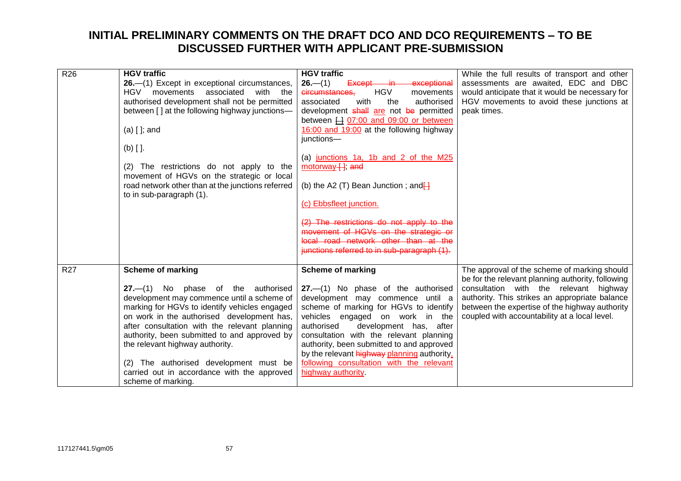| R <sub>26</sub> | <b>HGV traffic</b>                                                                           | <b>HGV traffic</b>                                                                       | While the full results of transport and other                                            |
|-----------------|----------------------------------------------------------------------------------------------|------------------------------------------------------------------------------------------|------------------------------------------------------------------------------------------|
|                 | 26. - (1) Except in exceptional circumstances,<br>associated<br>with the<br>HGV<br>movements | $26- (1)$<br>Except in<br>exceptional<br><b>HGV</b><br>circumstances.                    | assessments are awaited, EDC and DBC<br>would anticipate that it would be necessary for  |
|                 | authorised development shall not be permitted                                                | movements<br>associated<br>with<br>the<br>authorised                                     | HGV movements to avoid these junctions at                                                |
|                 | between [] at the following highway junctions-                                               | development shall are not be permitted                                                   | peak times.                                                                              |
|                 |                                                                                              | between H 07:00 and 09:00 or between                                                     |                                                                                          |
|                 | $(a)$ [ ]; and                                                                               | 16:00 and 19:00 at the following highway                                                 |                                                                                          |
|                 |                                                                                              | junctions-                                                                               |                                                                                          |
|                 | $(b)$ [ ].                                                                                   | (a) junctions 1a, 1b and 2 of the M25                                                    |                                                                                          |
|                 | (2) The restrictions do not apply to the                                                     | motorway [], and                                                                         |                                                                                          |
|                 | movement of HGVs on the strategic or local                                                   |                                                                                          |                                                                                          |
|                 | road network other than at the junctions referred                                            | (b) the A2 (T) Bean Junction; and $\frac{1}{2}$                                          |                                                                                          |
|                 | to in sub-paragraph (1).                                                                     | (c) Ebbsfleet junction.                                                                  |                                                                                          |
|                 |                                                                                              |                                                                                          |                                                                                          |
|                 |                                                                                              | (2) The restrictions do not apply to the                                                 |                                                                                          |
|                 |                                                                                              | movement of HGVs on the strategic or                                                     |                                                                                          |
|                 |                                                                                              | local road network other than at the<br>iunctions referred to in sub-paragraph (1).      |                                                                                          |
|                 |                                                                                              |                                                                                          |                                                                                          |
| R27             | <b>Scheme of marking</b>                                                                     | <b>Scheme of marking</b>                                                                 | The approval of the scheme of marking should                                             |
|                 |                                                                                              |                                                                                          | be for the relevant planning authority, following                                        |
|                 | $27.-(1)$ No phase of the authorised<br>development may commence until a scheme of           | 27.-(1) No phase of the authorised<br>development may commence until a                   | consultation with the relevant highway<br>authority. This strikes an appropriate balance |
|                 | marking for HGVs to identify vehicles engaged                                                | scheme of marking for HGVs to identify                                                   | between the expertise of the highway authority                                           |
|                 | on work in the authorised development has,                                                   | vehicles engaged on work in the                                                          | coupled with accountability at a local level.                                            |
|                 | after consultation with the relevant planning                                                | authorised<br>development has, after                                                     |                                                                                          |
|                 | authority, been submitted to and approved by                                                 | consultation with the relevant planning                                                  |                                                                                          |
|                 | the relevant highway authority.                                                              | authority, been submitted to and approved<br>by the relevant highway planning authority. |                                                                                          |
|                 | The authorised development must be<br>(2)                                                    | following consultation with the relevant                                                 |                                                                                          |
|                 | carried out in accordance with the approved                                                  | highway authority.                                                                       |                                                                                          |
|                 | scheme of marking.                                                                           |                                                                                          |                                                                                          |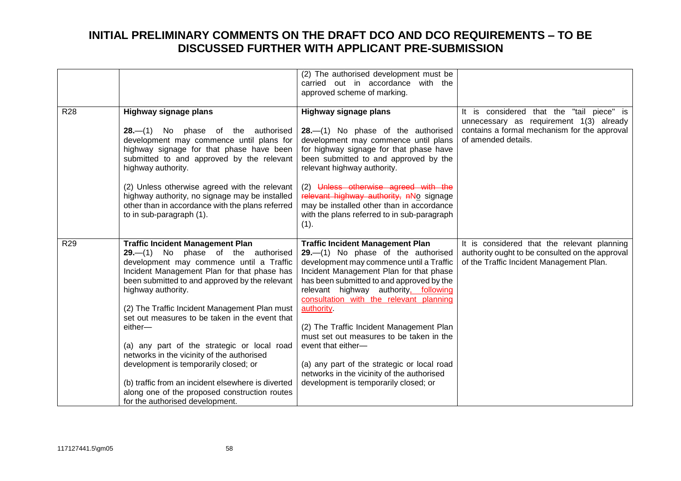|                 |                                                                                                                                                                                                                                                                                                                                                       | (2) The authorised development must be<br>carried out in accordance with the<br>approved scheme of marking.                                                                                                                                                                                                         |                                                                                                                                                             |
|-----------------|-------------------------------------------------------------------------------------------------------------------------------------------------------------------------------------------------------------------------------------------------------------------------------------------------------------------------------------------------------|---------------------------------------------------------------------------------------------------------------------------------------------------------------------------------------------------------------------------------------------------------------------------------------------------------------------|-------------------------------------------------------------------------------------------------------------------------------------------------------------|
| <b>R28</b>      | Highway signage plans<br>$28- (1)$ No phase of the authorised<br>development may commence until plans for<br>highway signage for that phase have been<br>submitted to and approved by the relevant<br>highway authority.<br>(2) Unless otherwise agreed with the relevant                                                                             | Highway signage plans<br>$28$ . $-$ (1) No phase of the authorised<br>development may commence until plans<br>for highway signage for that phase have<br>been submitted to and approved by the<br>relevant highway authority.<br>(2) Unless otherwise agreed with the                                               | It is considered that the "tail piece" is<br>unnecessary as requirement 1(3) already<br>contains a formal mechanism for the approval<br>of amended details. |
|                 | highway authority, no signage may be installed<br>other than in accordance with the plans referred<br>to in sub-paragraph (1).                                                                                                                                                                                                                        | relevant highway authority, nNo signage<br>may be installed other than in accordance<br>with the plans referred to in sub-paragraph<br>(1).                                                                                                                                                                         |                                                                                                                                                             |
| R <sub>29</sub> | <b>Traffic Incident Management Plan</b><br>$29- (1)$ No phase of the authorised<br>development may commence until a Traffic<br>Incident Management Plan for that phase has<br>been submitted to and approved by the relevant<br>highway authority.<br>(2) The Traffic Incident Management Plan must<br>set out measures to be taken in the event that | <b>Traffic Incident Management Plan</b><br>29.-(1) No phase of the authorised<br>development may commence until a Traffic<br>Incident Management Plan for that phase<br>has been submitted to and approved by the<br>relevant highway authority, following<br>consultation with the relevant planning<br>authority. | It is considered that the relevant planning<br>authority ought to be consulted on the approval<br>of the Traffic Incident Management Plan.                  |
|                 | either-<br>(a) any part of the strategic or local road<br>networks in the vicinity of the authorised<br>development is temporarily closed; or                                                                                                                                                                                                         | (2) The Traffic Incident Management Plan<br>must set out measures to be taken in the<br>event that either-<br>(a) any part of the strategic or local road                                                                                                                                                           |                                                                                                                                                             |
|                 | (b) traffic from an incident elsewhere is diverted<br>along one of the proposed construction routes<br>for the authorised development.                                                                                                                                                                                                                | networks in the vicinity of the authorised<br>development is temporarily closed; or                                                                                                                                                                                                                                 |                                                                                                                                                             |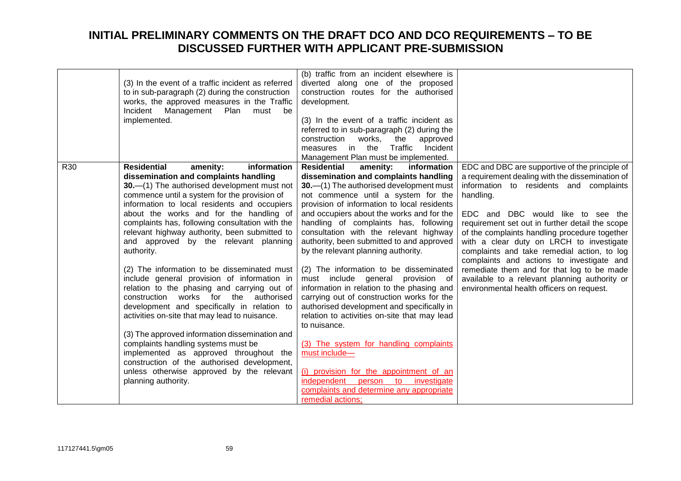|                 | (3) In the event of a traffic incident as referred<br>to in sub-paragraph (2) during the construction<br>works, the approved measures in the Traffic<br>Plan<br>Incident Management<br>must<br>be<br>implemented.                                                                                                                                                                                                                                                                                                                                                                                                                                                                                                                                                                                                                                                                                                                                                                         | (b) traffic from an incident elsewhere is<br>diverted along one of the proposed<br>construction routes for the authorised<br>development.<br>(3) In the event of a traffic incident as<br>referred to in sub-paragraph (2) during the<br>works,<br>construction<br>the<br>approved<br>Traffic<br>measures in the<br>Incident<br>Management Plan must be implemented.                                                                                                                                                                                                                                                                                                                                                                                                                                                                                                                                                                                  |                                                                                                                                                                                                                                                                                                                                                                                                                                                                                                                                                                                        |
|-----------------|-------------------------------------------------------------------------------------------------------------------------------------------------------------------------------------------------------------------------------------------------------------------------------------------------------------------------------------------------------------------------------------------------------------------------------------------------------------------------------------------------------------------------------------------------------------------------------------------------------------------------------------------------------------------------------------------------------------------------------------------------------------------------------------------------------------------------------------------------------------------------------------------------------------------------------------------------------------------------------------------|-------------------------------------------------------------------------------------------------------------------------------------------------------------------------------------------------------------------------------------------------------------------------------------------------------------------------------------------------------------------------------------------------------------------------------------------------------------------------------------------------------------------------------------------------------------------------------------------------------------------------------------------------------------------------------------------------------------------------------------------------------------------------------------------------------------------------------------------------------------------------------------------------------------------------------------------------------|----------------------------------------------------------------------------------------------------------------------------------------------------------------------------------------------------------------------------------------------------------------------------------------------------------------------------------------------------------------------------------------------------------------------------------------------------------------------------------------------------------------------------------------------------------------------------------------|
| R <sub>30</sub> | <b>Residential</b><br>amenity:<br>information<br>dissemination and complaints handling<br>30. - (1) The authorised development must not<br>commence until a system for the provision of<br>information to local residents and occupiers<br>about the works and for the handling of<br>complaints has, following consultation with the<br>relevant highway authority, been submitted to<br>and approved by the relevant planning<br>authority.<br>(2) The information to be disseminated must<br>include general provision of information in<br>relation to the phasing and carrying out of<br>construction works for the authorised<br>development and specifically in relation to<br>activities on-site that may lead to nuisance.<br>(3) The approved information dissemination and<br>complaints handling systems must be<br>implemented as approved throughout the<br>construction of the authorised development,<br>unless otherwise approved by the relevant<br>planning authority. | <b>Residential</b><br>amenity:<br>information<br>dissemination and complaints handling<br>30. - (1) The authorised development must<br>not commence until a system for the<br>provision of information to local residents<br>and occupiers about the works and for the<br>handling of complaints has, following<br>consultation with the relevant highway<br>authority, been submitted to and approved<br>by the relevant planning authority.<br>(2) The information to be disseminated<br>must include general provision of<br>information in relation to the phasing and<br>carrying out of construction works for the<br>authorised development and specifically in<br>relation to activities on-site that may lead<br>to nuisance.<br>(3) The system for handling complaints<br>must include-<br>(i) provision for the appointment of an<br>independent person<br>to investigate<br>complaints and determine any appropriate<br>remedial actions; | EDC and DBC are supportive of the principle of<br>a requirement dealing with the dissemination of<br>information to residents and complaints<br>handling.<br>EDC and DBC would like to see the<br>requirement set out in further detail the scope<br>of the complaints handling procedure together<br>with a clear duty on LRCH to investigate<br>complaints and take remedial action, to log<br>complaints and actions to investigate and<br>remediate them and for that log to be made<br>available to a relevant planning authority or<br>environmental health officers on request. |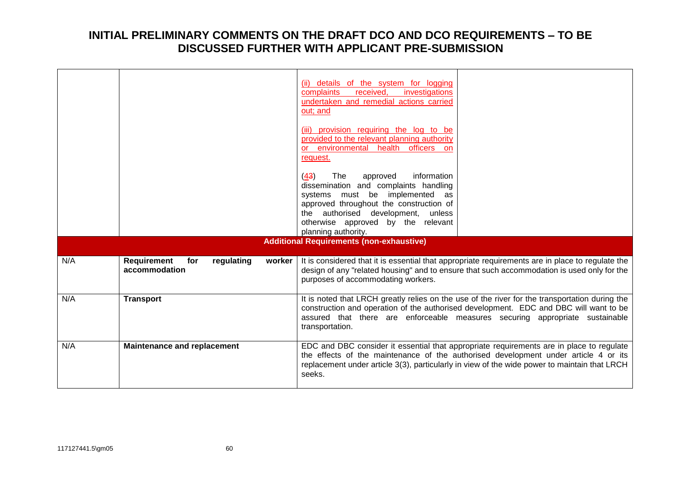|     |                                                                    | (ii) details of the system for logging<br>received,<br>investigations<br>complaints                                                                                                                                                                                                        |
|-----|--------------------------------------------------------------------|--------------------------------------------------------------------------------------------------------------------------------------------------------------------------------------------------------------------------------------------------------------------------------------------|
|     |                                                                    | undertaken and remedial actions carried<br>out; and                                                                                                                                                                                                                                        |
|     |                                                                    | (iii) provision requiring the log to be<br>provided to the relevant planning authority<br>or environmental health officers on<br>request.                                                                                                                                                  |
|     |                                                                    | information<br>(43)<br>The<br>approved<br>dissemination and complaints handling<br>systems must be implemented<br>as<br>approved throughout the construction of<br>the authorised development,<br>unless<br>otherwise approved by the relevant                                             |
|     |                                                                    | planning authority.                                                                                                                                                                                                                                                                        |
|     |                                                                    | <b>Additional Requirements (non-exhaustive)</b>                                                                                                                                                                                                                                            |
| N/A | <b>Requirement</b><br>regulating<br>for<br>worker<br>accommodation | It is considered that it is essential that appropriate requirements are in place to regulate the<br>design of any "related housing" and to ensure that such accommodation is used only for the<br>purposes of accommodating workers.                                                       |
| N/A | <b>Transport</b>                                                   | It is noted that LRCH greatly relies on the use of the river for the transportation during the<br>construction and operation of the authorised development. EDC and DBC will want to be<br>assured that there are enforceable measures securing appropriate sustainable<br>transportation. |
| N/A | <b>Maintenance and replacement</b>                                 | EDC and DBC consider it essential that appropriate requirements are in place to regulate<br>the effects of the maintenance of the authorised development under article 4 or its<br>replacement under article 3(3), particularly in view of the wide power to maintain that LRCH<br>seeks.  |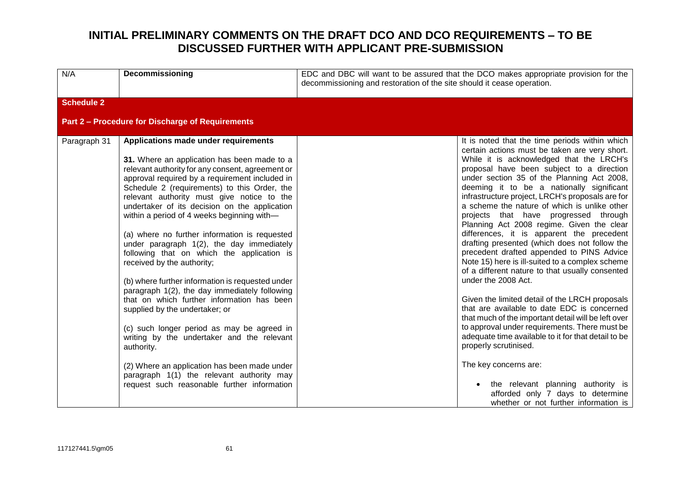| N/A               | Decommissioning                                                                                                                                                                                                                                                                                                                                                                                                                                                                                                                                                                                                                                                                                                                                                                                                                                                                                                                                                                                             | EDC and DBC will want to be assured that the DCO makes appropriate provision for the<br>decommissioning and restoration of the site should it cease operation. |                                                                                                                                                                                                                                                                                                                                                                                                                                                                                                                                                                                                                                                                                                                                                                                                                                                                                                                                                                                                                                                                                                                                                                                             |
|-------------------|-------------------------------------------------------------------------------------------------------------------------------------------------------------------------------------------------------------------------------------------------------------------------------------------------------------------------------------------------------------------------------------------------------------------------------------------------------------------------------------------------------------------------------------------------------------------------------------------------------------------------------------------------------------------------------------------------------------------------------------------------------------------------------------------------------------------------------------------------------------------------------------------------------------------------------------------------------------------------------------------------------------|----------------------------------------------------------------------------------------------------------------------------------------------------------------|---------------------------------------------------------------------------------------------------------------------------------------------------------------------------------------------------------------------------------------------------------------------------------------------------------------------------------------------------------------------------------------------------------------------------------------------------------------------------------------------------------------------------------------------------------------------------------------------------------------------------------------------------------------------------------------------------------------------------------------------------------------------------------------------------------------------------------------------------------------------------------------------------------------------------------------------------------------------------------------------------------------------------------------------------------------------------------------------------------------------------------------------------------------------------------------------|
| <b>Schedule 2</b> |                                                                                                                                                                                                                                                                                                                                                                                                                                                                                                                                                                                                                                                                                                                                                                                                                                                                                                                                                                                                             |                                                                                                                                                                |                                                                                                                                                                                                                                                                                                                                                                                                                                                                                                                                                                                                                                                                                                                                                                                                                                                                                                                                                                                                                                                                                                                                                                                             |
|                   | Part 2 - Procedure for Discharge of Requirements                                                                                                                                                                                                                                                                                                                                                                                                                                                                                                                                                                                                                                                                                                                                                                                                                                                                                                                                                            |                                                                                                                                                                |                                                                                                                                                                                                                                                                                                                                                                                                                                                                                                                                                                                                                                                                                                                                                                                                                                                                                                                                                                                                                                                                                                                                                                                             |
| Paragraph 31      | Applications made under requirements<br>31. Where an application has been made to a<br>relevant authority for any consent, agreement or<br>approval required by a requirement included in<br>Schedule 2 (requirements) to this Order, the<br>relevant authority must give notice to the<br>undertaker of its decision on the application<br>within a period of 4 weeks beginning with-<br>(a) where no further information is requested<br>under paragraph 1(2), the day immediately<br>following that on which the application is<br>received by the authority;<br>(b) where further information is requested under<br>paragraph 1(2), the day immediately following<br>that on which further information has been<br>supplied by the undertaker; or<br>(c) such longer period as may be agreed in<br>writing by the undertaker and the relevant<br>authority.<br>(2) Where an application has been made under<br>paragraph 1(1) the relevant authority may<br>request such reasonable further information |                                                                                                                                                                | It is noted that the time periods within which<br>certain actions must be taken are very short.<br>While it is acknowledged that the LRCH's<br>proposal have been subject to a direction<br>under section 35 of the Planning Act 2008,<br>deeming it to be a nationally significant<br>infrastructure project, LRCH's proposals are for<br>a scheme the nature of which is unlike other<br>projects that have progressed through<br>Planning Act 2008 regime. Given the clear<br>differences, it is apparent the precedent<br>drafting presented (which does not follow the<br>precedent drafted appended to PINS Advice<br>Note 15) here is ill-suited to a complex scheme<br>of a different nature to that usually consented<br>under the 2008 Act.<br>Given the limited detail of the LRCH proposals<br>that are available to date EDC is concerned<br>that much of the important detail will be left over<br>to approval under requirements. There must be<br>adequate time available to it for that detail to be<br>properly scrutinised.<br>The key concerns are:<br>the relevant planning authority is<br>afforded only 7 days to determine<br>whether or not further information is |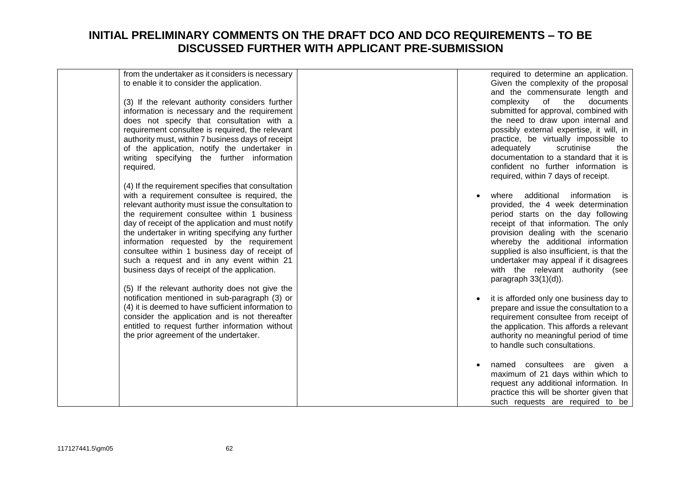| from the undertaker as it considers is necessary<br>to enable it to consider the application.        |  | required to determine an application.<br>Given the complexity of the proposal    |
|------------------------------------------------------------------------------------------------------|--|----------------------------------------------------------------------------------|
|                                                                                                      |  | and the commensurate length and                                                  |
| (3) If the relevant authority considers further                                                      |  | complexity of the<br>documents                                                   |
| information is necessary and the requirement                                                         |  | submitted for approval, combined with                                            |
| does not specify that consultation with a                                                            |  | the need to draw upon internal and                                               |
| requirement consultee is required, the relevant                                                      |  | possibly external expertise, it will, in                                         |
| authority must, within 7 business days of receipt                                                    |  | practice, be virtually impossible to                                             |
| of the application, notify the undertaker in                                                         |  | scrutinise<br>adequately<br>the<br>documentation to a standard that it is        |
| writing specifying the further information                                                           |  | confident no further information is                                              |
| required.                                                                                            |  | required, within 7 days of receipt.                                              |
| (4) If the requirement specifies that consultation                                                   |  |                                                                                  |
| with a requirement consultee is required, the                                                        |  | additional<br>information<br>where<br>is.                                        |
| relevant authority must issue the consultation to                                                    |  | provided, the 4 week determination                                               |
| the requirement consultee within 1 business                                                          |  | period starts on the day following                                               |
| day of receipt of the application and must notify                                                    |  | receipt of that information. The only                                            |
| the undertaker in writing specifying any further                                                     |  | provision dealing with the scenario                                              |
| information requested by the requirement                                                             |  | whereby the additional information                                               |
| consultee within 1 business day of receipt of                                                        |  | supplied is also insufficient, is that the                                       |
| such a request and in any event within 21                                                            |  | undertaker may appeal if it disagrees                                            |
| business days of receipt of the application.                                                         |  | with the relevant authority (see                                                 |
|                                                                                                      |  | paragraph $33(1)(d)$ ).                                                          |
| (5) If the relevant authority does not give the                                                      |  |                                                                                  |
| notification mentioned in sub-paragraph (3) or<br>(4) it is deemed to have sufficient information to |  | it is afforded only one business day to                                          |
| consider the application and is not thereafter                                                       |  | prepare and issue the consultation to a<br>requirement consultee from receipt of |
| entitled to request further information without                                                      |  | the application. This affords a relevant                                         |
| the prior agreement of the undertaker.                                                               |  | authority no meaningful period of time                                           |
|                                                                                                      |  | to handle such consultations.                                                    |
|                                                                                                      |  |                                                                                  |
|                                                                                                      |  | named consultees are given a                                                     |
|                                                                                                      |  | maximum of 21 days within which to                                               |
|                                                                                                      |  | request any additional information. In                                           |
|                                                                                                      |  | practice this will be shorter given that                                         |
|                                                                                                      |  | such requests are required to be                                                 |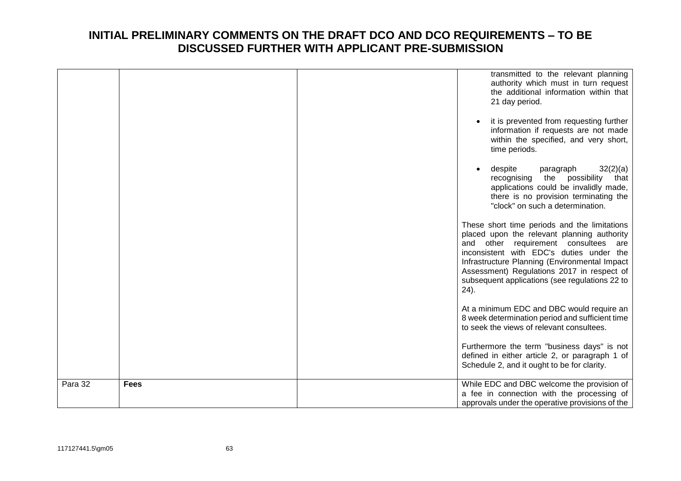|         |             | transmitted to the relevant planning<br>authority which must in turn request<br>the additional information within that<br>21 day period.<br>it is prevented from requesting further<br>information if requests are not made<br>within the specified, and very short,<br>time periods.                                                       |
|---------|-------------|---------------------------------------------------------------------------------------------------------------------------------------------------------------------------------------------------------------------------------------------------------------------------------------------------------------------------------------------|
|         |             | despite<br>32(2)(a)<br>paragraph<br>recognising<br>the<br>possibility<br>that<br>applications could be invalidly made,<br>there is no provision terminating the<br>"clock" on such a determination.                                                                                                                                         |
|         |             | These short time periods and the limitations<br>placed upon the relevant planning authority<br>and other requirement consultees are<br>inconsistent with EDC's duties under the<br>Infrastructure Planning (Environmental Impact<br>Assessment) Regulations 2017 in respect of<br>subsequent applications (see regulations 22 to<br>$24$ ). |
|         |             | At a minimum EDC and DBC would require an<br>8 week determination period and sufficient time<br>to seek the views of relevant consultees.                                                                                                                                                                                                   |
|         |             | Furthermore the term "business days" is not<br>defined in either article 2, or paragraph 1 of<br>Schedule 2, and it ought to be for clarity.                                                                                                                                                                                                |
| Para 32 | <b>Fees</b> | While EDC and DBC welcome the provision of<br>a fee in connection with the processing of<br>approvals under the operative provisions of the                                                                                                                                                                                                 |